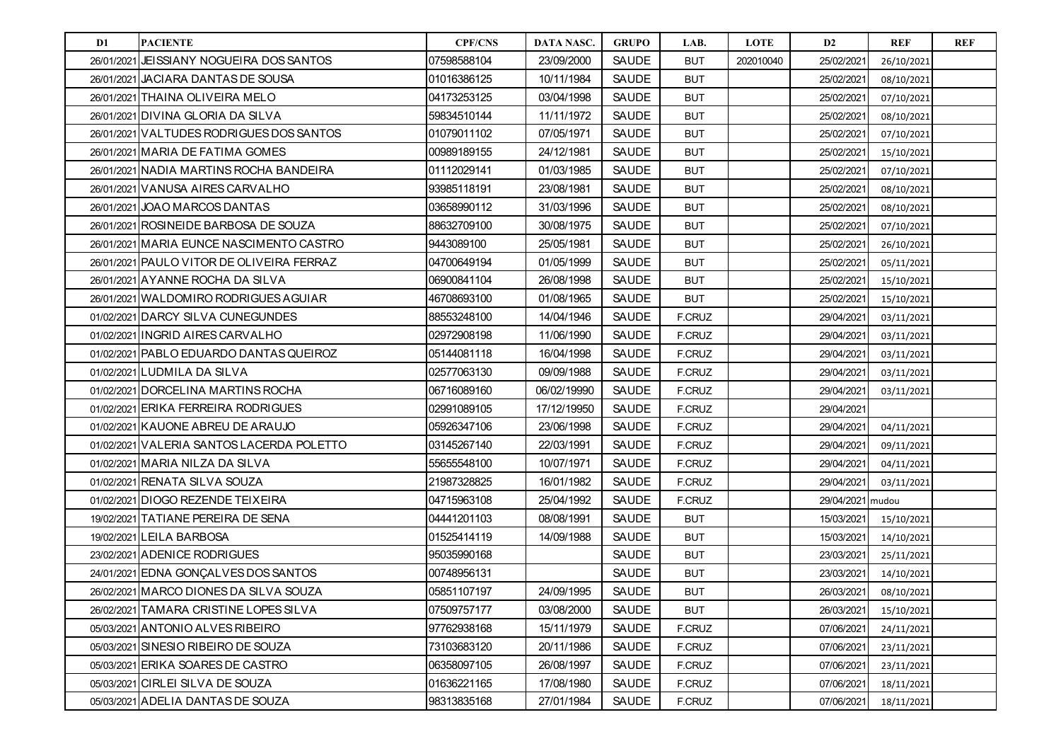| D1 | <b>PACIENTE</b>                           | <b>CPF/CNS</b> | <b>DATA NASC.</b> | <b>GRUPO</b> | LAB.       | <b>LOTE</b> | $\mathbf{D2}$    | <b>REF</b> | <b>REF</b> |
|----|-------------------------------------------|----------------|-------------------|--------------|------------|-------------|------------------|------------|------------|
|    | 26/01/2021 JEISSIANY NOGUEIRA DOS SANTOS  | 07598588104    | 23/09/2000        | <b>SAUDE</b> | <b>BUT</b> | 202010040   | 25/02/2021       | 26/10/2021 |            |
|    | 26/01/2021 JACIARA DANTAS DE SOUSA        | 01016386125    | 10/11/1984        | <b>SAUDE</b> | BUT        |             | 25/02/2021       | 08/10/2021 |            |
|    | 26/01/2021 THAINA OLIVEIRA MELO           | 04173253125    | 03/04/1998        | SAUDE        | <b>BUT</b> |             | 25/02/2021       | 07/10/2021 |            |
|    | 26/01/2021 DIVINA GLORIA DA SILVA         | 59834510144    | 11/11/1972        | SAUDE        | <b>BUT</b> |             | 25/02/2021       | 08/10/2021 |            |
|    | 26/01/2021 VALTUDES RODRIGUES DOS SANTOS  | 01079011102    | 07/05/1971        | SAUDE        | <b>BUT</b> |             | 25/02/2021       | 07/10/2021 |            |
|    | 26/01/2021 MARIA DE FATIMA GOMES          | 00989189155    | 24/12/1981        | SAUDE        | <b>BUT</b> |             | 25/02/2021       | 15/10/2021 |            |
|    | 26/01/2021 NADIA MARTINS ROCHA BANDEIRA   | 01112029141    | 01/03/1985        | SAUDE        | <b>BUT</b> |             | 25/02/2021       | 07/10/2021 |            |
|    | 26/01/2021 VANUSA AIRES CARVALHO          | 93985118191    | 23/08/1981        | SAUDE        | <b>BUT</b> |             | 25/02/2021       | 08/10/2021 |            |
|    | 26/01/2021 JOAO MARCOS DANTAS             | 03658990112    | 31/03/1996        | SAUDE        | <b>BUT</b> |             | 25/02/2021       | 08/10/2021 |            |
|    | 26/01/2021 ROSINEIDE BARBOSA DE SOUZA     | 88632709100    | 30/08/1975        | SAUDE        | <b>BUT</b> |             | 25/02/2021       | 07/10/2021 |            |
|    | 26/01/2021 MARIA EUNCE NASCIMENTO CASTRO  | 9443089100     | 25/05/1981        | SAUDE        | <b>BUT</b> |             | 25/02/2021       | 26/10/2021 |            |
|    | 26/01/2021 PAULO VITOR DE OLIVEIRA FERRAZ | 04700649194    | 01/05/1999        | SAUDE        | <b>BUT</b> |             | 25/02/2021       | 05/11/2021 |            |
|    | 26/01/2021 AYANNE ROCHA DA SILVA          | 06900841104    | 26/08/1998        | SAUDE        | <b>BUT</b> |             | 25/02/2021       | 15/10/2021 |            |
|    | 26/01/2021 WALDOMIRO RODRIGUES AGUIAR     | 46708693100    | 01/08/1965        | SAUDE        | <b>BUT</b> |             | 25/02/2021       | 15/10/2021 |            |
|    | 01/02/2021 DARCY SILVA CUNEGUNDES         | 88553248100    | 14/04/1946        | SAUDE        | F.CRUZ     |             | 29/04/2021       | 03/11/2021 |            |
|    | 01/02/2021 INGRID AIRES CARVALHO          | 02972908198    | 11/06/1990        | SAUDE        | F.CRUZ     |             | 29/04/2021       | 03/11/2021 |            |
|    | 01/02/2021 PABLO EDUARDO DANTAS QUEIROZ   | 05144081118    | 16/04/1998        | SAUDE        | F.CRUZ     |             | 29/04/2021       | 03/11/2021 |            |
|    | 01/02/2021 LUDMILA DA SILVA               | 02577063130    | 09/09/1988        | SAUDE        | F.CRUZ     |             | 29/04/2021       | 03/11/2021 |            |
|    | 01/02/2021 DORCELINA MARTINS ROCHA        | 06716089160    | 06/02/19990       | <b>SAUDE</b> | F.CRUZ     |             | 29/04/2021       | 03/11/2021 |            |
|    | 01/02/2021 ERIKA FERREIRA RODRIGUES       | 02991089105    | 17/12/19950       | SAUDE        | F.CRUZ     |             | 29/04/2021       |            |            |
|    | 01/02/2021 KAUONE ABREU DE ARAUJO         | 05926347106    | 23/06/1998        | SAUDE        | F.CRUZ     |             | 29/04/2021       | 04/11/2021 |            |
|    | 01/02/2021 VALERIA SANTOS LACERDA POLETTO | 03145267140    | 22/03/1991        | SAUDE        | F.CRUZ     |             | 29/04/2021       | 09/11/2021 |            |
|    | 01/02/2021 MARIA NILZA DA SILVA           | 55655548100    | 10/07/1971        | SAUDE        | F.CRUZ     |             | 29/04/2021       | 04/11/2021 |            |
|    | 01/02/2021 RENATA SILVA SOUZA             | 21987328825    | 16/01/1982        | SAUDE        | F.CRUZ     |             | 29/04/2021       | 03/11/2021 |            |
|    | 01/02/2021 DIOGO REZENDE TEIXEIRA         | 04715963108    | 25/04/1992        | SAUDE        | F.CRUZ     |             | 29/04/2021 mudou |            |            |
|    | 19/02/2021 TATIANE PEREIRA DE SENA        | 04441201103    | 08/08/1991        | SAUDE        | <b>BUT</b> |             | 15/03/2021       | 15/10/2021 |            |
|    | 19/02/2021 LEILA BARBOSA                  | 01525414119    | 14/09/1988        | <b>SAUDE</b> | <b>BUT</b> |             | 15/03/2021       | 14/10/2021 |            |
|    | 23/02/2021 ADENICE RODRIGUES              | 95035990168    |                   | SAUDE        | <b>BUT</b> |             | 23/03/2021       | 25/11/2021 |            |
|    | 24/01/2021 EDNA GONÇALVES DOS SANTOS      | 00748956131    |                   | SAUDE        | <b>BUT</b> |             | 23/03/2021       | 14/10/2021 |            |
|    | 26/02/2021 MARCO DIONES DA SILVA SOUZA    | 05851107197    | 24/09/1995        | <b>SAUDE</b> | <b>BUT</b> |             | 26/03/2021       | 08/10/2021 |            |
|    | 26/02/2021 TAMARA CRISTINE LOPES SILVA    | 07509757177    | 03/08/2000        | SAUDE        | <b>BUT</b> |             | 26/03/2021       | 15/10/2021 |            |
|    | 05/03/2021 ANTONIO ALVES RIBEIRO          | 97762938168    | 15/11/1979        | SAUDE        | F.CRUZ     |             | 07/06/2021       | 24/11/2021 |            |
|    | 05/03/2021 SINESIO RIBEIRO DE SOUZA       | 73103683120    | 20/11/1986        | SAUDE        | F.CRUZ     |             | 07/06/2021       | 23/11/2021 |            |
|    | 05/03/2021 ERIKA SOARES DE CASTRO         | 06358097105    | 26/08/1997        | SAUDE        | F.CRUZ     |             | 07/06/2021       | 23/11/2021 |            |
|    | 05/03/2021 CIRLEI SILVA DE SOUZA          | 01636221165    | 17/08/1980        | SAUDE        | F.CRUZ     |             | 07/06/2021       | 18/11/2021 |            |
|    | 05/03/2021 ADELIA DANTAS DE SOUZA         | 98313835168    | 27/01/1984        | SAUDE        | F.CRUZ     |             | 07/06/2021       | 18/11/2021 |            |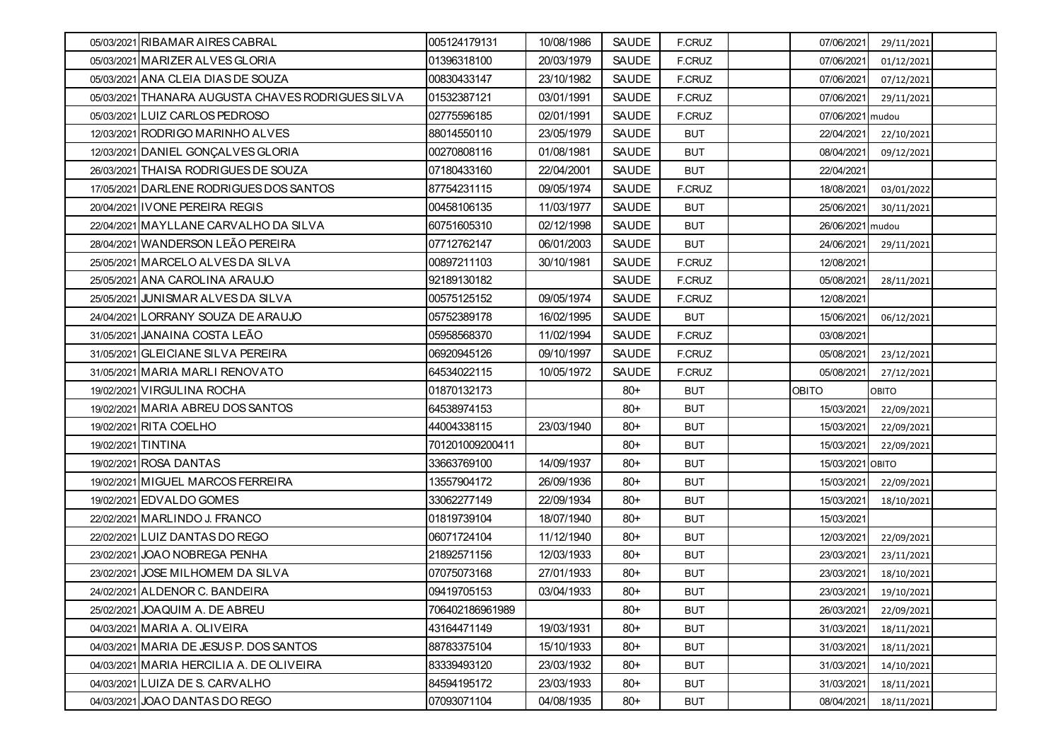| 05/03/2021 RIBAMAR AIRES CABRAL                   | 005124179131    | 10/08/1986 | SAUDE        | F.CRUZ     | 07/06/2021       | 29/11/2021 |  |
|---------------------------------------------------|-----------------|------------|--------------|------------|------------------|------------|--|
| 05/03/2021 MARIZER ALVES GLORIA                   | 01396318100     | 20/03/1979 | SAUDE        | F.CRUZ     | 07/06/2021       | 01/12/2021 |  |
| 05/03/2021 ANA CLEIA DIAS DE SOUZA                | 00830433147     | 23/10/1982 | SAUDE        | F.CRUZ     | 07/06/2021       | 07/12/2021 |  |
| 05/03/2021 THANARA AUGUSTA CHAVES RODRIGUES SILVA | 01532387121     | 03/01/1991 | SAUDE        | F.CRUZ     | 07/06/2021       | 29/11/2021 |  |
| 05/03/2021 LUIZ CARLOS PEDROSO                    | 02775596185     | 02/01/1991 | SAUDE        | F.CRUZ     | 07/06/2021 mudou |            |  |
| 12/03/2021 RODRIGO MARINHO ALVES                  | 88014550110     | 23/05/1979 | SAUDE        | <b>BUT</b> | 22/04/2021       | 22/10/2021 |  |
| 12/03/2021 DANIEL GONÇALVES GLORIA                | 00270808116     | 01/08/1981 | <b>SAUDE</b> | <b>BUT</b> | 08/04/2021       | 09/12/2021 |  |
| 26/03/2021 THAISA RODRIGUES DE SOUZA              | 07180433160     | 22/04/2001 | SAUDE        | <b>BUT</b> | 22/04/2021       |            |  |
| 17/05/2021 DARLENE RODRIGUES DOS SANTOS           | 87754231115     | 09/05/1974 | SAUDE        | F.CRUZ     | 18/08/2021       | 03/01/2022 |  |
| 20/04/2021 IVONE PEREIRA REGIS                    | 00458106135     | 11/03/1977 | SAUDE        | <b>BUT</b> | 25/06/2021       | 30/11/2021 |  |
| 22/04/2021 MAYLLANE CARVALHO DA SILVA             | 60751605310     | 02/12/1998 | SAUDE        | <b>BUT</b> | 26/06/2021 mudou |            |  |
| 28/04/2021 WANDERSON LEÃO PEREIRA                 | 07712762147     | 06/01/2003 | SAUDE        | <b>BUT</b> | 24/06/2021       | 29/11/2021 |  |
| 25/05/2021 MARCELO ALVES DA SILVA                 | 00897211103     | 30/10/1981 | SAUDE        | F.CRUZ     | 12/08/2021       |            |  |
| 25/05/2021 ANA CAROLINA ARAUJO                    | 92189130182     |            | SAUDE        | F.CRUZ     | 05/08/2021       | 28/11/2021 |  |
| 25/05/2021 JUNISMAR ALVES DA SILVA                | 00575125152     | 09/05/1974 | SAUDE        | F.CRUZ     | 12/08/2021       |            |  |
| 24/04/2021 LORRANY SOUZA DE ARAUJO                | 05752389178     | 16/02/1995 | SAUDE        | <b>BUT</b> | 15/06/2021       | 06/12/2021 |  |
| 31/05/2021 JANAINA COSTA LEÃO                     | 05958568370     | 11/02/1994 | SAUDE        | F.CRUZ     | 03/08/2021       |            |  |
| 31/05/2021 GLEICIANE SILVA PEREIRA                | 06920945126     | 09/10/1997 | SAUDE        | F.CRUZ     | 05/08/2021       | 23/12/2021 |  |
|                                                   |                 |            |              |            |                  |            |  |
| 31/05/2021 MARIA MARLI RENOVATO                   | 64534022115     | 10/05/1972 | SAUDE        | F.CRUZ     | 05/08/2021       | 27/12/2021 |  |
| 19/02/2021 VIRGULINA ROCHA                        | 01870132173     |            | $80+$        | <b>BUT</b> | <b>OBITO</b>     | OBITO      |  |
| 19/02/2021 MARIA ABREU DOS SANTOS                 | 64538974153     |            | $80+$        | <b>BUT</b> | 15/03/2021       | 22/09/2021 |  |
| 19/02/2021 RITA COELHO                            | 44004338115     | 23/03/1940 | $80+$        | <b>BUT</b> | 15/03/2021       | 22/09/2021 |  |
| 19/02/2021 TINTINA                                | 701201009200411 |            | $80+$        | <b>BUT</b> | 15/03/2021       | 22/09/2021 |  |
| 19/02/2021 ROSA DANTAS                            | 33663769100     | 14/09/1937 | $80+$        | <b>BUT</b> | 15/03/2021 OBITO |            |  |
| 19/02/2021 MIGUEL MARCOS FERREIRA                 | 13557904172     | 26/09/1936 | $80+$        | <b>BUT</b> | 15/03/2021       | 22/09/2021 |  |
| 19/02/2021 EDVALDO GOMES                          | 33062277149     | 22/09/1934 | $80+$        | <b>BUT</b> | 15/03/2021       | 18/10/2021 |  |
| 22/02/2021 MARLINDO J. FRANCO                     | 01819739104     | 18/07/1940 | $80+$        | <b>BUT</b> | 15/03/2021       |            |  |
| 22/02/2021 LUIZ DANTAS DO REGO                    | 06071724104     | 11/12/1940 | $80+$        | <b>BUT</b> | 12/03/2021       | 22/09/2021 |  |
| 23/02/2021 JOAO NOBREGA PENHA                     | 21892571156     | 12/03/1933 | $80+$        | <b>BUT</b> | 23/03/2021       | 23/11/2021 |  |
| 23/02/2021 JOSE MILHOMEM DA SILVA                 | 07075073168     | 27/01/1933 | $80+$        | <b>BUT</b> | 23/03/2021       | 18/10/2021 |  |
| 24/02/2021 ALDENOR C. BANDEIRA                    | 09419705153     | 03/04/1933 | $80+$        | <b>BUT</b> | 23/03/2021       | 19/10/2021 |  |
| 25/02/2021 JOAQUIM A. DE ABREU                    | 706402186961989 |            | $80+$        | <b>BUT</b> | 26/03/2021       | 22/09/2021 |  |
| 04/03/2021 MARIA A. OLIVEIRA                      | 43164471149     | 19/03/1931 | $80+$        | <b>BUT</b> | 31/03/2021       | 18/11/2021 |  |
| 04/03/2021 MARIA DE JESUS P. DOS SANTOS           | 88783375104     | 15/10/1933 | $80+$        | <b>BUT</b> | 31/03/2021       | 18/11/2021 |  |
| 04/03/2021 MARIA HERCILIA A. DE OLIVEIRA          | 83339493120     | 23/03/1932 | $80+$        | <b>BUT</b> | 31/03/2021       | 14/10/2021 |  |
| 04/03/2021 LUIZA DE S. CARVALHO                   | 84594195172     | 23/03/1933 | $80+$        | <b>BUT</b> | 31/03/2021       | 18/11/2021 |  |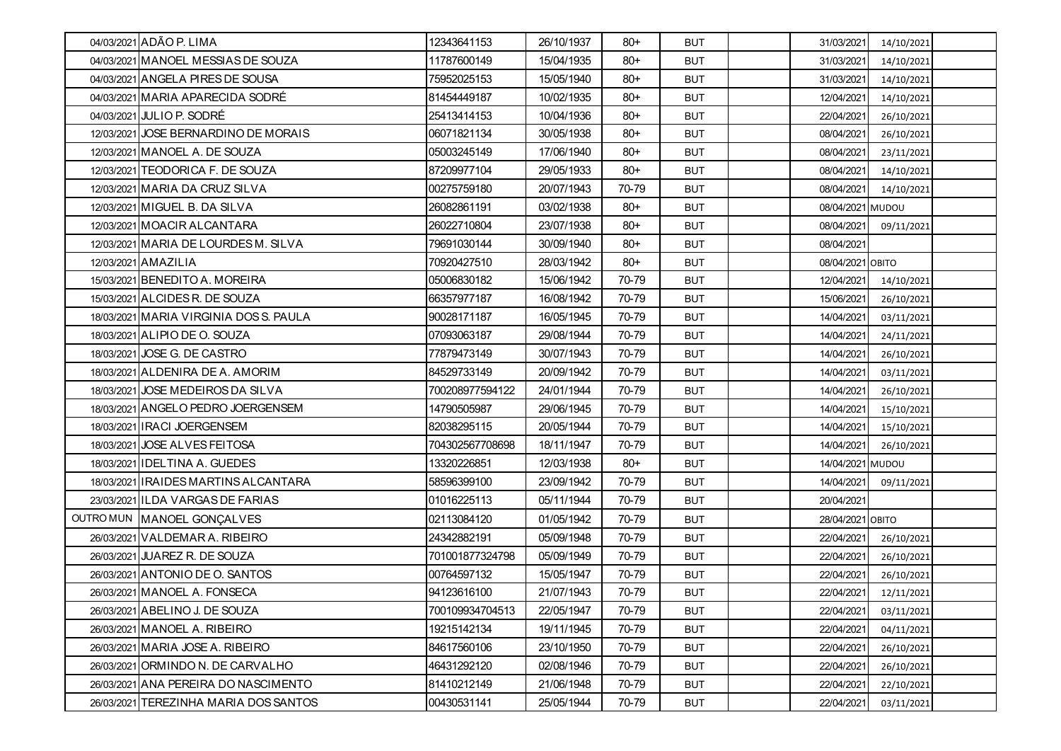| 04/03/2021 ADÃO P. LIMA                | 12343641153     | 26/10/1937 | $80+$  | <b>BUT</b> | 31/03/2021       | 14/10/2021 |  |
|----------------------------------------|-----------------|------------|--------|------------|------------------|------------|--|
| 04/03/2021 MANOEL MESSIAS DE SOUZA     | 11787600149     | 15/04/1935 | $80+$  | <b>BUT</b> | 31/03/2021       | 14/10/2021 |  |
| 04/03/2021 ANGELA PIRES DE SOUSA       | 75952025153     | 15/05/1940 | $80 +$ | <b>BUT</b> | 31/03/2021       | 14/10/2021 |  |
| 04/03/2021 MARIA APARECIDA SODRÉ       | 81454449187     | 10/02/1935 | $80+$  | <b>BUT</b> | 12/04/2021       | 14/10/2021 |  |
| 04/03/2021 JULIO P. SODRÉ              | 25413414153     | 10/04/1936 | $80+$  | <b>BUT</b> | 22/04/2021       | 26/10/2021 |  |
| 12/03/2021 JOSE BERNARDINO DE MORAIS   | 06071821134     | 30/05/1938 | $80+$  | <b>BUT</b> | 08/04/2021       | 26/10/2021 |  |
| 12/03/2021 MANOEL A. DE SOUZA          | 05003245149     | 17/06/1940 | $80+$  | <b>BUT</b> | 08/04/2021       | 23/11/2021 |  |
| 12/03/2021 TEODORICA F. DE SOUZA       | 87209977104     | 29/05/1933 | $80+$  | <b>BUT</b> | 08/04/2021       | 14/10/2021 |  |
| 12/03/2021 MARIA DA CRUZ SILVA         | 00275759180     | 20/07/1943 | 70-79  | <b>BUT</b> | 08/04/2021       | 14/10/2021 |  |
| 12/03/2021 MIGUEL B. DA SILVA          | 26082861191     | 03/02/1938 | $80+$  | <b>BUT</b> | 08/04/2021 MUDOU |            |  |
| 12/03/2021 MOACIR ALCANTARA            | 26022710804     | 23/07/1938 | $80+$  | <b>BUT</b> | 08/04/2021       | 09/11/2021 |  |
| 12/03/2021 MARIA DE LOURDES M. SILVA   | 79691030144     | 30/09/1940 | $80+$  | <b>BUT</b> | 08/04/2021       |            |  |
| 12/03/2021 AMAZILIA                    | 70920427510     | 28/03/1942 | $80+$  | <b>BUT</b> | 08/04/2021 OBITO |            |  |
| 15/03/2021 BENEDITO A. MOREIRA         | 05006830182     | 15/06/1942 | 70-79  | <b>BUT</b> | 12/04/2021       | 14/10/2021 |  |
| 15/03/2021 ALCIDES R. DE SOUZA         | 66357977187     | 16/08/1942 | 70-79  | <b>BUT</b> | 15/06/2021       | 26/10/2021 |  |
| 18/03/2021 MARIA VIRGINIA DOS S. PAULA | 90028171187     | 16/05/1945 | 70-79  | <b>BUT</b> | 14/04/2021       | 03/11/2021 |  |
| 18/03/2021 ALIPIO DE O. SOUZA          | 07093063187     | 29/08/1944 | 70-79  | <b>BUT</b> | 14/04/2021       | 24/11/2021 |  |
| 18/03/2021 JOSE G. DE CASTRO           | 77879473149     | 30/07/1943 | 70-79  | <b>BUT</b> | 14/04/2021       | 26/10/2021 |  |
| 18/03/2021 ALDENIRA DE A. AMORIM       | 84529733149     | 20/09/1942 | 70-79  | <b>BUT</b> | 14/04/2021       | 03/11/2021 |  |
| 18/03/2021 JOSE MEDEIROS DA SILVA      | 700208977594122 | 24/01/1944 | 70-79  | <b>BUT</b> | 14/04/2021       | 26/10/2021 |  |
| 18/03/2021 ANGELO PEDRO JOERGENSEM     | 14790505987     | 29/06/1945 | 70-79  | <b>BUT</b> | 14/04/2021       | 15/10/2021 |  |
| 18/03/2021 IRACI JOERGENSEM            | 82038295115     | 20/05/1944 | 70-79  | <b>BUT</b> | 14/04/2021       | 15/10/2021 |  |
| 18/03/2021 JOSE ALVES FEITOSA          | 704302567708698 | 18/11/1947 | 70-79  | <b>BUT</b> | 14/04/2021       | 26/10/2021 |  |
| 18/03/2021 IDELTINA A. GUEDES          | 13320226851     | 12/03/1938 | $80+$  | <b>BUT</b> | 14/04/2021 MUDOU |            |  |
| 18/03/2021 IRAIDES MARTINS ALCANTARA   | 58596399100     | 23/09/1942 | 70-79  | <b>BUT</b> | 14/04/2021       | 09/11/2021 |  |
| 23/03/2021 ILDA VARGAS DE FARIAS       | 01016225113     | 05/11/1944 | 70-79  | <b>BUT</b> | 20/04/2021       |            |  |
| OUTRO MUN MANOEL GONÇALVES             | 02113084120     | 01/05/1942 | 70-79  | <b>BUT</b> | 28/04/2021 OBITO |            |  |
| 26/03/2021 VALDEMAR A. RIBEIRO         | 24342882191     | 05/09/1948 | 70-79  | <b>BUT</b> | 22/04/2021       | 26/10/2021 |  |
| 26/03/2021 JUAREZ R. DE SOUZA          | 701001877324798 | 05/09/1949 | 70-79  | <b>BUT</b> | 22/04/2021       | 26/10/2021 |  |
| 26/03/2021 ANTONIO DE O. SANTOS        | 00764597132     | 15/05/1947 | 70-79  | <b>BUT</b> | 22/04/2021       | 26/10/2021 |  |
| 26/03/2021 MANOEL A. FONSECA           | 94123616100     | 21/07/1943 | 70-79  | <b>BUT</b> | 22/04/2021       | 12/11/2021 |  |
| 26/03/2021 ABELINO J. DE SOUZA         | 700109934704513 | 22/05/1947 | 70-79  | <b>BUT</b> | 22/04/2021       | 03/11/2021 |  |
| 26/03/2021 MANOEL A. RIBEIRO           | 19215142134     | 19/11/1945 | 70-79  | <b>BUT</b> | 22/04/2021       | 04/11/2021 |  |
| 26/03/2021 MARIA JOSE A. RIBEIRO       | 84617560106     | 23/10/1950 | 70-79  | <b>BUT</b> | 22/04/2021       | 26/10/2021 |  |
| 26/03/2021 ORMINDO N. DE CARVALHO      | 46431292120     | 02/08/1946 | 70-79  | <b>BUT</b> | 22/04/2021       | 26/10/2021 |  |
| 26/03/2021 ANA PEREIRA DO NASCIMENTO   | 81410212149     | 21/06/1948 | 70-79  | <b>BUT</b> | 22/04/2021       | 22/10/2021 |  |
| 26/03/2021 TEREZINHA MARIA DOS SANTOS  | 00430531141     | 25/05/1944 | 70-79  | <b>BUT</b> | 22/04/2021       | 03/11/2021 |  |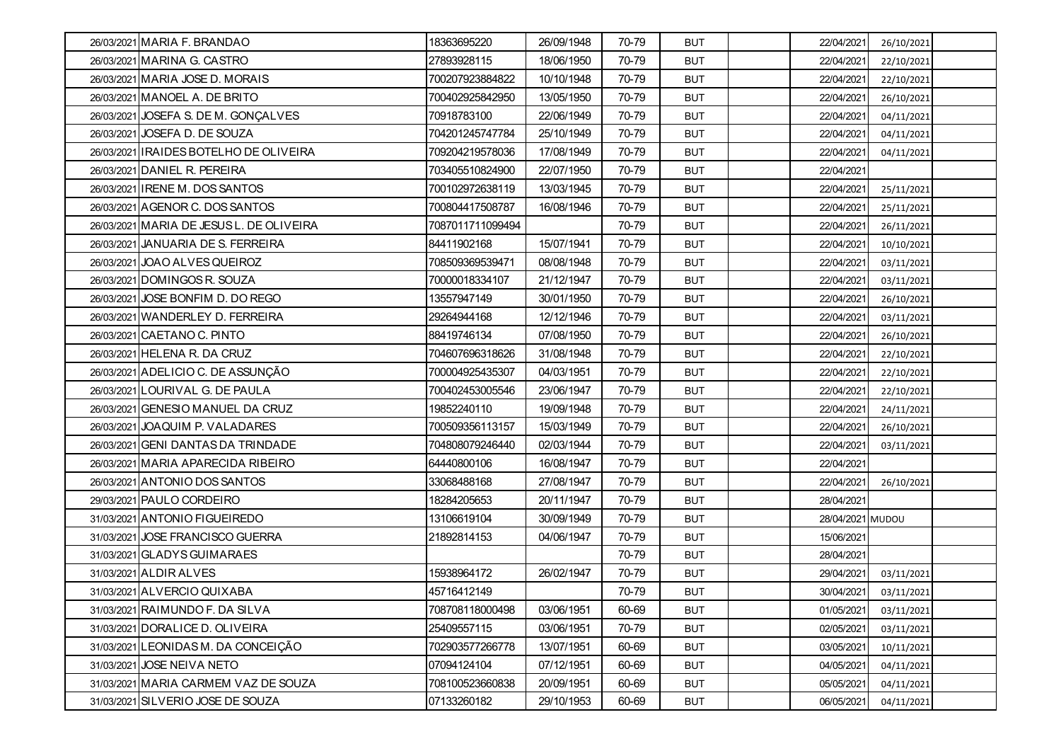| 26/03/2021 MARIA F. BRANDAO              | 18363695220      | 26/09/1948 | 70-79 | <b>BUT</b> | 22/04/2021       | 26/10/2021 |  |
|------------------------------------------|------------------|------------|-------|------------|------------------|------------|--|
| 26/03/2021 MARINA G. CASTRO              | 27893928115      | 18/06/1950 | 70-79 | <b>BUT</b> | 22/04/2021       | 22/10/2021 |  |
| 26/03/2021 MARIA JOSE D. MORAIS          | 700207923884822  | 10/10/1948 | 70-79 | <b>BUT</b> | 22/04/2021       | 22/10/2021 |  |
| 26/03/2021 MANOEL A. DE BRITO            | 700402925842950  | 13/05/1950 | 70-79 | <b>BUT</b> | 22/04/2021       | 26/10/2021 |  |
| 26/03/2021 JOSEFA S. DE M. GONÇALVES     | 70918783100      | 22/06/1949 | 70-79 | <b>BUT</b> | 22/04/2021       | 04/11/2021 |  |
| 26/03/2021 JOSEFA D. DE SOUZA            | 704201245747784  | 25/10/1949 | 70-79 | <b>BUT</b> | 22/04/2021       | 04/11/2021 |  |
| 26/03/2021 IRAIDES BOTELHO DE OLIVEIRA   | 709204219578036  | 17/08/1949 | 70-79 | <b>BUT</b> | 22/04/2021       | 04/11/2021 |  |
| 26/03/2021 DANIEL R. PEREIRA             | 703405510824900  | 22/07/1950 | 70-79 | <b>BUT</b> | 22/04/2021       |            |  |
| 26/03/2021 IRENE M. DOS SANTOS           | 700102972638119  | 13/03/1945 | 70-79 | <b>BUT</b> | 22/04/2021       | 25/11/2021 |  |
| 26/03/2021 AGENOR C. DOS SANTOS          | 700804417508787  | 16/08/1946 | 70-79 | <b>BUT</b> | 22/04/2021       | 25/11/2021 |  |
| 26/03/2021 MARIA DE JESUS L. DE OLIVEIRA | 7087011711099494 |            | 70-79 | <b>BUT</b> | 22/04/2021       | 26/11/2021 |  |
| 26/03/2021 JANUARIA DE S. FERREIRA       | 84411902168      | 15/07/1941 | 70-79 | <b>BUT</b> | 22/04/2021       | 10/10/2021 |  |
| 26/03/2021 JOAO ALVES QUEIROZ            | 708509369539471  | 08/08/1948 | 70-79 | <b>BUT</b> | 22/04/2021       | 03/11/2021 |  |
| 26/03/2021 DOMINGOS R. SOUZA             | 70000018334107   | 21/12/1947 | 70-79 | <b>BUT</b> | 22/04/2021       | 03/11/2021 |  |
| 26/03/2021 JOSE BONFIM D. DO REGO        | 13557947149      | 30/01/1950 | 70-79 | <b>BUT</b> | 22/04/2021       | 26/10/2021 |  |
| 26/03/2021 WANDERLEY D. FERREIRA         | 29264944168      | 12/12/1946 | 70-79 | <b>BUT</b> | 22/04/2021       | 03/11/2021 |  |
| 26/03/2021 CAETANO C. PINTO              | 88419746134      | 07/08/1950 | 70-79 | <b>BUT</b> | 22/04/2021       | 26/10/2021 |  |
| 26/03/2021 HELENA R. DA CRUZ             | 704607696318626  | 31/08/1948 | 70-79 | <b>BUT</b> | 22/04/2021       | 22/10/2021 |  |
| 26/03/2021 ADELICIO C. DE ASSUNÇÃO       | 700004925435307  | 04/03/1951 | 70-79 | <b>BUT</b> | 22/04/2021       | 22/10/2021 |  |
| 26/03/2021 LOURIVAL G. DE PAULA          | 700402453005546  | 23/06/1947 | 70-79 | <b>BUT</b> | 22/04/2021       | 22/10/2021 |  |
| 26/03/2021 GENESIO MANUEL DA CRUZ        | 19852240110      | 19/09/1948 | 70-79 | <b>BUT</b> | 22/04/2021       | 24/11/2021 |  |
| 26/03/2021 JOAQUIM P. VALADARES          | 700509356113157  | 15/03/1949 | 70-79 | <b>BUT</b> | 22/04/2021       | 26/10/2021 |  |
| 26/03/2021 GENI DANTAS DA TRINDADE       | 704808079246440  | 02/03/1944 | 70-79 | <b>BUT</b> | 22/04/2021       | 03/11/2021 |  |
| 26/03/2021 MARIA APARECIDA RIBEIRO       | 64440800106      | 16/08/1947 | 70-79 | <b>BUT</b> | 22/04/2021       |            |  |
| 26/03/2021 ANTONIO DOS SANTOS            | 33068488168      | 27/08/1947 | 70-79 | <b>BUT</b> | 22/04/2021       | 26/10/2021 |  |
| 29/03/2021 PAULO CORDEIRO                | 18284205653      | 20/11/1947 | 70-79 | <b>BUT</b> | 28/04/2021       |            |  |
| 31/03/2021 ANTONIO FIGUEIREDO            | 13106619104      | 30/09/1949 | 70-79 | <b>BUT</b> | 28/04/2021 MUDOU |            |  |
| 31/03/2021 JOSE FRANCISCO GUERRA         | 21892814153      | 04/06/1947 | 70-79 | <b>BUT</b> | 15/06/2021       |            |  |
| 31/03/2021 GLADYS GUIMARAES              |                  |            | 70-79 | <b>BUT</b> | 28/04/2021       |            |  |
| 31/03/2021 ALDIR ALVES                   | 15938964172      | 26/02/1947 | 70-79 | <b>BUT</b> | 29/04/2021       | 03/11/2021 |  |
| 31/03/2021 ALVERCIO QUIXABA              | 45716412149      |            | 70-79 | <b>BUT</b> | 30/04/2021       | 03/11/2021 |  |
| 31/03/2021 RAIMUNDO F. DA SILVA          | 708708118000498  | 03/06/1951 | 60-69 | <b>BUT</b> | 01/05/2021       | 03/11/2021 |  |
| 31/03/2021 DORALICE D. OLIVEIRA          | 25409557115      | 03/06/1951 | 70-79 | <b>BUT</b> | 02/05/2021       | 03/11/2021 |  |
| 31/03/2021 LEONIDAS M. DA CONCEIÇÃO      | 702903577266778  | 13/07/1951 | 60-69 | <b>BUT</b> | 03/05/2021       | 10/11/2021 |  |
| 31/03/2021 JOSE NEIVA NETO               | 07094124104      | 07/12/1951 | 60-69 | <b>BUT</b> | 04/05/2021       | 04/11/2021 |  |
| 31/03/2021 MARIA CARMEM VAZ DE SOUZA     | 708100523660838  | 20/09/1951 | 60-69 | <b>BUT</b> | 05/05/2021       | 04/11/2021 |  |
| 31/03/2021 SILVERIO JOSE DE SOUZA        | 07133260182      | 29/10/1953 | 60-69 | <b>BUT</b> | 06/05/2021       | 04/11/2021 |  |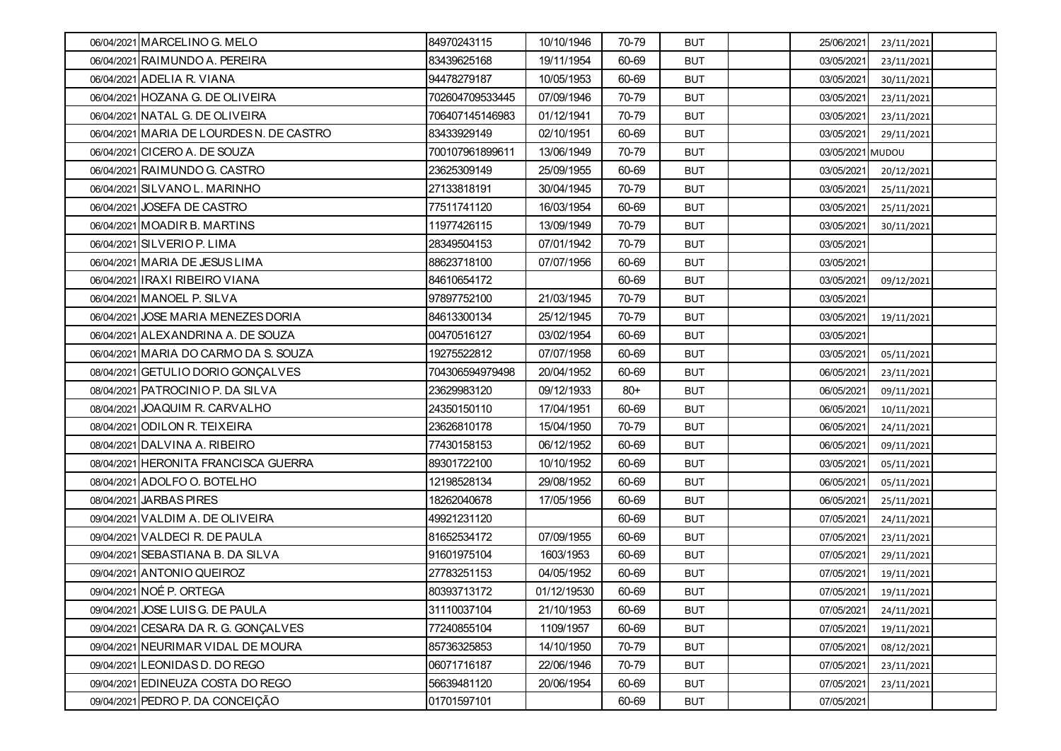| 06/04/2021 MARCELINO G. MELO             | 84970243115     | 10/10/1946  | 70-79 | <b>BUT</b> | 25/06/2021       | 23/11/2021 |  |
|------------------------------------------|-----------------|-------------|-------|------------|------------------|------------|--|
| 06/04/2021 RAIMUNDO A. PEREIRA           | 83439625168     | 19/11/1954  | 60-69 | <b>BUT</b> | 03/05/2021       | 23/11/2021 |  |
| 06/04/2021 ADELIA R. VIANA               | 94478279187     | 10/05/1953  | 60-69 | <b>BUT</b> | 03/05/2021       | 30/11/2021 |  |
| 06/04/2021 HOZANA G. DE OLIVEIRA         | 702604709533445 | 07/09/1946  | 70-79 | <b>BUT</b> | 03/05/2021       | 23/11/2021 |  |
| 06/04/2021 NATAL G. DE OLIVEIRA          | 706407145146983 | 01/12/1941  | 70-79 | <b>BUT</b> | 03/05/2021       | 23/11/2021 |  |
| 06/04/2021 MARIA DE LOURDES N. DE CASTRO | 83433929149     | 02/10/1951  | 60-69 | <b>BUT</b> | 03/05/2021       | 29/11/2021 |  |
| 06/04/2021 CICERO A. DE SOUZA            | 700107961899611 | 13/06/1949  | 70-79 | <b>BUT</b> | 03/05/2021 MUDOU |            |  |
| 06/04/2021 RAIMUNDO G. CASTRO            | 23625309149     | 25/09/1955  | 60-69 | <b>BUT</b> | 03/05/2021       | 20/12/2021 |  |
| 06/04/2021 SILVANO L. MARINHO            | 27133818191     | 30/04/1945  | 70-79 | <b>BUT</b> | 03/05/2021       | 25/11/2021 |  |
| 06/04/2021 JOSEFA DE CASTRO              | 77511741120     | 16/03/1954  | 60-69 | <b>BUT</b> | 03/05/2021       | 25/11/2021 |  |
| 06/04/2021 MOADIR B. MARTINS             | 11977426115     | 13/09/1949  | 70-79 | <b>BUT</b> | 03/05/2021       | 30/11/2021 |  |
| 06/04/2021 SILVERIO P. LIMA              | 28349504153     | 07/01/1942  | 70-79 | <b>BUT</b> | 03/05/2021       |            |  |
| 06/04/2021 MARIA DE JESUS LIMA           | 88623718100     | 07/07/1956  | 60-69 | <b>BUT</b> | 03/05/2021       |            |  |
| 06/04/2021 IRAXI RIBEIRO VIANA           | 84610654172     |             | 60-69 | <b>BUT</b> | 03/05/2021       | 09/12/2021 |  |
| 06/04/2021 MANOEL P. SILVA               | 97897752100     | 21/03/1945  | 70-79 | <b>BUT</b> | 03/05/2021       |            |  |
| 06/04/2021 JOSE MARIA MENEZES DORIA      | 84613300134     | 25/12/1945  | 70-79 | <b>BUT</b> | 03/05/2021       | 19/11/2021 |  |
| 06/04/2021 ALEXANDRINA A. DE SOUZA       | 00470516127     | 03/02/1954  | 60-69 | <b>BUT</b> | 03/05/2021       |            |  |
| 06/04/2021 MARIA DO CARMO DA S. SOUZA    | 19275522812     | 07/07/1958  | 60-69 | <b>BUT</b> | 03/05/2021       | 05/11/2021 |  |
| 08/04/2021 GETULIO DORIO GONÇALVES       | 704306594979498 | 20/04/1952  | 60-69 | <b>BUT</b> | 06/05/2021       | 23/11/2021 |  |
| 08/04/2021 PATROCINIO P. DA SILVA        | 23629983120     | 09/12/1933  | $80+$ | <b>BUT</b> | 06/05/2021       | 09/11/2021 |  |
| 08/04/2021 JOAQUIM R. CARVALHO           | 24350150110     | 17/04/1951  | 60-69 | <b>BUT</b> | 06/05/2021       | 10/11/2021 |  |
| 08/04/2021 ODILON R. TEIXEIRA            | 23626810178     | 15/04/1950  | 70-79 | <b>BUT</b> | 06/05/2021       | 24/11/2021 |  |
| 08/04/2021 DALVINA A. RIBEIRO            | 77430158153     | 06/12/1952  | 60-69 | <b>BUT</b> | 06/05/2021       | 09/11/2021 |  |
| 08/04/2021 HERONITA FRANCISCA GUERRA     | 89301722100     | 10/10/1952  | 60-69 | <b>BUT</b> | 03/05/2021       | 05/11/2021 |  |
| 08/04/2021 ADOLFO O. BOTELHO             | 12198528134     | 29/08/1952  | 60-69 | <b>BUT</b> | 06/05/2021       | 05/11/2021 |  |
| 08/04/2021 JARBAS PIRES                  | 18262040678     | 17/05/1956  | 60-69 | <b>BUT</b> | 06/05/2021       | 25/11/2021 |  |
| 09/04/2021 VALDIM A. DE OLIVEIRA         | 49921231120     |             | 60-69 | <b>BUT</b> | 07/05/2021       | 24/11/2021 |  |
| 09/04/2021 VALDECI R. DE PAULA           | 81652534172     | 07/09/1955  | 60-69 | <b>BUT</b> | 07/05/2021       | 23/11/2021 |  |
| 09/04/2021 SEBASTIANA B. DA SILVA        | 91601975104     | 1603/1953   | 60-69 | <b>BUT</b> | 07/05/2021       | 29/11/2021 |  |
| 09/04/2021 ANTONIO QUEIROZ               | 27783251153     | 04/05/1952  | 60-69 | <b>BUT</b> | 07/05/2021       | 19/11/2021 |  |
| 09/04/2021 NOÉ P. ORTEGA                 | 80393713172     | 01/12/19530 | 60-69 | <b>BUT</b> | 07/05/2021       | 19/11/2021 |  |
| 09/04/2021 JOSE LUIS G. DE PAULA         | 31110037104     | 21/10/1953  | 60-69 | <b>BUT</b> | 07/05/2021       | 24/11/2021 |  |
| 09/04/2021 CESARA DA R. G. GONÇALVES     | 77240855104     | 1109/1957   | 60-69 | <b>BUT</b> | 07/05/2021       | 19/11/2021 |  |
| 09/04/2021 NEURIMAR VIDAL DE MOURA       | 85736325853     | 14/10/1950  | 70-79 | <b>BUT</b> | 07/05/2021       | 08/12/2021 |  |
| 09/04/2021 LEONIDAS D. DO REGO           | 06071716187     | 22/06/1946  | 70-79 | <b>BUT</b> | 07/05/2021       | 23/11/2021 |  |
| 09/04/2021 EDINEUZA COSTA DO REGO        | 56639481120     | 20/06/1954  | 60-69 | <b>BUT</b> | 07/05/2021       | 23/11/2021 |  |
| 09/04/2021 PEDRO P. DA CONCEIÇÃO         | 01701597101     |             | 60-69 | <b>BUT</b> | 07/05/2021       |            |  |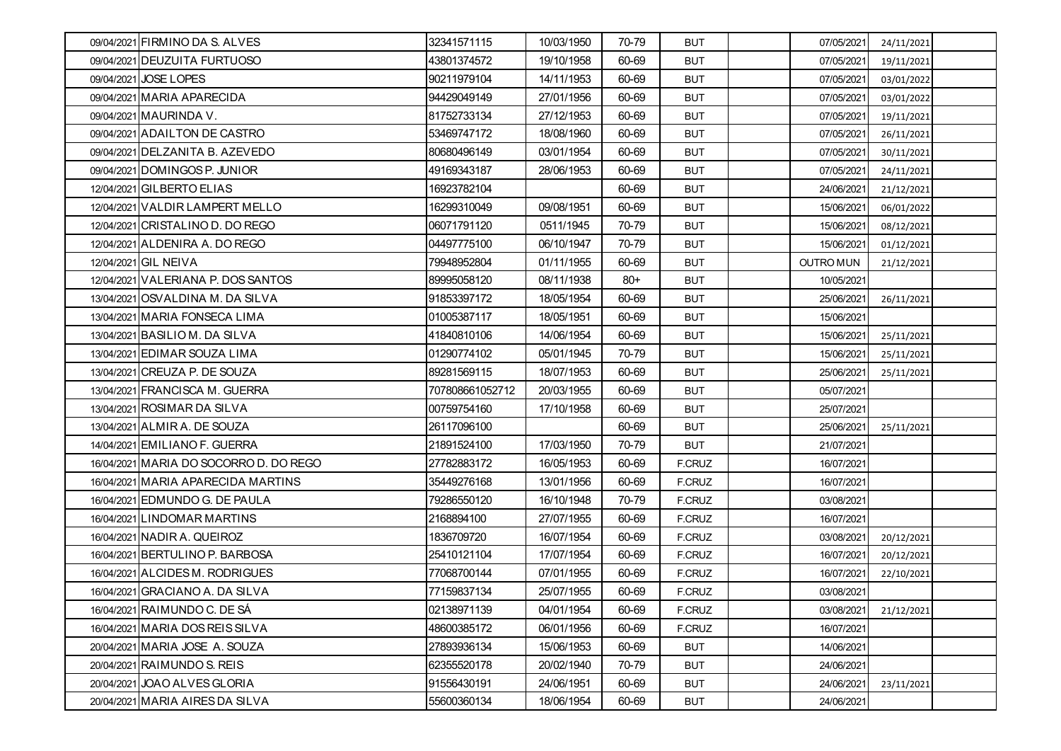| 09/04/2021 FIRMINO DA S. ALVES         | 32341571115     | 10/03/1950 | 70-79 | BUT           | 07/05/2021       | 24/11/2021 |  |
|----------------------------------------|-----------------|------------|-------|---------------|------------------|------------|--|
| 09/04/2021 DEUZUITA FURTUOSO           | 43801374572     | 19/10/1958 | 60-69 | <b>BUT</b>    | 07/05/2021       | 19/11/2021 |  |
| 09/04/2021 JOSE LOPES                  | 90211979104     | 14/11/1953 | 60-69 | <b>BUT</b>    | 07/05/2021       | 03/01/2022 |  |
| 09/04/2021 MARIA APARECIDA             | 94429049149     | 27/01/1956 | 60-69 | <b>BUT</b>    | 07/05/2021       | 03/01/2022 |  |
| 09/04/2021 MAURINDA V.                 | 81752733134     | 27/12/1953 | 60-69 | <b>BUT</b>    | 07/05/2021       | 19/11/2021 |  |
| 09/04/2021 ADAILTON DE CASTRO          | 53469747172     | 18/08/1960 | 60-69 | <b>BUT</b>    | 07/05/2021       | 26/11/2021 |  |
| 09/04/2021 DELZANITA B. AZEVEDO        | 80680496149     | 03/01/1954 | 60-69 | <b>BUT</b>    | 07/05/2021       | 30/11/2021 |  |
| 09/04/2021 DOMINGOS P. JUNIOR          | 49169343187     | 28/06/1953 | 60-69 | <b>BUT</b>    | 07/05/2021       | 24/11/2021 |  |
| 12/04/2021 GILBERTO ELIAS              | 16923782104     |            | 60-69 | BUT           | 24/06/2021       | 21/12/2021 |  |
| 12/04/2021 VALDIR LAMPERT MELLO        | 16299310049     | 09/08/1951 | 60-69 | <b>BUT</b>    | 15/06/2021       | 06/01/2022 |  |
| 12/04/2021 CRISTALINO D. DO REGO       | 06071791120     | 0511/1945  | 70-79 | <b>BUT</b>    | 15/06/2021       | 08/12/2021 |  |
| 12/04/2021 ALDENIRA A. DO REGO         | 04497775100     | 06/10/1947 | 70-79 | <b>BUT</b>    | 15/06/2021       | 01/12/2021 |  |
| 12/04/2021 GIL NEIVA                   | 79948952804     | 01/11/1955 | 60-69 | <b>BUT</b>    | <b>OUTRO MUN</b> | 21/12/2021 |  |
| 12/04/2021 VALERIANA P. DOS SANTOS     | 89995058120     | 08/11/1938 | $80+$ | <b>BUT</b>    | 10/05/2021       |            |  |
| 13/04/2021 OSVALDINA M. DA SILVA       | 91853397172     | 18/05/1954 | 60-69 | <b>BUT</b>    | 25/06/2021       | 26/11/2021 |  |
| 13/04/2021 MARIA FONSECA LIMA          | 01005387117     | 18/05/1951 | 60-69 | <b>BUT</b>    | 15/06/2021       |            |  |
| 13/04/2021 BASILIO M. DA SILVA         | 41840810106     | 14/06/1954 | 60-69 | <b>BUT</b>    | 15/06/2021       | 25/11/2021 |  |
| 13/04/2021 EDIMAR SOUZA LIMA           | 01290774102     | 05/01/1945 | 70-79 | <b>BUT</b>    | 15/06/2021       | 25/11/2021 |  |
| 13/04/2021 CREUZA P. DE SOUZA          | 89281569115     | 18/07/1953 | 60-69 | <b>BUT</b>    | 25/06/2021       | 25/11/2021 |  |
| 13/04/2021 FRANCISCA M. GUERRA         | 707808661052712 | 20/03/1955 | 60-69 | <b>BUT</b>    | 05/07/2021       |            |  |
| 13/04/2021 ROSIMAR DA SILVA            | 00759754160     | 17/10/1958 | 60-69 | <b>BUT</b>    | 25/07/2021       |            |  |
| 13/04/2021 ALMIR A. DE SOUZA           | 26117096100     |            | 60-69 | <b>BUT</b>    | 25/06/2021       | 25/11/2021 |  |
| 14/04/2021 EMILIANO F. GUERRA          | 21891524100     | 17/03/1950 | 70-79 | <b>BUT</b>    | 21/07/2021       |            |  |
| 16/04/2021 MARIA DO SOCORRO D. DO REGO | 27782883172     | 16/05/1953 | 60-69 | F.CRUZ        | 16/07/2021       |            |  |
| 16/04/2021 MARIA APARECIDA MARTINS     | 35449276168     | 13/01/1956 | 60-69 | <b>F.CRUZ</b> | 16/07/2021       |            |  |
| 16/04/2021 EDMUNDO G. DE PAULA         | 79286550120     | 16/10/1948 | 70-79 | F.CRUZ        | 03/08/2021       |            |  |
| 16/04/2021 LINDOMAR MARTINS            | 2168894100      | 27/07/1955 | 60-69 | F.CRUZ        | 16/07/2021       |            |  |
| 16/04/2021 NADIR A. QUEIROZ            | 1836709720      | 16/07/1954 | 60-69 | F.CRUZ        | 03/08/2021       | 20/12/2021 |  |
| 16/04/2021 BERTULINO P. BARBOSA        | 25410121104     | 17/07/1954 | 60-69 | F.CRUZ        | 16/07/2021       | 20/12/2021 |  |
| 16/04/2021 ALCIDES M. RODRIGUES        | 77068700144     | 07/01/1955 | 60-69 | F.CRUZ        | 16/07/2021       | 22/10/2021 |  |
| 16/04/2021 GRACIANO A. DA SILVA        | 77159837134     | 25/07/1955 | 60-69 | F.CRUZ        | 03/08/2021       |            |  |
| 16/04/2021 RAIMUNDO C. DE SÁ           | 02138971139     | 04/01/1954 | 60-69 | F.CRUZ        | 03/08/2021       | 21/12/2021 |  |
| 16/04/2021 MARIA DOS REIS SILVA        | 48600385172     | 06/01/1956 | 60-69 | F.CRUZ        | 16/07/2021       |            |  |
| 20/04/2021 MARIA JOSE A. SOUZA         | 27893936134     | 15/06/1953 | 60-69 | <b>BUT</b>    | 14/06/2021       |            |  |
| 20/04/2021 RAIMUNDO S. REIS            | 62355520178     | 20/02/1940 | 70-79 | <b>BUT</b>    | 24/06/2021       |            |  |
| 20/04/2021 JOAO ALVES GLORIA           | 91556430191     | 24/06/1951 | 60-69 | <b>BUT</b>    | 24/06/2021       | 23/11/2021 |  |
| 20/04/2021 MARIA AIRES DA SILVA        | 55600360134     | 18/06/1954 | 60-69 | <b>BUT</b>    | 24/06/2021       |            |  |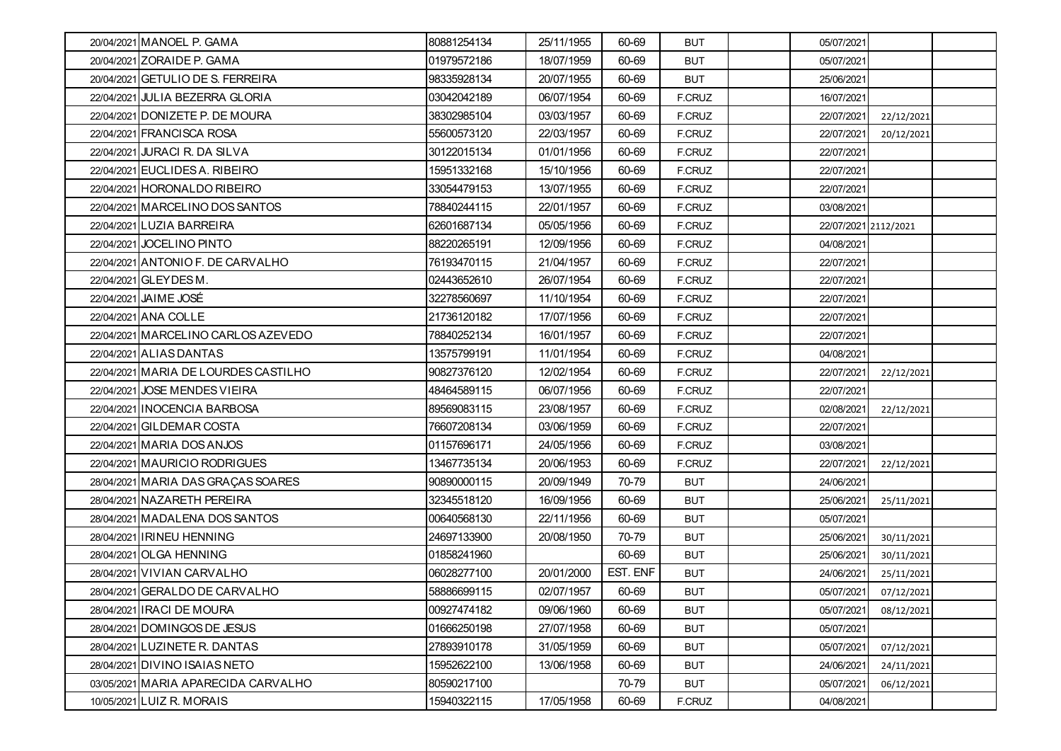| 20/04/2021 MANOEL P. GAMA            | 80881254134 | 25/11/1955 | 60-69    | BUT        | 05/07/2021           |            |  |
|--------------------------------------|-------------|------------|----------|------------|----------------------|------------|--|
| 20/04/2021 ZORAIDE P. GAMA           | 01979572186 | 18/07/1959 | 60-69    | <b>BUT</b> | 05/07/2021           |            |  |
| 20/04/2021 GETULIO DE S. FERREIRA    | 98335928134 | 20/07/1955 | 60-69    | <b>BUT</b> | 25/06/2021           |            |  |
| 22/04/2021 JULIA BEZERRA GLORIA      | 03042042189 | 06/07/1954 | 60-69    | F.CRUZ     | 16/07/2021           |            |  |
| 22/04/2021 DONIZETE P. DE MOURA      | 38302985104 | 03/03/1957 | 60-69    | F.CRUZ     | 22/07/2021           | 22/12/2021 |  |
| 22/04/2021 FRANCISCA ROSA            | 55600573120 | 22/03/1957 | 60-69    | F.CRUZ     | 22/07/2021           | 20/12/2021 |  |
| 22/04/2021 JURACI R. DA SILVA        | 30122015134 | 01/01/1956 | 60-69    | F.CRUZ     | 22/07/2021           |            |  |
| 22/04/2021 EUCLIDES A. RIBEIRO       | 15951332168 | 15/10/1956 | 60-69    | F.CRUZ     | 22/07/2021           |            |  |
| 22/04/2021 HORONALDO RIBEIRO         | 33054479153 | 13/07/1955 | 60-69    | F.CRUZ     | 22/07/2021           |            |  |
| 22/04/2021 MARCELINO DOS SANTOS      | 78840244115 | 22/01/1957 | 60-69    | F.CRUZ     | 03/08/2021           |            |  |
| 22/04/2021 LUZIA BARREIRA            | 62601687134 | 05/05/1956 | 60-69    | F.CRUZ     | 22/07/2021 2112/2021 |            |  |
| 22/04/2021 JOCELINO PINTO            | 88220265191 | 12/09/1956 | 60-69    | F.CRUZ     | 04/08/2021           |            |  |
| 22/04/2021 ANTONIO F. DE CARVALHO    | 76193470115 | 21/04/1957 | 60-69    | F.CRUZ     | 22/07/2021           |            |  |
| 22/04/2021 GLEYDES M.                | 02443652610 | 26/07/1954 | 60-69    | F.CRUZ     | 22/07/2021           |            |  |
| 22/04/2021 JAIME JOSÉ                | 32278560697 | 11/10/1954 | 60-69    | F.CRUZ     | 22/07/2021           |            |  |
| 22/04/2021 ANA COLLE                 | 21736120182 | 17/07/1956 | 60-69    | F.CRUZ     | 22/07/2021           |            |  |
| 22/04/2021 MARCELINO CARLOS AZEVEDO  | 78840252134 | 16/01/1957 | 60-69    | F.CRUZ     | 22/07/2021           |            |  |
| 22/04/2021 ALIAS DANTAS              | 13575799191 | 11/01/1954 | 60-69    | F.CRUZ     | 04/08/2021           |            |  |
| 22/04/2021 MARIA DE LOURDES CASTILHO | 90827376120 | 12/02/1954 | 60-69    | F.CRUZ     | 22/07/2021           | 22/12/2021 |  |
| 22/04/2021 JOSE MENDES VIEIRA        | 48464589115 | 06/07/1956 | 60-69    | F.CRUZ     | 22/07/2021           |            |  |
| 22/04/2021 INOCENCIA BARBOSA         | 89569083115 | 23/08/1957 | 60-69    | F.CRUZ     | 02/08/2021           | 22/12/2021 |  |
| 22/04/2021 GILDEMAR COSTA            | 76607208134 | 03/06/1959 | 60-69    | F.CRUZ     | 22/07/2021           |            |  |
| 22/04/2021 MARIA DOS ANJOS           | 01157696171 | 24/05/1956 | 60-69    | F.CRUZ     | 03/08/2021           |            |  |
| 22/04/2021 MAURICIO RODRIGUES        | 13467735134 | 20/06/1953 | 60-69    | F.CRUZ     | 22/07/2021           | 22/12/2021 |  |
| 28/04/2021 MARIA DAS GRAÇAS SOARES   | 90890000115 | 20/09/1949 | 70-79    | <b>BUT</b> | 24/06/2021           |            |  |
| 28/04/2021 NAZARETH PEREIRA          | 32345518120 | 16/09/1956 | 60-69    | <b>BUT</b> | 25/06/2021           | 25/11/2021 |  |
| 28/04/2021 MADALENA DOS SANTOS       | 00640568130 | 22/11/1956 | 60-69    | <b>BUT</b> | 05/07/2021           |            |  |
| 28/04/2021 IRINEU HENNING            | 24697133900 | 20/08/1950 | 70-79    | <b>BUT</b> | 25/06/2021           | 30/11/2021 |  |
| 28/04/2021 OLGA HENNING              | 01858241960 |            | 60-69    | <b>BUT</b> | 25/06/2021           | 30/11/2021 |  |
| 28/04/2021 VIVIAN CARVALHO           | 06028277100 | 20/01/2000 | EST. ENF | <b>BUT</b> | 24/06/2021           | 25/11/2021 |  |
| 28/04/2021 GERALDO DE CARVALHO       | 58886699115 | 02/07/1957 | 60-69    | <b>BUT</b> | 05/07/2021           | 07/12/2021 |  |
| 28/04/2021 IRACI DE MOURA            | 00927474182 | 09/06/1960 | 60-69    | <b>BUT</b> | 05/07/2021           | 08/12/2021 |  |
| 28/04/2021 DOMINGOS DE JESUS         | 01666250198 | 27/07/1958 | 60-69    | <b>BUT</b> | 05/07/2021           |            |  |
| 28/04/2021 LUZINETE R. DANTAS        | 27893910178 | 31/05/1959 | 60-69    | <b>BUT</b> | 05/07/2021           | 07/12/2021 |  |
| 28/04/2021 DIVINO ISAIAS NETO        | 15952622100 | 13/06/1958 | 60-69    | <b>BUT</b> | 24/06/2021           | 24/11/2021 |  |
| 03/05/2021 MARIA APARECIDA CARVALHO  | 80590217100 |            | 70-79    | <b>BUT</b> | 05/07/2021           | 06/12/2021 |  |
| 10/05/2021 LUIZ R. MORAIS            | 15940322115 | 17/05/1958 | 60-69    | F.CRUZ     | 04/08/2021           |            |  |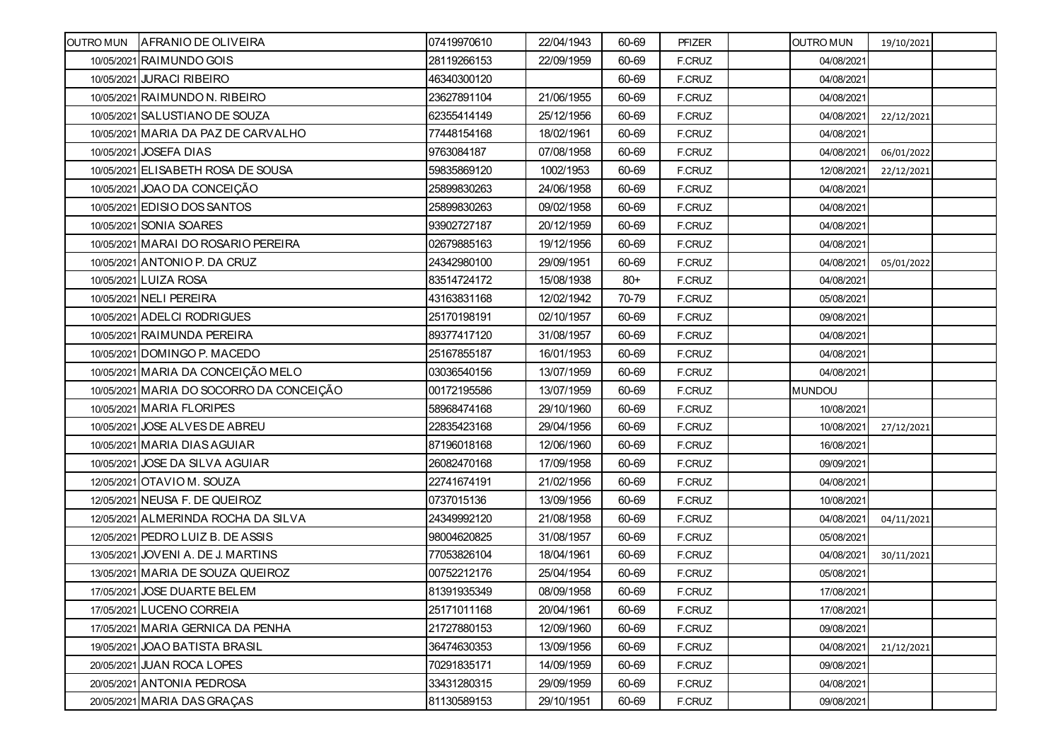| <b>OUTRO MUN</b> | <b>AFRANIO DE OLIVEIRA</b>               | 07419970610 | 22/04/1943 | 60-69 | <b>PFIZER</b> | <b>OUTRO MUN</b> | 19/10/2021 |  |
|------------------|------------------------------------------|-------------|------------|-------|---------------|------------------|------------|--|
|                  | 10/05/2021 RAIMUNDO GOIS                 | 28119266153 | 22/09/1959 | 60-69 | F.CRUZ        | 04/08/2021       |            |  |
|                  | 10/05/2021 JURACI RIBEIRO                | 46340300120 |            | 60-69 | F.CRUZ        | 04/08/2021       |            |  |
|                  | 10/05/2021 RAIMUNDO N. RIBEIRO           | 23627891104 | 21/06/1955 | 60-69 | F.CRUZ        | 04/08/2021       |            |  |
|                  | 10/05/2021 SALUSTIANO DE SOUZA           | 62355414149 | 25/12/1956 | 60-69 | F.CRUZ        | 04/08/2021       | 22/12/2021 |  |
|                  | 10/05/2021 MARIA DA PAZ DE CARVALHO      | 77448154168 | 18/02/1961 | 60-69 | F.CRUZ        | 04/08/2021       |            |  |
|                  | 10/05/2021 JOSEFA DIAS                   | 9763084187  | 07/08/1958 | 60-69 | F.CRUZ        | 04/08/2021       | 06/01/2022 |  |
|                  | 10/05/2021 ELISABETH ROSA DE SOUSA       | 59835869120 | 1002/1953  | 60-69 | F.CRUZ        | 12/08/2021       | 22/12/2021 |  |
|                  | 10/05/2021 JOAO DA CONCEIÇÃO             | 25899830263 | 24/06/1958 | 60-69 | F.CRUZ        | 04/08/2021       |            |  |
|                  | 10/05/2021 EDISIO DOS SANTOS             | 25899830263 | 09/02/1958 | 60-69 | F.CRUZ        | 04/08/2021       |            |  |
|                  | 10/05/2021 SONIA SOARES                  | 93902727187 | 20/12/1959 | 60-69 | F.CRUZ        | 04/08/2021       |            |  |
|                  | 10/05/2021 MARAI DO ROSARIO PEREIRA      | 02679885163 | 19/12/1956 | 60-69 | F.CRUZ        | 04/08/2021       |            |  |
|                  | 10/05/2021 ANTONIO P. DA CRUZ            | 24342980100 | 29/09/1951 | 60-69 | F.CRUZ        | 04/08/2021       | 05/01/2022 |  |
|                  | 10/05/2021 LUIZA ROSA                    | 83514724172 | 15/08/1938 | $80+$ | F.CRUZ        | 04/08/2021       |            |  |
|                  | 10/05/2021 NELI PEREIRA                  | 43163831168 | 12/02/1942 | 70-79 | F.CRUZ        | 05/08/2021       |            |  |
|                  | 10/05/2021 ADELCI RODRIGUES              | 25170198191 | 02/10/1957 | 60-69 | F.CRUZ        | 09/08/2021       |            |  |
|                  | 10/05/2021 RAIMUNDA PEREIRA              | 89377417120 | 31/08/1957 | 60-69 | F.CRUZ        | 04/08/2021       |            |  |
|                  | 10/05/2021 DOMINGO P. MACEDO             | 25167855187 | 16/01/1953 | 60-69 | F.CRUZ        | 04/08/2021       |            |  |
|                  | 10/05/2021 MARIA DA CONCEIÇÃO MELO       | 03036540156 | 13/07/1959 | 60-69 | F.CRUZ        | 04/08/2021       |            |  |
|                  | 10/05/2021 MARIA DO SOCORRO DA CONCEIÇÃO | 00172195586 | 13/07/1959 | 60-69 | F.CRUZ        | <b>MUNDOU</b>    |            |  |
|                  | 10/05/2021 MARIA FLORIPES                | 58968474168 | 29/10/1960 | 60-69 | F.CRUZ        | 10/08/2021       |            |  |
|                  | 10/05/2021 JOSE ALVES DE ABREU           | 22835423168 | 29/04/1956 | 60-69 | F.CRUZ        | 10/08/2021       | 27/12/2021 |  |
|                  | 10/05/2021 MARIA DIAS AGUIAR             | 87196018168 | 12/06/1960 | 60-69 | F.CRUZ        | 16/08/2021       |            |  |
|                  | 10/05/2021 JOSE DA SILVA AGUIAR          | 26082470168 | 17/09/1958 | 60-69 | F.CRUZ        | 09/09/2021       |            |  |
|                  | 12/05/2021 OTAVIO M. SOUZA               | 22741674191 | 21/02/1956 | 60-69 | F.CRUZ        | 04/08/2021       |            |  |
|                  | 12/05/2021 NEUSA F. DE QUEIROZ           | 0737015136  | 13/09/1956 | 60-69 | F.CRUZ        | 10/08/2021       |            |  |
|                  | 12/05/2021 ALMERINDA ROCHA DA SILVA      | 24349992120 | 21/08/1958 | 60-69 | F.CRUZ        | 04/08/2021       | 04/11/2021 |  |
|                  | 12/05/2021 PEDRO LUIZ B. DE ASSIS        | 98004620825 | 31/08/1957 | 60-69 | F.CRUZ        | 05/08/2021       |            |  |
|                  | 13/05/2021 JOVENI A. DE J. MARTINS       | 77053826104 | 18/04/1961 | 60-69 | F.CRUZ        | 04/08/2021       | 30/11/2021 |  |
|                  | 13/05/2021 MARIA DE SOUZA QUEIROZ        | 00752212176 | 25/04/1954 | 60-69 | F.CRUZ        | 05/08/2021       |            |  |
|                  | 17/05/2021 JOSE DUARTE BELEM             | 81391935349 | 08/09/1958 | 60-69 | F.CRUZ        | 17/08/2021       |            |  |
|                  | 17/05/2021 LUCENO CORREIA                | 25171011168 | 20/04/1961 | 60-69 | F.CRUZ        | 17/08/2021       |            |  |
|                  | 17/05/2021 MARIA GERNICA DA PENHA        | 21727880153 | 12/09/1960 | 60-69 | F.CRUZ        | 09/08/2021       |            |  |
|                  | 19/05/2021 JOAO BATISTA BRASIL           | 36474630353 | 13/09/1956 | 60-69 | F.CRUZ        | 04/08/2021       | 21/12/2021 |  |
|                  | 20/05/2021 JUAN ROCA LOPES               | 70291835171 | 14/09/1959 | 60-69 | F.CRUZ        | 09/08/2021       |            |  |
|                  | 20/05/2021 ANTONIA PEDROSA               | 33431280315 | 29/09/1959 | 60-69 | F.CRUZ        | 04/08/2021       |            |  |
|                  | 20/05/2021 MARIA DAS GRAÇAS              | 81130589153 | 29/10/1951 | 60-69 | F.CRUZ        | 09/08/2021       |            |  |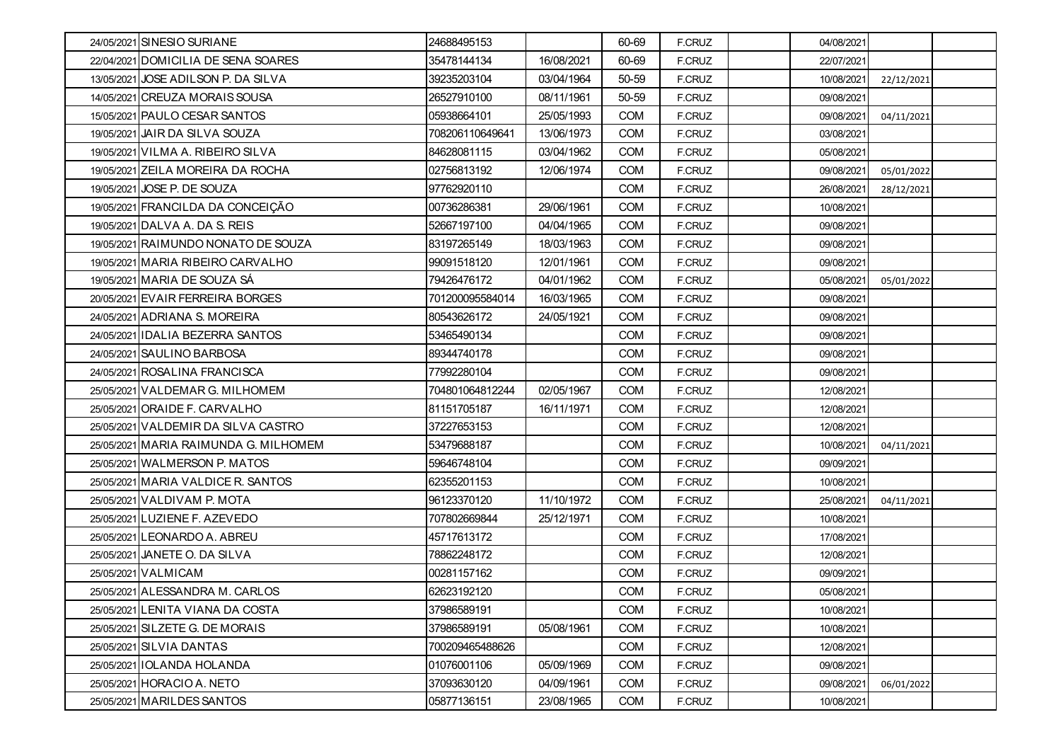| 24/05/2021 SINESIO SURIANE            | 24688495153     |            | 60-69      | F.CRUZ | 04/08/2021 |            |  |
|---------------------------------------|-----------------|------------|------------|--------|------------|------------|--|
| 22/04/2021 DOMICILIA DE SENA SOARES   | 35478144134     | 16/08/2021 | 60-69      | F.CRUZ | 22/07/2021 |            |  |
| 13/05/2021 JOSE ADILSON P. DA SILVA   | 39235203104     | 03/04/1964 | 50-59      | F.CRUZ | 10/08/2021 | 22/12/2021 |  |
| 14/05/2021 CREUZA MORAIS SOUSA        | 26527910100     | 08/11/1961 | 50-59      | F.CRUZ | 09/08/2021 |            |  |
| 15/05/2021 PAULO CESAR SANTOS         | 05938664101     | 25/05/1993 | <b>COM</b> | F.CRUZ | 09/08/2021 | 04/11/2021 |  |
| 19/05/2021 JAIR DA SILVA SOUZA        | 708206110649641 | 13/06/1973 | <b>COM</b> | F.CRUZ | 03/08/2021 |            |  |
| 19/05/2021 VILMA A. RIBEIRO SILVA     | 84628081115     | 03/04/1962 | <b>COM</b> | F.CRUZ | 05/08/2021 |            |  |
| 19/05/2021 ZEILA MOREIRA DA ROCHA     | 02756813192     | 12/06/1974 | <b>COM</b> | F.CRUZ | 09/08/2021 | 05/01/2022 |  |
| 19/05/2021 JOSE P. DE SOUZA           | 97762920110     |            | <b>COM</b> | F.CRUZ | 26/08/2021 | 28/12/2021 |  |
| 19/05/2021 FRANCILDA DA CONCEIÇÃO     | 00736286381     | 29/06/1961 | <b>COM</b> | F.CRUZ | 10/08/2021 |            |  |
| 19/05/2021 DALVA A. DA S. REIS        | 52667197100     | 04/04/1965 | <b>COM</b> | F.CRUZ | 09/08/2021 |            |  |
| 19/05/2021 RAIMUNDO NONATO DE SOUZA   | 83197265149     | 18/03/1963 | <b>COM</b> | F.CRUZ | 09/08/2021 |            |  |
| 19/05/2021 MARIA RIBEIRO CARVALHO     | 99091518120     | 12/01/1961 | <b>COM</b> | F.CRUZ | 09/08/2021 |            |  |
| 19/05/2021 MARIA DE SOUZA SÁ          | 79426476172     | 04/01/1962 | COM        | F.CRUZ | 05/08/2021 | 05/01/2022 |  |
| 20/05/2021 EVAIR FERREIRA BORGES      | 701200095584014 | 16/03/1965 | <b>COM</b> | F.CRUZ | 09/08/2021 |            |  |
| 24/05/2021 ADRIANA S. MOREIRA         | 80543626172     | 24/05/1921 | <b>COM</b> | F.CRUZ | 09/08/2021 |            |  |
| 24/05/2021 IDALIA BEZERRA SANTOS      | 53465490134     |            | COM        | F.CRUZ | 09/08/2021 |            |  |
| 24/05/2021 SAULINO BARBOSA            | 89344740178     |            | COM        | F.CRUZ | 09/08/2021 |            |  |
| 24/05/2021 ROSALINA FRANCISCA         | 77992280104     |            | <b>COM</b> | F.CRUZ | 09/08/2021 |            |  |
| 25/05/2021 VALDEMAR G. MILHOMEM       | 704801064812244 | 02/05/1967 | <b>COM</b> | F.CRUZ | 12/08/2021 |            |  |
| 25/05/2021 ORAIDE F. CARVALHO         | 81151705187     | 16/11/1971 | <b>COM</b> | F.CRUZ | 12/08/2021 |            |  |
| 25/05/2021 VALDEMIR DA SILVA CASTRO   | 37227653153     |            | <b>COM</b> | F.CRUZ | 12/08/2021 |            |  |
| 25/05/2021 MARIA RAIMUNDA G. MILHOMEM | 53479688187     |            | COM        | F.CRUZ | 10/08/2021 | 04/11/2021 |  |
| 25/05/2021 WALMERSON P. MATOS         | 59646748104     |            | <b>COM</b> | F.CRUZ | 09/09/2021 |            |  |
| 25/05/2021 MARIA VALDICE R. SANTOS    | 62355201153     |            | <b>COM</b> | F.CRUZ | 10/08/2021 |            |  |
| 25/05/2021 VALDIVAM P. MOTA           | 96123370120     | 11/10/1972 | <b>COM</b> | F.CRUZ | 25/08/2021 | 04/11/2021 |  |
| 25/05/2021 LUZIENE F. AZEVEDO         | 707802669844    | 25/12/1971 | <b>COM</b> | F.CRUZ | 10/08/2021 |            |  |
| 25/05/2021 LEONARDO A. ABREU          | 45717613172     |            | <b>COM</b> | F.CRUZ | 17/08/2021 |            |  |
| 25/05/2021 JANETE O. DA SILVA         | 78862248172     |            | <b>COM</b> | F.CRUZ | 12/08/2021 |            |  |
| 25/05/2021 VALMICAM                   | 00281157162     |            | <b>COM</b> | F.CRUZ | 09/09/2021 |            |  |
| 25/05/2021 ALESSANDRA M. CARLOS       | 62623192120     |            | <b>COM</b> | F.CRUZ | 05/08/2021 |            |  |
| 25/05/2021 LENITA VIANA DA COSTA      | 37986589191     |            | <b>COM</b> | F.CRUZ | 10/08/2021 |            |  |
| 25/05/2021 SILZETE G. DE MORAIS       | 37986589191     | 05/08/1961 | COM        | F.CRUZ | 10/08/2021 |            |  |
| 25/05/2021 SILVIA DANTAS              | 700209465488626 |            | <b>COM</b> | F.CRUZ | 12/08/2021 |            |  |
| 25/05/2021   IOLANDA HOLANDA          | 01076001106     | 05/09/1969 | <b>COM</b> | F.CRUZ | 09/08/2021 |            |  |
| 25/05/2021 HORACIO A. NETO            | 37093630120     | 04/09/1961 | <b>COM</b> | F.CRUZ | 09/08/2021 | 06/01/2022 |  |
| 25/05/2021 MARILDES SANTOS            | 05877136151     | 23/08/1965 | COM        | F.CRUZ | 10/08/2021 |            |  |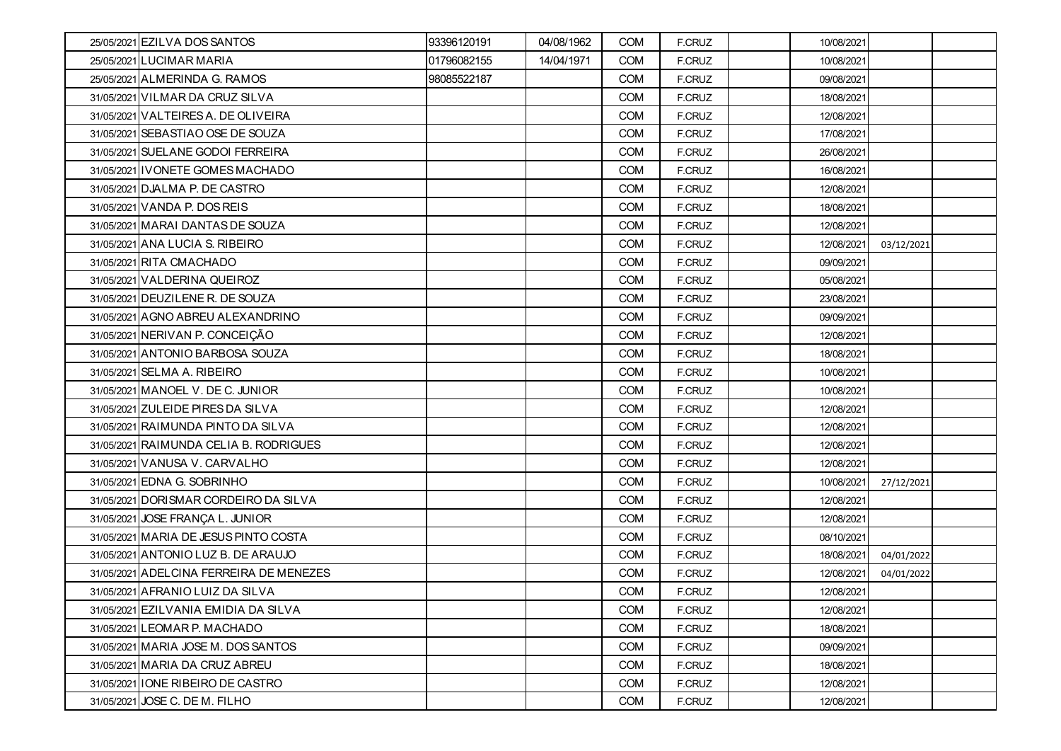| 25/05/2021 EZILVA DOS SANTOS            | 93396120191 | 04/08/1962 | COM        | F.CRUZ | 10/08/2021 |            |  |
|-----------------------------------------|-------------|------------|------------|--------|------------|------------|--|
| 25/05/2021 LUCIMAR MARIA                | 01796082155 | 14/04/1971 | <b>COM</b> | F.CRUZ | 10/08/2021 |            |  |
| 25/05/2021 ALMERINDA G. RAMOS           | 98085522187 |            | <b>COM</b> | F.CRUZ | 09/08/2021 |            |  |
| 31/05/2021 VILMAR DA CRUZ SILVA         |             |            | <b>COM</b> | F.CRUZ | 18/08/2021 |            |  |
| 31/05/2021 VALTEIRES A. DE OLIVEIRA     |             |            | <b>COM</b> | F.CRUZ | 12/08/2021 |            |  |
| 31/05/2021 SEBASTIAO OSE DE SOUZA       |             |            | <b>COM</b> | F.CRUZ | 17/08/2021 |            |  |
| 31/05/2021 SUELANE GODOI FERREIRA       |             |            | <b>COM</b> | F.CRUZ | 26/08/2021 |            |  |
| 31/05/2021 IVONETE GOMES MACHADO        |             |            | <b>COM</b> | F.CRUZ | 16/08/2021 |            |  |
| 31/05/2021 DJALMA P. DE CASTRO          |             |            | COM        | F.CRUZ | 12/08/2021 |            |  |
| 31/05/2021 VANDA P. DOS REIS            |             |            | COM        | F.CRUZ | 18/08/2021 |            |  |
| 31/05/2021 MARAI DANTAS DE SOUZA        |             |            | <b>COM</b> | F.CRUZ | 12/08/2021 |            |  |
| 31/05/2021 ANA LUCIA S. RIBEIRO         |             |            | <b>COM</b> | F.CRUZ | 12/08/2021 | 03/12/2021 |  |
| 31/05/2021 RITA CMACHADO                |             |            | <b>COM</b> | F.CRUZ | 09/09/2021 |            |  |
| 31/05/2021 VALDERINA QUEIROZ            |             |            | <b>COM</b> | F.CRUZ | 05/08/2021 |            |  |
| 31/05/2021 DEUZILENE R. DE SOUZA        |             |            | COM        | F.CRUZ | 23/08/2021 |            |  |
| 31/05/2021 AGNO ABREU ALEXANDRINO       |             |            | <b>COM</b> | F.CRUZ | 09/09/2021 |            |  |
| 31/05/2021 NERIVAN P. CONCEIÇÃO         |             |            | <b>COM</b> | F.CRUZ | 12/08/2021 |            |  |
| 31/05/2021 ANTONIO BARBOSA SOUZA        |             |            | <b>COM</b> | F.CRUZ | 18/08/2021 |            |  |
| 31/05/2021 SELMA A. RIBEIRO             |             |            | <b>COM</b> | F.CRUZ | 10/08/2021 |            |  |
| 31/05/2021 MANOEL V. DE C. JUNIOR       |             |            | <b>COM</b> | F.CRUZ | 10/08/2021 |            |  |
| 31/05/2021 ZULEIDE PIRES DA SILVA       |             |            | <b>COM</b> | F.CRUZ | 12/08/2021 |            |  |
| 31/05/2021 RAIMUNDA PINTO DA SILVA      |             |            | COM        | F.CRUZ | 12/08/2021 |            |  |
| 31/05/2021 RAIMUNDA CELIA B. RODRIGUES  |             |            | <b>COM</b> | F.CRUZ | 12/08/2021 |            |  |
| 31/05/2021 VANUSA V. CARVALHO           |             |            | <b>COM</b> | F.CRUZ | 12/08/2021 |            |  |
| 31/05/2021 EDNA G. SOBRINHO             |             |            | <b>COM</b> | F.CRUZ | 10/08/2021 | 27/12/2021 |  |
| 31/05/2021 DORISMAR CORDEIRO DA SILVA   |             |            | <b>COM</b> | F.CRUZ | 12/08/2021 |            |  |
| 31/05/2021 JOSE FRANÇA L. JUNIOR        |             |            | <b>COM</b> | F.CRUZ | 12/08/2021 |            |  |
| 31/05/2021 MARIA DE JESUS PINTO COSTA   |             |            | <b>COM</b> | F.CRUZ | 08/10/2021 |            |  |
| 31/05/2021 ANTONIO LUZ B. DE ARAUJO     |             |            | <b>COM</b> | F.CRUZ | 18/08/2021 | 04/01/2022 |  |
| 31/05/2021 ADELCINA FERREIRA DE MENEZES |             |            | <b>COM</b> | F.CRUZ | 12/08/2021 | 04/01/2022 |  |
| 31/05/2021 AFRANIO LUIZ DA SILVA        |             |            | COM        | F.CRUZ | 12/08/2021 |            |  |
| 31/05/2021 EZILVANIA EMIDIA DA SILVA    |             |            | <b>COM</b> | F.CRUZ | 12/08/2021 |            |  |
| 31/05/2021 LEOMAR P. MACHADO            |             |            | COM        | F.CRUZ | 18/08/2021 |            |  |
| 31/05/2021 MARIA JOSE M. DOS SANTOS     |             |            | <b>COM</b> | F.CRUZ | 09/09/2021 |            |  |
| 31/05/2021 MARIA DA CRUZ ABREU          |             |            | <b>COM</b> | F.CRUZ | 18/08/2021 |            |  |
| 31/05/2021 I ONE RIBEIRO DE CASTRO      |             |            | <b>COM</b> | F.CRUZ | 12/08/2021 |            |  |
| 31/05/2021 JOSE C. DE M. FILHO          |             |            | <b>COM</b> | F.CRUZ | 12/08/2021 |            |  |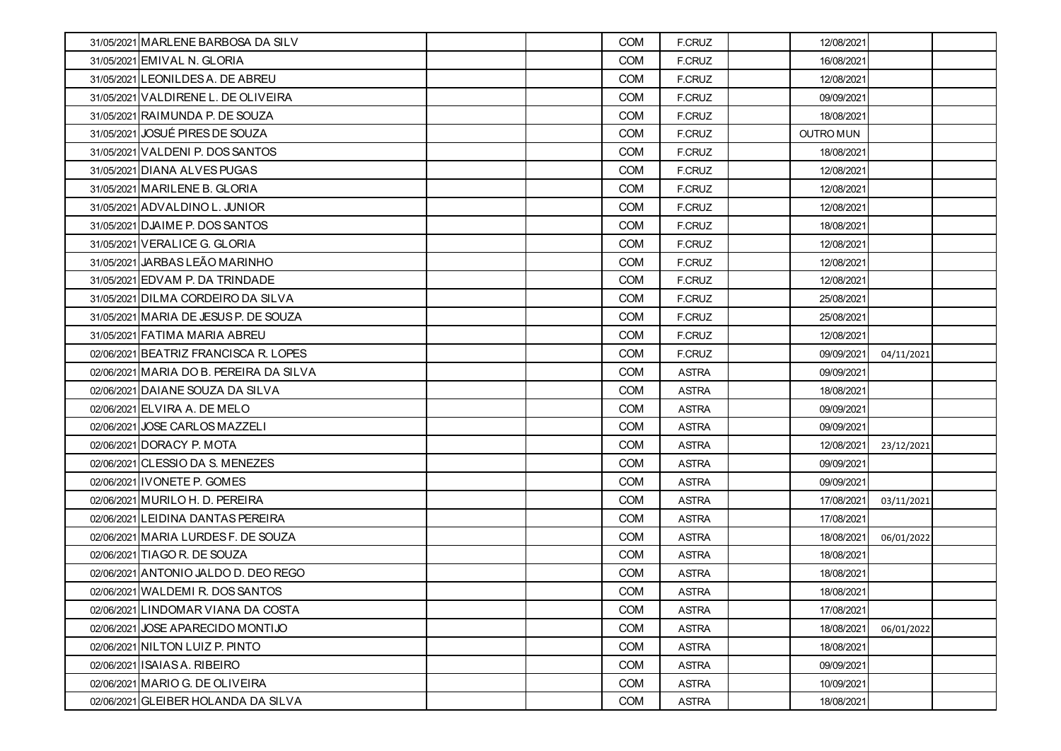| 31/05/2021 MARLENE BARBOSA DA SILV      | <b>COM</b> | F.CRUZ        | 12/08/2021       |            |  |
|-----------------------------------------|------------|---------------|------------------|------------|--|
| 31/05/2021 EMIVAL N. GLORIA             | <b>COM</b> | F.CRUZ        | 16/08/2021       |            |  |
| 31/05/2021 LEONILDES A. DE ABREU        | <b>COM</b> | F.CRUZ        | 12/08/2021       |            |  |
| 31/05/2021 VALDIRENE L. DE OLIVEIRA     | <b>COM</b> | F.CRUZ        | 09/09/2021       |            |  |
| 31/05/2021 RAIMUNDA P. DE SOUZA         | <b>COM</b> | F.CRUZ        | 18/08/2021       |            |  |
| 31/05/2021 JOSUÉ PIRES DE SOUZA         | <b>COM</b> | F.CRUZ        | <b>OUTRO MUN</b> |            |  |
| 31/05/2021 VALDENI P. DOS SANTOS        | <b>COM</b> | F.CRUZ        | 18/08/2021       |            |  |
| 31/05/2021 DIANA ALVES PUGAS            | <b>COM</b> | F.CRUZ        | 12/08/2021       |            |  |
| 31/05/2021 MARILENE B. GLORIA           | <b>COM</b> | F.CRUZ        | 12/08/2021       |            |  |
| 31/05/2021 ADVALDINO L. JUNIOR          | <b>COM</b> | <b>F.CRUZ</b> | 12/08/2021       |            |  |
| 31/05/2021 DJAIME P. DOS SANTOS         | <b>COM</b> | F.CRUZ        | 18/08/2021       |            |  |
| 31/05/2021 VERALICE G. GLORIA           | <b>COM</b> | F.CRUZ        | 12/08/2021       |            |  |
| 31/05/2021 JARBAS LEÃO MARINHO          | <b>COM</b> | F.CRUZ        | 12/08/2021       |            |  |
| 31/05/2021 EDVAM P. DA TRINDADE         | <b>COM</b> | F.CRUZ        | 12/08/2021       |            |  |
| 31/05/2021 DILMA CORDEIRO DA SILVA      | <b>COM</b> | F.CRUZ        | 25/08/2021       |            |  |
| 31/05/2021 MARIA DE JESUS P. DE SOUZA   | <b>COM</b> | F.CRUZ        | 25/08/2021       |            |  |
| 31/05/2021 FATIMA MARIA ABREU           | <b>COM</b> | F.CRUZ        | 12/08/2021       |            |  |
| 02/06/2021 BEATRIZ FRANCISCA R. LOPES   | <b>COM</b> | F.CRUZ        | 09/09/2021       | 04/11/2021 |  |
| 02/06/2021 MARIA DO B. PEREIRA DA SILVA | <b>COM</b> | <b>ASTRA</b>  | 09/09/2021       |            |  |
| 02/06/2021 DAIANE SOUZA DA SILVA        | <b>COM</b> | <b>ASTRA</b>  | 18/08/2021       |            |  |
| 02/06/2021 ELVIRA A. DE MELO            | <b>COM</b> | <b>ASTRA</b>  | 09/09/2021       |            |  |
| 02/06/2021 JOSE CARLOS MAZZELI          | <b>COM</b> | <b>ASTRA</b>  | 09/09/2021       |            |  |
| 02/06/2021 DORACY P. MOTA               | <b>COM</b> | <b>ASTRA</b>  | 12/08/2021       | 23/12/2021 |  |
| 02/06/2021 CLESSIO DA S. MENEZES        | <b>COM</b> | <b>ASTRA</b>  | 09/09/2021       |            |  |
| 02/06/2021 IVONETE P. GOMES             | <b>COM</b> | <b>ASTRA</b>  | 09/09/2021       |            |  |
| 02/06/2021 MURILO H. D. PEREIRA         | <b>COM</b> | <b>ASTRA</b>  | 17/08/2021       | 03/11/2021 |  |
| 02/06/2021 LEIDINA DANTAS PEREIRA       | <b>COM</b> | <b>ASTRA</b>  | 17/08/2021       |            |  |
| 02/06/2021 MARIA LURDES F. DE SOUZA     | <b>COM</b> | <b>ASTRA</b>  | 18/08/2021       | 06/01/2022 |  |
| 02/06/2021 TIAGO R. DE SOUZA            | <b>COM</b> | <b>ASTRA</b>  | 18/08/2021       |            |  |
| 02/06/2021 ANTONIO JALDO D. DEO REGO    | <b>COM</b> | <b>ASTRA</b>  | 18/08/2021       |            |  |
| 02/06/2021 WALDEMIR. DOS SANTOS         | <b>COM</b> | <b>ASTRA</b>  | 18/08/2021       |            |  |
| 02/06/2021 LINDOMAR VIANA DA COSTA      | <b>COM</b> | <b>ASTRA</b>  | 17/08/2021       |            |  |
| 02/06/2021 JOSE APARECIDO MONTIJO       | <b>COM</b> | <b>ASTRA</b>  | 18/08/2021       | 06/01/2022 |  |
| 02/06/2021 NILTON LUIZ P. PINTO         | <b>COM</b> | <b>ASTRA</b>  | 18/08/2021       |            |  |
| 02/06/2021 ISAIAS A. RIBEIRO            | <b>COM</b> | <b>ASTRA</b>  | 09/09/2021       |            |  |
| 02/06/2021 MARIO G. DE OLIVEIRA         | <b>COM</b> | <b>ASTRA</b>  | 10/09/2021       |            |  |
| 02/06/2021 GLEIBER HOLANDA DA SILVA     | <b>COM</b> | <b>ASTRA</b>  | 18/08/2021       |            |  |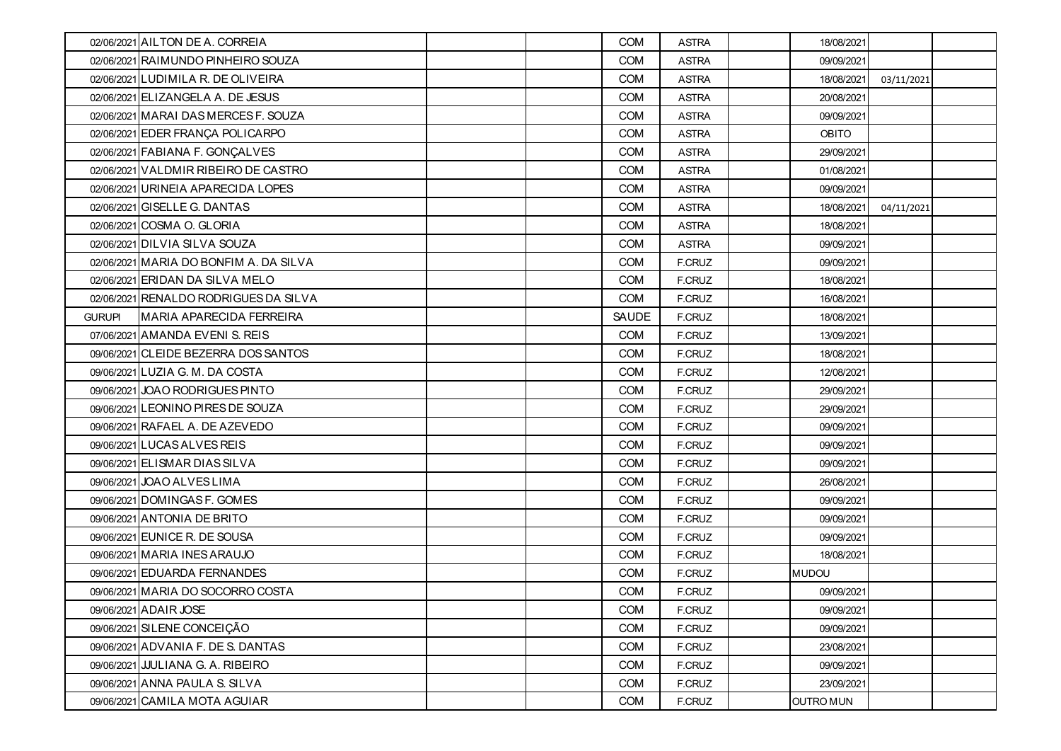|               | 02/06/2021 AILTON DE A. CORREIA        | <b>COM</b>   | <b>ASTRA</b>  | 18/08/2021       |            |  |
|---------------|----------------------------------------|--------------|---------------|------------------|------------|--|
|               | 02/06/2021 RAIMUNDO PINHEIRO SOUZA     | COM          | <b>ASTRA</b>  | 09/09/2021       |            |  |
|               | 02/06/2021 LUDIMILA R. DE OLIVEIRA     | <b>COM</b>   | <b>ASTRA</b>  | 18/08/2021       | 03/11/2021 |  |
|               | 02/06/2021 ELIZANGELA A. DE JESUS      | <b>COM</b>   | <b>ASTRA</b>  | 20/08/2021       |            |  |
|               | 02/06/2021 MARAI DAS MERCES F. SOUZA   | <b>COM</b>   | <b>ASTRA</b>  | 09/09/2021       |            |  |
|               | 02/06/2021 EDER FRANÇA POLICARPO       | <b>COM</b>   | <b>ASTRA</b>  | <b>OBITO</b>     |            |  |
|               | 02/06/2021 FABIANA F. GONÇALVES        | <b>COM</b>   | <b>ASTRA</b>  | 29/09/2021       |            |  |
|               | 02/06/2021 VALDMIR RIBEIRO DE CASTRO   | <b>COM</b>   | <b>ASTRA</b>  | 01/08/2021       |            |  |
|               | 02/06/2021 URINEIA APARECIDA LOPES     | <b>COM</b>   | <b>ASTRA</b>  | 09/09/2021       |            |  |
|               | 02/06/2021 GISELLE G. DANTAS           | <b>COM</b>   | <b>ASTRA</b>  | 18/08/2021       | 04/11/2021 |  |
|               | 02/06/2021 COSMA O. GLORIA             | <b>COM</b>   | <b>ASTRA</b>  | 18/08/2021       |            |  |
|               | 02/06/2021 DILVIA SILVA SOUZA          | <b>COM</b>   | <b>ASTRA</b>  | 09/09/2021       |            |  |
|               | 02/06/2021 MARIA DO BONFIM A. DA SILVA | <b>COM</b>   | F.CRUZ        | 09/09/2021       |            |  |
|               | 02/06/2021 ERIDAN DA SILVA MELO        | COM          | F.CRUZ        | 18/08/2021       |            |  |
|               | 02/06/2021 RENALDO RODRIGUES DA SILVA  | <b>COM</b>   | F.CRUZ        | 16/08/2021       |            |  |
| <b>GURUPI</b> | <b>MARIA APARECIDA FERREIRA</b>        | <b>SAUDE</b> | F.CRUZ        | 18/08/2021       |            |  |
|               | 07/06/2021 AMANDA EVENI S. REIS        | <b>COM</b>   | F.CRUZ        | 13/09/2021       |            |  |
|               | 09/06/2021 CLEIDE BEZERRA DOS SANTOS   | <b>COM</b>   | F.CRUZ        | 18/08/2021       |            |  |
|               | 09/06/2021 LUZIA G. M. DA COSTA        | <b>COM</b>   | F.CRUZ        | 12/08/2021       |            |  |
|               | 09/06/2021 JOAO RODRIGUES PINTO        | <b>COM</b>   | <b>F.CRUZ</b> | 29/09/2021       |            |  |
|               | 09/06/2021 LEONINO PIRES DE SOUZA      | <b>COM</b>   | F.CRUZ        | 29/09/2021       |            |  |
|               | 09/06/2021 RAFAEL A. DE AZEVEDO        | <b>COM</b>   | F.CRUZ        | 09/09/2021       |            |  |
|               | 09/06/2021 LUCAS ALVES REIS            | <b>COM</b>   | F.CRUZ        | 09/09/2021       |            |  |
|               | 09/06/2021 ELISMAR DIAS SILVA          | <b>COM</b>   | F.CRUZ        | 09/09/2021       |            |  |
|               | 09/06/2021 JOAO ALVES LIMA             | <b>COM</b>   | F.CRUZ        | 26/08/2021       |            |  |
|               | 09/06/2021 DOMINGAS F. GOMES           | <b>COM</b>   | F.CRUZ        | 09/09/2021       |            |  |
|               | 09/06/2021 ANTONIA DE BRITO            | <b>COM</b>   | F.CRUZ        | 09/09/2021       |            |  |
|               | 09/06/2021 EUNICE R. DE SOUSA          | <b>COM</b>   | F.CRUZ        | 09/09/2021       |            |  |
|               | 09/06/2021 MARIA INES ARAUJO           | <b>COM</b>   | F.CRUZ        | 18/08/2021       |            |  |
|               | 09/06/2021 EDUARDA FERNANDES           | <b>COM</b>   | F.CRUZ        | <b>MUDOU</b>     |            |  |
|               | 09/06/2021 MARIA DO SOCORRO COSTA      | <b>COM</b>   | F.CRUZ        | 09/09/2021       |            |  |
|               | 09/06/2021 ADAIR JOSE                  | COM          | F.CRUZ        | 09/09/2021       |            |  |
|               | 09/06/2021 SILENE CONCEIÇÃO            | COM          | F.CRUZ        | 09/09/2021       |            |  |
|               | 09/06/2021 ADVANIA F. DE S. DANTAS     | COM          | F.CRUZ        | 23/08/2021       |            |  |
|               | 09/06/2021 JJULIANA G. A. RIBEIRO      | <b>COM</b>   | F.CRUZ        | 09/09/2021       |            |  |
|               | 09/06/2021 ANNA PAULA S. SILVA         | COM          | F.CRUZ        | 23/09/2021       |            |  |
|               | 09/06/2021 CAMILA MOTA AGUIAR          | <b>COM</b>   | F.CRUZ        | <b>OUTRO MUN</b> |            |  |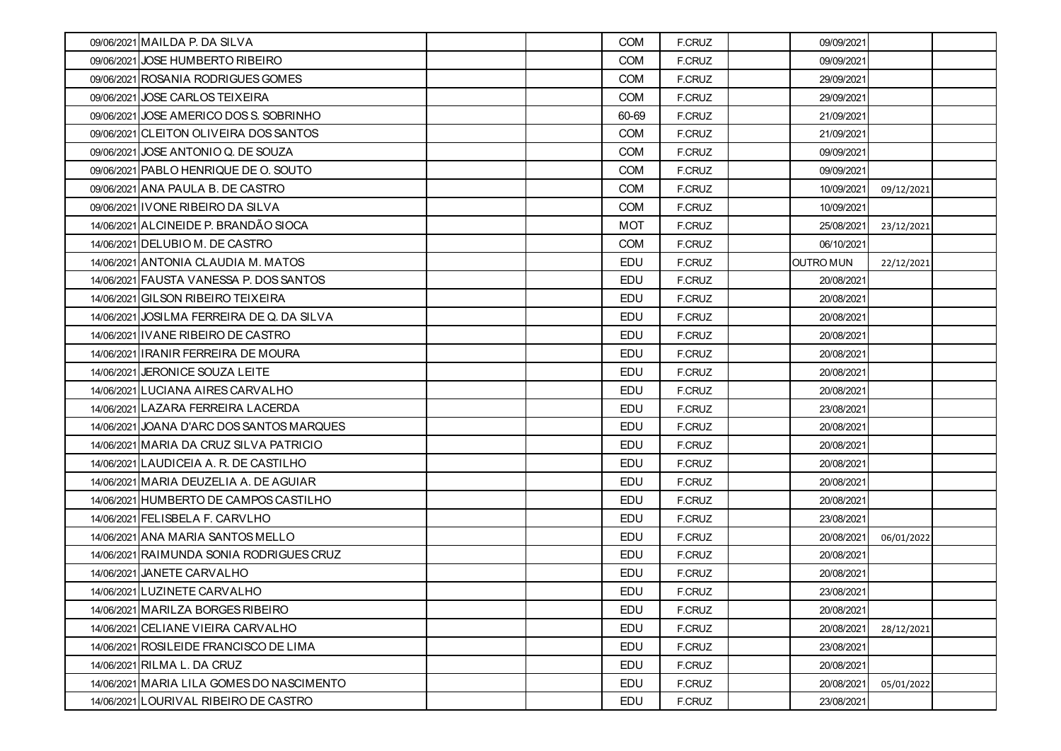| 09/06/2021 MAILDA P. DA SILVA              | <b>COM</b> | F.CRUZ        | 09/09/2021       |            |  |
|--------------------------------------------|------------|---------------|------------------|------------|--|
| 09/06/2021 JOSE HUMBERTO RIBEIRO           | <b>COM</b> | F.CRUZ        | 09/09/2021       |            |  |
| 09/06/2021 ROSANIA RODRIGUES GOMES         | <b>COM</b> | F.CRUZ        | 29/09/2021       |            |  |
| 09/06/2021 JOSE CARLOS TEIXEIRA            | <b>COM</b> | F.CRUZ        | 29/09/2021       |            |  |
| 09/06/2021 JOSE AMERICO DOS S. SOBRINHO    | 60-69      | F.CRUZ        | 21/09/2021       |            |  |
| 09/06/2021 CLEITON OLIVEIRA DOS SANTOS     | <b>COM</b> | F.CRUZ        | 21/09/2021       |            |  |
| 09/06/2021 JOSE ANTONIO Q. DE SOUZA        | <b>COM</b> | F.CRUZ        | 09/09/2021       |            |  |
| 09/06/2021 PABLO HENRIQUE DE O. SOUTO      | <b>COM</b> | F.CRUZ        | 09/09/2021       |            |  |
| 09/06/2021 ANA PAULA B. DE CASTRO          | <b>COM</b> | F.CRUZ        | 10/09/2021       | 09/12/2021 |  |
| 09/06/2021 IVONE RIBEIRO DA SILVA          | <b>COM</b> | F.CRUZ        | 10/09/2021       |            |  |
| 14/06/2021 ALCINEIDE P. BRANDÃO SIOCA      | MOT        | F.CRUZ        | 25/08/2021       | 23/12/2021 |  |
| 14/06/2021 DELUBIO M. DE CASTRO            | <b>COM</b> | F.CRUZ        | 06/10/2021       |            |  |
| 14/06/2021 ANTONIA CLAUDIA M. MATOS        | <b>EDU</b> | F.CRUZ        | <b>OUTRO MUN</b> | 22/12/2021 |  |
| 14/06/2021 FAUSTA VANESSA P. DOS SANTOS    | <b>EDU</b> | F.CRUZ        | 20/08/2021       |            |  |
| 14/06/2021 GILSON RIBEIRO TEIXEIRA         | EDU        | F.CRUZ        | 20/08/2021       |            |  |
| 14/06/2021 JOSILMA FERREIRA DE Q. DA SILVA | EDU        | F.CRUZ        | 20/08/2021       |            |  |
| 14/06/2021 IVANE RIBEIRO DE CASTRO         | <b>EDU</b> | F.CRUZ        | 20/08/2021       |            |  |
| 14/06/2021 IRANIR FERREIRA DE MOURA        | <b>EDU</b> | F.CRUZ        | 20/08/2021       |            |  |
| 14/06/2021 JERONICE SOUZA LEITE            | <b>EDU</b> | F.CRUZ        | 20/08/2021       |            |  |
| 14/06/2021 LUCIANA AIRES CARVALHO          | <b>EDU</b> | F.CRUZ        | 20/08/2021       |            |  |
| 14/06/2021 LAZARA FERREIRA LACERDA         | <b>EDU</b> | F.CRUZ        | 23/08/2021       |            |  |
| 14/06/2021 JOANA D'ARC DOS SANTOS MARQUES  | EDU        | F.CRUZ        | 20/08/2021       |            |  |
| 14/06/2021 MARIA DA CRUZ SILVA PATRICIO    | <b>EDU</b> | F.CRUZ        | 20/08/2021       |            |  |
| 14/06/2021 LAUDICEIA A. R. DE CASTILHO     | <b>EDU</b> | F.CRUZ        | 20/08/2021       |            |  |
| 14/06/2021 MARIA DEUZELIA A. DE AGUIAR     | EDU        | F.CRUZ        | 20/08/2021       |            |  |
| 14/06/2021 HUMBERTO DE CAMPOS CASTILHO     | <b>EDU</b> | F.CRUZ        | 20/08/2021       |            |  |
| 14/06/2021 FELISBELA F. CARVLHO            | <b>EDU</b> | F.CRUZ        | 23/08/2021       |            |  |
| 14/06/2021 ANA MARIA SANTOS MELLO          | EDU        | F.CRUZ        | 20/08/2021       | 06/01/2022 |  |
| 14/06/2021 RAIMUNDA SONIA RODRIGUES CRUZ   | <b>EDU</b> | <b>F.CRUZ</b> | 20/08/2021       |            |  |
| 14/06/2021 JANETE CARVALHO                 | <b>EDU</b> | F.CRUZ        | 20/08/2021       |            |  |
| 14/06/2021 LUZINETE CARVALHO               | <b>EDU</b> | F.CRUZ        | 23/08/2021       |            |  |
| 14/06/2021 MARILZA BORGES RIBEIRO          | EDU        | F.CRUZ        | 20/08/2021       |            |  |
| 14/06/2021 CELIANE VIEIRA CARVALHO         | EDU        | F.CRUZ        | 20/08/2021       | 28/12/2021 |  |
| 14/06/2021 ROSILEIDE FRANCISCO DE LIMA     | <b>EDU</b> | F.CRUZ        | 23/08/2021       |            |  |
| 14/06/2021 RILMA L. DA CRUZ                | EDU        | F.CRUZ        | 20/08/2021       |            |  |
| 14/06/2021 MARIA LILA GOMES DO NASCIMENTO  | EDU        | F.CRUZ        | 20/08/2021       | 05/01/2022 |  |
| 14/06/2021 LOURIVAL RIBEIRO DE CASTRO      | EDU        | F.CRUZ        | 23/08/2021       |            |  |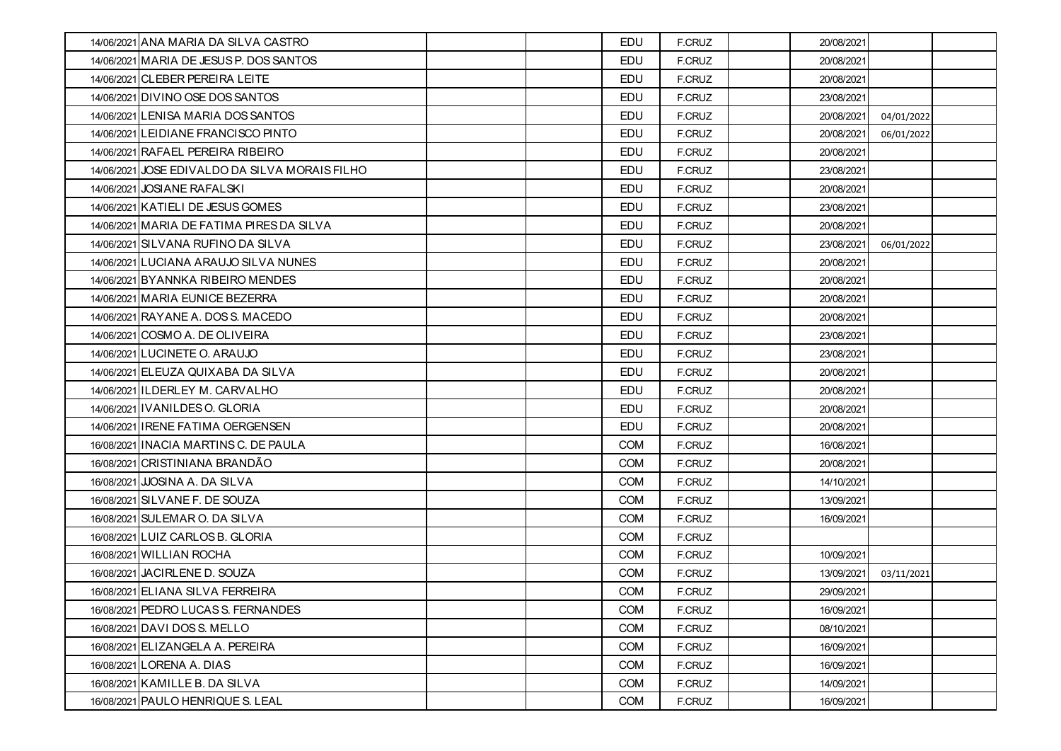| 14/06/2021 ANA MARIA DA SILVA CASTRO           | <b>EDU</b> | F.CRUZ        | 20/08/2021 |            |  |
|------------------------------------------------|------------|---------------|------------|------------|--|
| 14/06/2021 MARIA DE JESUS P. DOS SANTOS        | <b>EDU</b> | F.CRUZ        | 20/08/2021 |            |  |
| 14/06/2021 CLEBER PEREIRA LEITE                | EDU        | F.CRUZ        | 20/08/2021 |            |  |
| 14/06/2021 DIVINO OSE DOS SANTOS               | <b>EDU</b> | F.CRUZ        | 23/08/2021 |            |  |
| 14/06/2021 LENISA MARIA DOS SANTOS             | <b>EDU</b> | F.CRUZ        | 20/08/2021 | 04/01/2022 |  |
| 14/06/2021 LEIDIANE FRANCISCO PINTO            | EDU        | F.CRUZ        | 20/08/2021 | 06/01/2022 |  |
| 14/06/2021 RAFAEL PEREIRA RIBEIRO              | <b>EDU</b> | F.CRUZ        | 20/08/2021 |            |  |
| 14/06/2021 JOSE EDIVALDO DA SILVA MORAIS FILHO | <b>EDU</b> | F.CRUZ        | 23/08/2021 |            |  |
| 14/06/2021 JOSIANE RAFALSKI                    | EDU        | F.CRUZ        | 20/08/2021 |            |  |
| 14/06/2021 KATIELI DE JESUS GOMES              | EDU        | F.CRUZ        | 23/08/2021 |            |  |
| 14/06/2021 MARIA DE FATIMA PIRES DA SILVA      | EDU        | F.CRUZ        | 20/08/2021 |            |  |
| 14/06/2021 SILVANA RUFINO DA SILVA             | EDU        | F.CRUZ        | 23/08/2021 | 06/01/2022 |  |
| 14/06/2021 LUCIANA ARAUJO SILVA NUNES          | <b>EDU</b> | F.CRUZ        | 20/08/2021 |            |  |
| 14/06/2021 BYANNKA RIBEIRO MENDES              | <b>EDU</b> | F.CRUZ        | 20/08/2021 |            |  |
| 14/06/2021 MARIA EUNICE BEZERRA                | EDU        | F.CRUZ        | 20/08/2021 |            |  |
| 14/06/2021 RAYANE A, DOS S, MACEDO             | EDU        | F.CRUZ        | 20/08/2021 |            |  |
| 14/06/2021 COSMO A. DE OLIVEIRA                | <b>EDU</b> | <b>F.CRUZ</b> | 23/08/2021 |            |  |
| 14/06/2021 LUCINETE O. ARAUJO                  | <b>EDU</b> | F.CRUZ        | 23/08/2021 |            |  |
| 14/06/2021 ELEUZA QUIXABA DA SILVA             | <b>EDU</b> | F.CRUZ        | 20/08/2021 |            |  |
| 14/06/2021 ILDERLEY M. CARVALHO                | <b>EDU</b> | F.CRUZ        | 20/08/2021 |            |  |
| 14/06/2021 IVANILDES O. GLORIA                 | <b>EDU</b> | F.CRUZ        | 20/08/2021 |            |  |
| 14/06/2021 IRENE FATIMA OERGENSEN              | EDU        | F.CRUZ        | 20/08/2021 |            |  |
| 16/08/2021 INACIA MARTINS C. DE PAULA          | <b>COM</b> | F.CRUZ        | 16/08/2021 |            |  |
| 16/08/2021 CRISTINIANA BRANDÃO                 | <b>COM</b> | F.CRUZ        | 20/08/2021 |            |  |
| 16/08/2021 JJOSINA A. DA SILVA                 | <b>COM</b> | F.CRUZ        | 14/10/2021 |            |  |
| 16/08/2021 SILVANE F. DE SOUZA                 | <b>COM</b> | F.CRUZ        | 13/09/2021 |            |  |
| 16/08/2021 SULEMAR O. DA SILVA                 | <b>COM</b> | F.CRUZ        | 16/09/2021 |            |  |
| 16/08/2021 LUIZ CARLOS B. GLORIA               | <b>COM</b> | F.CRUZ        |            |            |  |
| 16/08/2021 WILLIAN ROCHA                       | <b>COM</b> | F.CRUZ        | 10/09/2021 |            |  |
| 16/08/2021 JACIRLENE D. SOUZA                  | <b>COM</b> | F.CRUZ        | 13/09/2021 | 03/11/2021 |  |
| 16/08/2021 ELIANA SILVA FERREIRA               | <b>COM</b> | F.CRUZ        | 29/09/2021 |            |  |
| 16/08/2021 PEDRO LUCAS S. FERNANDES            | COM        | F.CRUZ        | 16/09/2021 |            |  |
| 16/08/2021 DAVI DOS S. MELLO                   | COM        | F.CRUZ        | 08/10/2021 |            |  |
| 16/08/2021 ELIZANGELA A. PEREIRA               | COM        | F.CRUZ        | 16/09/2021 |            |  |
| 16/08/2021 LORENA A. DIAS                      | <b>COM</b> | F.CRUZ        | 16/09/2021 |            |  |
| 16/08/2021 KAMILLE B. DA SILVA                 | <b>COM</b> | F.CRUZ        | 14/09/2021 |            |  |
| 16/08/2021 PAULO HENRIQUE S. LEAL              | <b>COM</b> | F.CRUZ        | 16/09/2021 |            |  |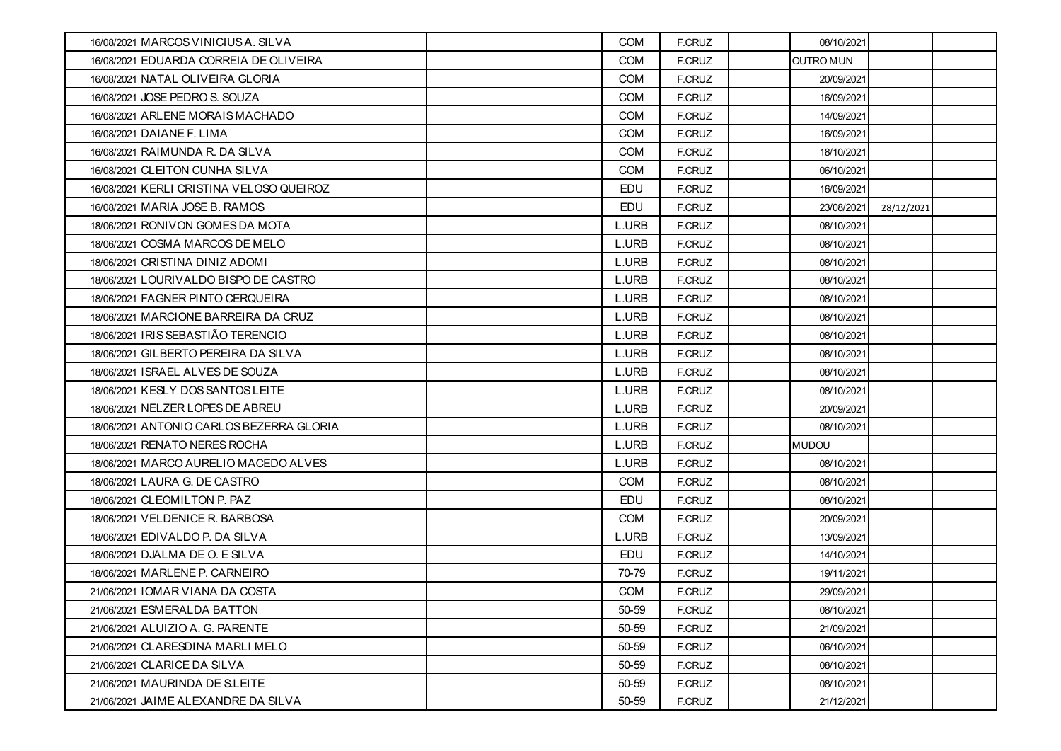| 16/08/2021 MARCOS VINICIUS A. SILVA      | <b>COM</b> | F.CRUZ | 08/10/2021       |            |  |
|------------------------------------------|------------|--------|------------------|------------|--|
| 16/08/2021 EDUARDA CORREIA DE OLIVEIRA   | <b>COM</b> | F.CRUZ | <b>OUTRO MUN</b> |            |  |
| 16/08/2021 NATAL OLIVEIRA GLORIA         | <b>COM</b> | F.CRUZ | 20/09/2021       |            |  |
| 16/08/2021 JOSE PEDRO S. SOUZA           | <b>COM</b> | F.CRUZ | 16/09/2021       |            |  |
| 16/08/2021 ARLENE MORAIS MACHADO         | <b>COM</b> | F.CRUZ | 14/09/2021       |            |  |
| 16/08/2021 DAIANE F. LIMA                | <b>COM</b> | F.CRUZ | 16/09/2021       |            |  |
| 16/08/2021 RAIMUNDA R. DA SILVA          | <b>COM</b> | F.CRUZ | 18/10/2021       |            |  |
| 16/08/2021 CLEITON CUNHA SILVA           | <b>COM</b> | F.CRUZ | 06/10/2021       |            |  |
| 16/08/2021 KERLI CRISTINA VELOSO QUEIROZ | EDU        | F.CRUZ | 16/09/2021       |            |  |
| 16/08/2021 MARIA JOSE B. RAMOS           | <b>EDU</b> | F.CRUZ | 23/08/2021       | 28/12/2021 |  |
| 18/06/2021 RONIVON GOMES DA MOTA         | L.URB      | F.CRUZ | 08/10/2021       |            |  |
| 18/06/2021 COSMA MARCOS DE MELO          | L.URB      | F.CRUZ | 08/10/2021       |            |  |
| 18/06/2021 CRISTINA DINIZ ADOMI          | L.URB      | F.CRUZ | 08/10/2021       |            |  |
| 18/06/2021 LOURIVALDO BISPO DE CASTRO    | L.URB      | F.CRUZ | 08/10/2021       |            |  |
| 18/06/2021 FAGNER PINTO CERQUEIRA        | L.URB      | F.CRUZ | 08/10/2021       |            |  |
| 18/06/2021 MARCIONE BARREIRA DA CRUZ     | L.URB      | F.CRUZ | 08/10/2021       |            |  |
| 18/06/2021 IRIS SEBASTIÃO TERENCIO       | L.URB      | F.CRUZ | 08/10/2021       |            |  |
| 18/06/2021 GILBERTO PEREIRA DA SILVA     | L.URB      | F.CRUZ | 08/10/2021       |            |  |
| 18/06/2021 ISRAEL ALVES DE SOUZA         | L.URB      | F.CRUZ | 08/10/2021       |            |  |
| 18/06/2021 KESLY DOS SANTOS LEITE        | L.URB      | F.CRUZ | 08/10/2021       |            |  |
| 18/06/2021 NELZER LOPES DE ABREU         | L.URB      | F.CRUZ | 20/09/2021       |            |  |
| 18/06/2021 ANTONIO CARLOS BEZERRA GLORIA | L.URB      | F.CRUZ | 08/10/2021       |            |  |
| 18/06/2021 RENATO NERES ROCHA            | L.URB      | F.CRUZ | <b>MUDOU</b>     |            |  |
| 18/06/2021 MARCO AURELIO MACEDO ALVES    | L.URB      | F.CRUZ | 08/10/2021       |            |  |
| 18/06/2021 LAURA G. DE CASTRO            | <b>COM</b> | F.CRUZ | 08/10/2021       |            |  |
| 18/06/2021 CLEOMILTON P. PAZ             | <b>EDU</b> | F.CRUZ | 08/10/2021       |            |  |
| 18/06/2021 VELDENICE R. BARBOSA          | <b>COM</b> | F.CRUZ | 20/09/2021       |            |  |
| 18/06/2021 EDIVALDO P. DA SILVA          | L.URB      | F.CRUZ | 13/09/2021       |            |  |
| 18/06/2021 DJALMA DE O. E SILVA          | <b>EDU</b> | F.CRUZ | 14/10/2021       |            |  |
| 18/06/2021 MARLENE P. CARNEIRO           | 70-79      | F.CRUZ | 19/11/2021       |            |  |
| 21/06/2021 IOMAR VIANA DA COSTA          | <b>COM</b> | F.CRUZ | 29/09/2021       |            |  |
| 21/06/2021 ESMERALDA BATTON              | 50-59      | F.CRUZ | 08/10/2021       |            |  |
| 21/06/2021 ALUIZIO A. G. PARENTE         | 50-59      | F.CRUZ | 21/09/2021       |            |  |
| 21/06/2021 CLARESDINA MARLI MELO         | 50-59      | F.CRUZ | 06/10/2021       |            |  |
| 21/06/2021 CLARICE DA SILVA              | 50-59      | F.CRUZ | 08/10/2021       |            |  |
| 21/06/2021 MAURINDA DE S.LEITE           | 50-59      | F.CRUZ | 08/10/2021       |            |  |
| 21/06/2021 JAIME ALEXANDRE DA SILVA      | 50-59      | F.CRUZ | 21/12/2021       |            |  |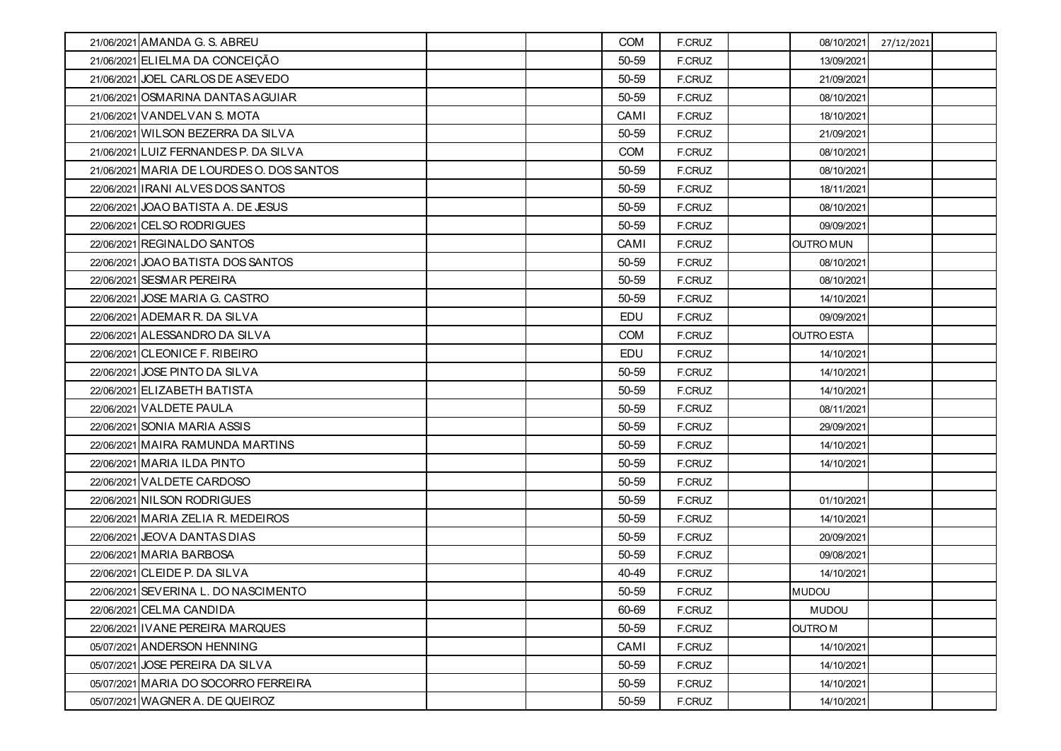| 21/06/2021 AMANDA G. S. ABREU             |  | <b>COM</b> | F.CRUZ | 08/10/2021        | 27/12/2021 |  |
|-------------------------------------------|--|------------|--------|-------------------|------------|--|
| 21/06/2021 ELIELMA DA CONCEIÇÃO           |  | 50-59      | F.CRUZ | 13/09/2021        |            |  |
| 21/06/2021 JOEL CARLOS DE ASEVEDO         |  | 50-59      | F.CRUZ | 21/09/2021        |            |  |
| 21/06/2021 OSMARINA DANTAS AGUIAR         |  | 50-59      | F.CRUZ | 08/10/2021        |            |  |
| 21/06/2021 VANDELVAN S. MOTA              |  | CAMI       | F.CRUZ | 18/10/2021        |            |  |
| 21/06/2021 WILSON BEZERRA DA SILVA        |  | 50-59      | F.CRUZ | 21/09/2021        |            |  |
| 21/06/2021 LUIZ FERNANDES P. DA SILVA     |  | <b>COM</b> | F.CRUZ | 08/10/2021        |            |  |
| 21/06/2021 MARIA DE LOURDES O. DOS SANTOS |  | 50-59      | F.CRUZ | 08/10/2021        |            |  |
| 22/06/2021 IRANI ALVES DOS SANTOS         |  | 50-59      | F.CRUZ | 18/11/2021        |            |  |
| 22/06/2021 JOAO BATISTA A. DE JESUS       |  | 50-59      | F.CRUZ | 08/10/2021        |            |  |
| 22/06/2021 CELSO RODRIGUES                |  | 50-59      | F.CRUZ | 09/09/2021        |            |  |
| 22/06/2021 REGINALDO SANTOS               |  | CAMI       | F.CRUZ | <b>OUTRO MUN</b>  |            |  |
| 22/06/2021 JOAO BATISTA DOS SANTOS        |  | 50-59      | F.CRUZ | 08/10/2021        |            |  |
| 22/06/2021 SESMAR PEREIRA                 |  | 50-59      | F.CRUZ | 08/10/2021        |            |  |
| 22/06/2021 JOSE MARIA G. CASTRO           |  | 50-59      | F.CRUZ | 14/10/2021        |            |  |
| 22/06/2021 ADEMAR R. DA SILVA             |  | <b>EDU</b> | F.CRUZ | 09/09/2021        |            |  |
| 22/06/2021 ALESSANDRO DA SILVA            |  | <b>COM</b> | F.CRUZ | <b>OUTRO ESTA</b> |            |  |
| 22/06/2021 CLEONICE F. RIBEIRO            |  | <b>EDU</b> | F.CRUZ | 14/10/2021        |            |  |
| 22/06/2021 JOSE PINTO DA SILVA            |  | 50-59      | F.CRUZ | 14/10/2021        |            |  |
| 22/06/2021 ELIZABETH BATISTA              |  | 50-59      | F.CRUZ | 14/10/2021        |            |  |
| 22/06/2021 VALDETE PAULA                  |  | 50-59      | F.CRUZ | 08/11/2021        |            |  |
| 22/06/2021 SONIA MARIA ASSIS              |  | 50-59      | F.CRUZ | 29/09/2021        |            |  |
| 22/06/2021 MAIRA RAMUNDA MARTINS          |  | 50-59      | F.CRUZ | 14/10/2021        |            |  |
| 22/06/2021 MARIA ILDA PINTO               |  | 50-59      | F.CRUZ | 14/10/2021        |            |  |
| 22/06/2021 VALDETE CARDOSO                |  | 50-59      | F.CRUZ |                   |            |  |
| 22/06/2021 NILSON RODRIGUES               |  | 50-59      | F.CRUZ | 01/10/2021        |            |  |
| 22/06/2021 MARIA ZELIA R. MEDEIROS        |  | 50-59      | F.CRUZ | 14/10/2021        |            |  |
| 22/06/2021 JEOVA DANTAS DIAS              |  | 50-59      | F.CRUZ | 20/09/2021        |            |  |
| 22/06/2021 MARIA BARBOSA                  |  | 50-59      | F.CRUZ | 09/08/2021        |            |  |
| 22/06/2021 CLEIDE P. DA SILVA             |  | 40-49      | F.CRUZ | 14/10/2021        |            |  |
| 22/06/2021 SEVERINA L. DO NASCIMENTO      |  | 50-59      | F.CRUZ | <b>MUDOU</b>      |            |  |
| 22/06/2021 CELMA CANDIDA                  |  | 60-69      | F.CRUZ | <b>MUDOU</b>      |            |  |
| 22/06/2021 IVANE PEREIRA MARQUES          |  | 50-59      | F.CRUZ | <b>OUTROM</b>     |            |  |
| 05/07/2021 ANDERSON HENNING               |  | CAMI       | F.CRUZ | 14/10/2021        |            |  |
| 05/07/2021 JOSE PEREIRA DA SILVA          |  | 50-59      | F.CRUZ | 14/10/2021        |            |  |
| 05/07/2021 MARIA DO SOCORRO FERREIRA      |  | 50-59      | F.CRUZ | 14/10/2021        |            |  |
| 05/07/2021 WAGNER A. DE QUEIROZ           |  | 50-59      | F.CRUZ | 14/10/2021        |            |  |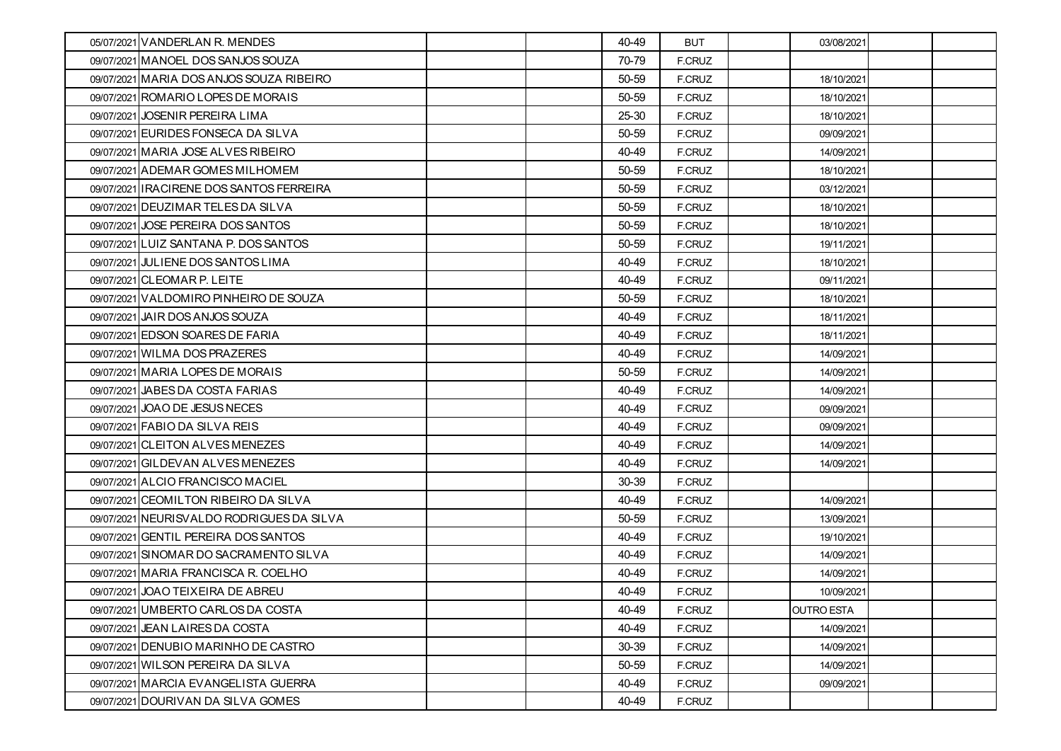| 05/07/2021 VANDERLAN R. MENDES            | 40-49 | <b>BUT</b>    | 03/08/2021        |  |
|-------------------------------------------|-------|---------------|-------------------|--|
| 09/07/2021 MANOEL DOS SANJOS SOUZA        | 70-79 | F.CRUZ        |                   |  |
| 09/07/2021 MARIA DOS ANJOS SOUZA RIBEIRO  | 50-59 | F.CRUZ        | 18/10/2021        |  |
| 09/07/2021 ROMARIO LOPES DE MORAIS        | 50-59 | F.CRUZ        | 18/10/2021        |  |
| 09/07/2021 JOSENIR PEREIRA LIMA           | 25-30 | F.CRUZ        | 18/10/2021        |  |
| 09/07/2021 EURIDES FONSECA DA SILVA       | 50-59 | F.CRUZ        | 09/09/2021        |  |
| 09/07/2021 MARIA JOSE ALVES RIBEIRO       | 40-49 | F.CRUZ        | 14/09/2021        |  |
| 09/07/2021 ADEMAR GOMES MILHOMEM          | 50-59 | F.CRUZ        | 18/10/2021        |  |
| 09/07/2021 IRACIRENE DOS SANTOS FERREIRA  | 50-59 | F.CRUZ        | 03/12/2021        |  |
| 09/07/2021 DEUZIMAR TELES DA SILVA        | 50-59 | F.CRUZ        | 18/10/2021        |  |
| 09/07/2021 JOSE PEREIRA DOS SANTOS        | 50-59 | F.CRUZ        | 18/10/2021        |  |
| 09/07/2021 LUIZ SANTANA P. DOS SANTOS     | 50-59 | F.CRUZ        | 19/11/2021        |  |
| 09/07/2021 JULIENE DOS SANTOS LIMA        | 40-49 | F.CRUZ        | 18/10/2021        |  |
| 09/07/2021 CLEOMAR P. LEITE               | 40-49 | F.CRUZ        | 09/11/2021        |  |
| 09/07/2021 VALDOMIRO PINHEIRO DE SOUZA    | 50-59 | F.CRUZ        | 18/10/2021        |  |
| 09/07/2021 JAIR DOS ANJOS SOUZA           | 40-49 | F.CRUZ        | 18/11/2021        |  |
| 09/07/2021 EDSON SOARES DE FARIA          | 40-49 | <b>F.CRUZ</b> | 18/11/2021        |  |
| 09/07/2021 WILMA DOS PRAZERES             | 40-49 | F.CRUZ        | 14/09/2021        |  |
| 09/07/2021 MARIA LOPES DE MORAIS          | 50-59 | F.CRUZ        | 14/09/2021        |  |
| 09/07/2021 JABES DA COSTA FARIAS          | 40-49 | F.CRUZ        | 14/09/2021        |  |
| 09/07/2021 JOAO DE JESUS NECES            | 40-49 | F.CRUZ        | 09/09/2021        |  |
| 09/07/2021 FABIO DA SILVA REIS            | 40-49 | F.CRUZ        | 09/09/2021        |  |
| 09/07/2021 CLEITON ALVES MENEZES          | 40-49 | F.CRUZ        | 14/09/2021        |  |
| 09/07/2021 GILDEVAN ALVES MENEZES         | 40-49 | F.CRUZ        | 14/09/2021        |  |
| 09/07/2021 ALCIO FRANCISCO MACIEL         | 30-39 | F.CRUZ        |                   |  |
| 09/07/2021 CEOMILTON RIBEIRO DA SILVA     | 40-49 | F.CRUZ        | 14/09/2021        |  |
| 09/07/2021 NEURISVALDO RODRIGUES DA SILVA | 50-59 | F.CRUZ        | 13/09/2021        |  |
| 09/07/2021 GENTIL PEREIRA DOS SANTOS      | 40-49 | F.CRUZ        | 19/10/2021        |  |
| 09/07/2021 SINOMAR DO SACRAMENTO SILVA    | 40-49 | <b>F.CRUZ</b> | 14/09/2021        |  |
| 09/07/2021 MARIA FRANCISCA R. COELHO      | 40-49 | F.CRUZ        | 14/09/2021        |  |
| 09/07/2021 JOAO TEIXEIRA DE ABREU         | 40-49 | F.CRUZ        | 10/09/2021        |  |
| 09/07/2021 UMBERTO CARLOS DA COSTA        | 40-49 | F.CRUZ        | <b>OUTRO ESTA</b> |  |
| 09/07/2021 JEAN LAIRES DA COSTA           | 40-49 | F.CRUZ        | 14/09/2021        |  |
| 09/07/2021 DENUBIO MARINHO DE CASTRO      | 30-39 | F.CRUZ        | 14/09/2021        |  |
| 09/07/2021 WILSON PEREIRA DA SILVA        | 50-59 | F.CRUZ        | 14/09/2021        |  |
| 09/07/2021 MARCIA EVANGELISTA GUERRA      | 40-49 | F.CRUZ        | 09/09/2021        |  |
| 09/07/2021 DOURIVAN DA SILVA GOMES        | 40-49 | F.CRUZ        |                   |  |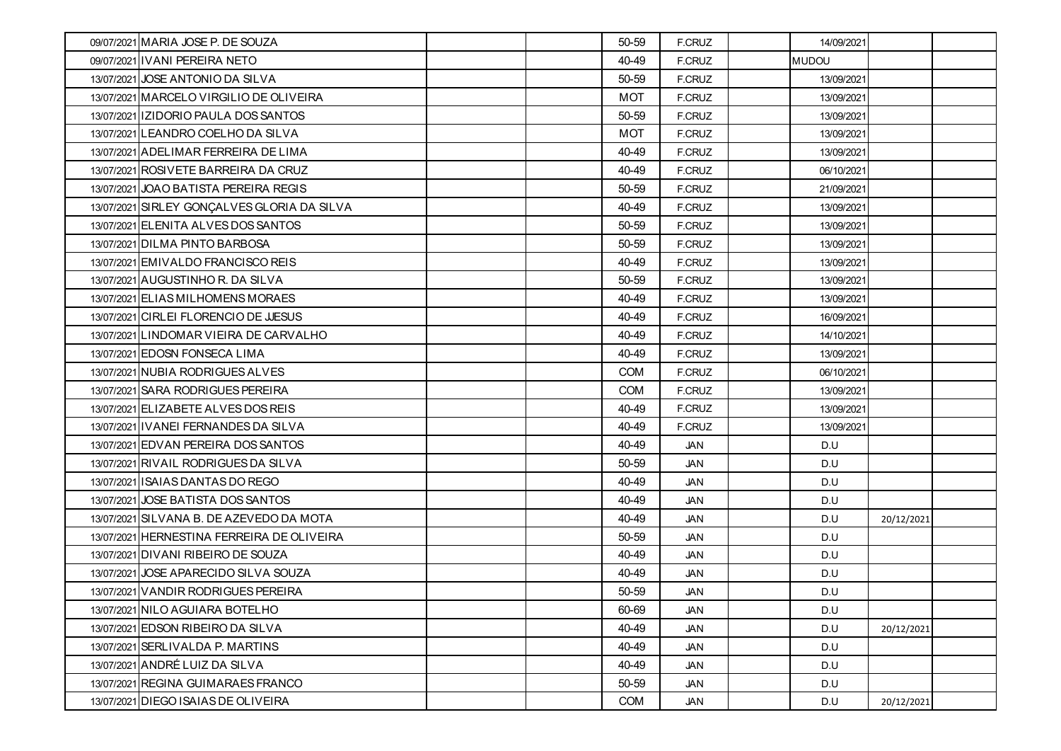| 09/07/2021 MARIA JOSE P. DE SOUZA           | 50-59      | F.CRUZ | 14/09/2021   |            |  |
|---------------------------------------------|------------|--------|--------------|------------|--|
| 09/07/2021 IVANI PEREIRA NETO               | 40-49      | F.CRUZ | <b>MUDOU</b> |            |  |
| 13/07/2021 JOSE ANTONIO DA SILVA            | 50-59      | F.CRUZ | 13/09/2021   |            |  |
| 13/07/2021 MARCELO VIRGILIO DE OLIVEIRA     | <b>MOT</b> | F.CRUZ | 13/09/2021   |            |  |
| 13/07/2021 IZIDORIO PAULA DOS SANTOS        | 50-59      | F.CRUZ | 13/09/2021   |            |  |
| 13/07/2021 LEANDRO COELHO DA SILVA          | <b>MOT</b> | F.CRUZ | 13/09/2021   |            |  |
| 13/07/2021 ADELIMAR FERREIRA DE LIMA        | 40-49      | F.CRUZ | 13/09/2021   |            |  |
| 13/07/2021 ROSIVETE BARREIRA DA CRUZ        | 40-49      | F.CRUZ | 06/10/2021   |            |  |
| 13/07/2021 JOAO BATISTA PEREIRA REGIS       | 50-59      | F.CRUZ | 21/09/2021   |            |  |
| 13/07/2021 SIRLEY GONÇALVES GLORIA DA SILVA | 40-49      | F.CRUZ | 13/09/2021   |            |  |
| 13/07/2021 ELENITA ALVES DOS SANTOS         | 50-59      | F.CRUZ | 13/09/2021   |            |  |
| 13/07/2021 DILMA PINTO BARBOSA              | 50-59      | F.CRUZ | 13/09/2021   |            |  |
| 13/07/2021 EMIVALDO FRANCISCO REIS          | 40-49      | F.CRUZ | 13/09/2021   |            |  |
| 13/07/2021 AUGUSTINHO R. DA SILVA           | 50-59      | F.CRUZ | 13/09/2021   |            |  |
| 13/07/2021 ELIAS MILHOMENS MORAES           | 40-49      | F.CRUZ | 13/09/2021   |            |  |
| 13/07/2021 CIRLEI FLORENCIO DE JUESUS       | 40-49      | F.CRUZ | 16/09/2021   |            |  |
| 13/07/2021 LINDOMAR VIEIRA DE CARVALHO      | 40-49      | F.CRUZ | 14/10/2021   |            |  |
| 13/07/2021 EDOSN FONSECA LIMA               | 40-49      | F.CRUZ | 13/09/2021   |            |  |
| 13/07/2021 NUBIA RODRIGUES ALVES            | <b>COM</b> | F.CRUZ | 06/10/2021   |            |  |
| 13/07/2021 SARA RODRIGUES PEREIRA           | <b>COM</b> | F.CRUZ | 13/09/2021   |            |  |
| 13/07/2021 ELIZABETE ALVES DOS REIS         | 40-49      | F.CRUZ | 13/09/2021   |            |  |
| 13/07/2021 IVANEL FERNANDES DA SILVA        | 40-49      | F.CRUZ | 13/09/2021   |            |  |
| 13/07/2021 EDVAN PEREIRA DOS SANTOS         | 40-49      | JAN    | D.U          |            |  |
| 13/07/2021 RIVAIL RODRIGUES DA SILVA        | 50-59      | JAN    | D.U          |            |  |
| 13/07/2021 ISAIAS DANTAS DO REGO            | 40-49      | JAN    | D.U          |            |  |
| 13/07/2021 JOSE BATISTA DOS SANTOS          | 40-49      | JAN    | D.U          |            |  |
| 13/07/2021 SILVANA B. DE AZEVEDO DA MOTA    | 40-49      | JAN    | D.U          | 20/12/2021 |  |
| 13/07/2021 HERNESTINA FERREIRA DE OLIVEIRA  | 50-59      | JAN    | D.U          |            |  |
| 13/07/2021 DIVANI RIBEIRO DE SOUZA          | 40-49      | JAN    | D.U          |            |  |
| 13/07/2021 JOSE APARECIDO SILVA SOUZA       | 40-49      | JAN    | D.U          |            |  |
| 13/07/2021 VANDIR RODRIGUES PEREIRA         | 50-59      | JAN    | D.U          |            |  |
| 13/07/2021 NILO AGUIARA BOTELHO             | 60-69      | JAN    | D.U          |            |  |
| 13/07/2021 EDSON RIBEIRO DA SILVA           | 40-49      | JAN    | D.U          | 20/12/2021 |  |
| 13/07/2021 SERLIVALDA P. MARTINS            | 40-49      | JAN    | D.U          |            |  |
| 13/07/2021 ANDRÉ LUIZ DA SILVA              | 40-49      | JAN    | D.U          |            |  |
| 13/07/2021 REGINA GUIMARAES FRANCO          | 50-59      | JAN    | D.U          |            |  |
| 13/07/2021 DIEGO ISAIAS DE OLIVEIRA         | COM        | JAN    | D.U          | 20/12/2021 |  |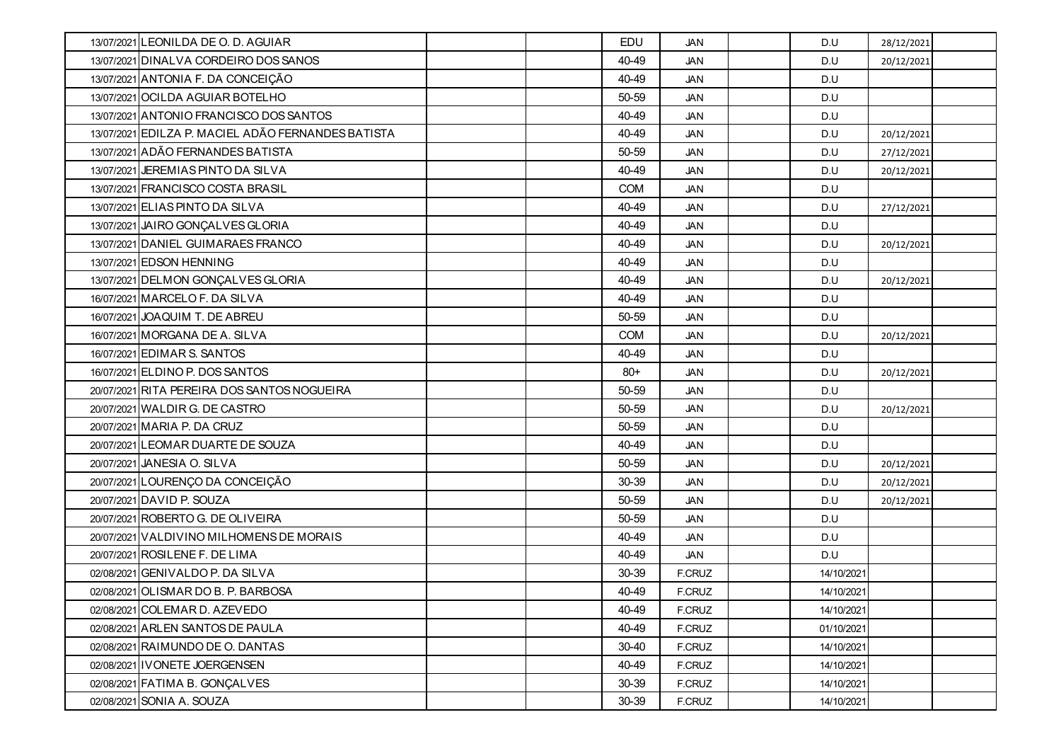| 13/07/2021 LEONILDA DE O. D. AGUIAR                |  | <b>EDU</b> | <b>JAN</b> | D.U        | 28/12/2021 |  |
|----------------------------------------------------|--|------------|------------|------------|------------|--|
| 13/07/2021 DINALVA CORDEIRO DOS SANOS              |  | 40-49      | JAN        | D.U        | 20/12/2021 |  |
| 13/07/2021 ANTONIA F. DA CONCEIÇÃO                 |  | 40-49      | JAN        | D.U        |            |  |
| 13/07/2021 OCILDA AGUIAR BOTELHO                   |  | 50-59      | <b>JAN</b> | D.U        |            |  |
| 13/07/2021 ANTONIO FRANCISCO DOS SANTOS            |  | 40-49      | <b>JAN</b> | D.U        |            |  |
| 13/07/2021 EDILZA P. MACIEL ADÃO FERNANDES BATISTA |  | 40-49      | <b>JAN</b> | D.U        | 20/12/2021 |  |
| 13/07/2021 ADÃO FERNANDES BATISTA                  |  | 50-59      | <b>JAN</b> | D.U        | 27/12/2021 |  |
| 13/07/2021 JEREMIAS PINTO DA SILVA                 |  | 40-49      | JAN        | D.U        | 20/12/2021 |  |
| 13/07/2021 FRANCISCO COSTA BRASIL                  |  | <b>COM</b> | JAN        | D.U        |            |  |
| 13/07/2021 ELIAS PINTO DA SILVA                    |  | 40-49      | <b>JAN</b> | D.U        | 27/12/2021 |  |
| 13/07/2021 JAIRO GONÇALVES GLORIA                  |  | 40-49      | JAN        | D.U        |            |  |
| 13/07/2021 DANIEL GUIMARAES FRANCO                 |  | 40-49      | <b>JAN</b> | D.U        | 20/12/2021 |  |
| 13/07/2021 EDSON HENNING                           |  | 40-49      | <b>JAN</b> | D.U        |            |  |
| 13/07/2021 DELMON GONÇALVES GLORIA                 |  | 40-49      | <b>JAN</b> | D.U        | 20/12/2021 |  |
| 16/07/2021 MARCELO F. DA SILVA                     |  | 40-49      | JAN        | D.U        |            |  |
| 16/07/2021 JOAQUIM T. DE ABREU                     |  | 50-59      | JAN        | D.U        |            |  |
| 16/07/2021 MORGANA DE A. SILVA                     |  | <b>COM</b> | <b>JAN</b> | D.U        | 20/12/2021 |  |
| 16/07/2021 EDIMAR S. SANTOS                        |  | 40-49      | JAN        | D.U        |            |  |
| 16/07/2021 ELDINO P. DOS SANTOS                    |  | $80+$      | <b>JAN</b> | D.U        | 20/12/2021 |  |
| 20/07/2021 RITA PEREIRA DOS SANTOS NOGUEIRA        |  | 50-59      | JAN        | D.U        |            |  |
| 20/07/2021 WALDIR G. DE CASTRO                     |  | 50-59      | JAN        | D.U        | 20/12/2021 |  |
| 20/07/2021 MARIA P. DA CRUZ                        |  | 50-59      | JAN        | D.U        |            |  |
| 20/07/2021 LEOMAR DUARTE DE SOUZA                  |  | 40-49      | <b>JAN</b> | D.U        |            |  |
| 20/07/2021 JANESIA O. SILVA                        |  | 50-59      | <b>JAN</b> | D.U        | 20/12/2021 |  |
| 20/07/2021 LOURENÇO DA CONCEIÇÃO                   |  | 30-39      | JAN        | D.U        | 20/12/2021 |  |
| 20/07/2021 DAVID P. SOUZA                          |  | 50-59      | <b>JAN</b> | D.U        | 20/12/2021 |  |
| 20/07/2021 ROBERTO G. DE OLIVEIRA                  |  | 50-59      | JAN        | D.U        |            |  |
| 20/07/2021 VALDIVINO MILHOMENS DE MORAIS           |  | 40-49      | JAN        | D.U        |            |  |
| 20/07/2021 ROSILENE F. DE LIMA                     |  | 40-49      | JAN        | D.U        |            |  |
| 02/08/2021 GENIVALDO P. DA SILVA                   |  | 30-39      | F.CRUZ     | 14/10/2021 |            |  |
| 02/08/2021 OLISMAR DO B. P. BARBOSA                |  | 40-49      | F.CRUZ     | 14/10/2021 |            |  |
| 02/08/2021 COLEMAR D. AZEVEDO                      |  | 40-49      | F.CRUZ     | 14/10/2021 |            |  |
| 02/08/2021 ARLEN SANTOS DE PAULA                   |  | 40-49      | F.CRUZ     | 01/10/2021 |            |  |
| 02/08/2021 RAIMUNDO DE O. DANTAS                   |  | 30-40      | F.CRUZ     | 14/10/2021 |            |  |
| 02/08/2021 IVONETE JOERGENSEN                      |  | 40-49      | F.CRUZ     | 14/10/2021 |            |  |
| 02/08/2021 FATIMA B. GONÇALVES                     |  | 30-39      | F.CRUZ     | 14/10/2021 |            |  |
| 02/08/2021 SONIA A. SOUZA                          |  | 30-39      | F.CRUZ     | 14/10/2021 |            |  |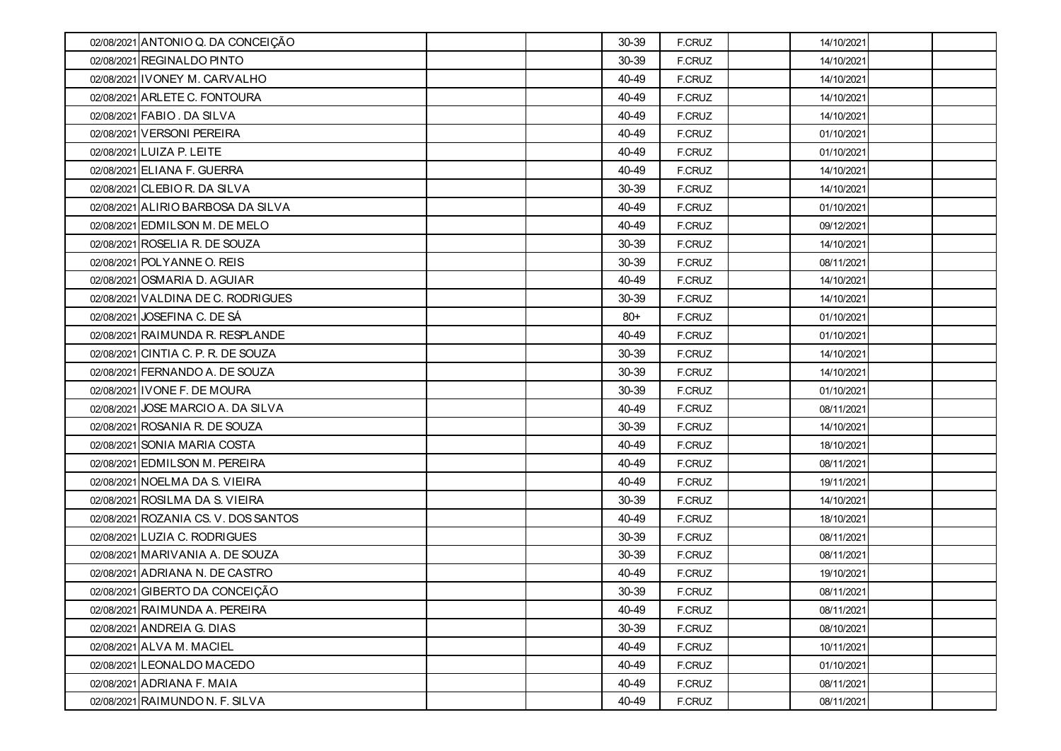| 02/08/2021 ANTONIO Q. DA CONCEIÇÃO   | 30-39 | F.CRUZ        | 14/10/2021 |  |
|--------------------------------------|-------|---------------|------------|--|
| 02/08/2021 REGINALDO PINTO           | 30-39 | F.CRUZ        | 14/10/2021 |  |
| 02/08/2021 IVONEY M. CARVALHO        | 40-49 | F.CRUZ        | 14/10/2021 |  |
| 02/08/2021 ARLETE C. FONTOURA        | 40-49 | F.CRUZ        | 14/10/2021 |  |
| 02/08/2021 FABIO . DA SILVA          | 40-49 | F.CRUZ        | 14/10/2021 |  |
| 02/08/2021 VERSONI PEREIRA           | 40-49 | F.CRUZ        | 01/10/2021 |  |
| 02/08/2021 LUIZA P. LEITE            | 40-49 | F.CRUZ        | 01/10/2021 |  |
| 02/08/2021 ELIANA F. GUERRA          | 40-49 | F.CRUZ        | 14/10/2021 |  |
| 02/08/2021 CLEBIO R. DA SILVA        | 30-39 | F.CRUZ        | 14/10/2021 |  |
| 02/08/2021 ALIRIO BARBOSA DA SILVA   | 40-49 | F.CRUZ        | 01/10/2021 |  |
| 02/08/2021 EDMILSON M. DE MELO       | 40-49 | F.CRUZ        | 09/12/2021 |  |
| 02/08/2021 ROSELIA R. DE SOUZA       | 30-39 | F.CRUZ        | 14/10/2021 |  |
| 02/08/2021 POLYANNE O. REIS          | 30-39 | F.CRUZ        | 08/11/2021 |  |
| 02/08/2021 OSMARIA D. AGUIAR         | 40-49 | F.CRUZ        | 14/10/2021 |  |
| 02/08/2021 VALDINA DE C. RODRIGUES   | 30-39 | F.CRUZ        | 14/10/2021 |  |
| 02/08/2021 JOSEFINA C. DE SÁ         | $80+$ | F.CRUZ        | 01/10/2021 |  |
| 02/08/2021 RAIMUNDA R. RESPLANDE     | 40-49 | F.CRUZ        | 01/10/2021 |  |
| 02/08/2021 CINTIA C. P. R. DE SOUZA  | 30-39 | F.CRUZ        | 14/10/2021 |  |
| 02/08/2021 FERNANDO A. DE SOUZA      | 30-39 | F.CRUZ        | 14/10/2021 |  |
| 02/08/2021 IVONE F. DE MOURA         | 30-39 | F.CRUZ        | 01/10/2021 |  |
| 02/08/2021 JOSE MARCIO A. DA SILVA   | 40-49 | F.CRUZ        | 08/11/2021 |  |
| 02/08/2021 ROSANIA R. DE SOUZA       | 30-39 | F.CRUZ        | 14/10/2021 |  |
| 02/08/2021 SONIA MARIA COSTA         | 40-49 | F.CRUZ        | 18/10/2021 |  |
| 02/08/2021 EDMILSON M. PEREIRA       | 40-49 | F.CRUZ        | 08/11/2021 |  |
| 02/08/2021 NOELMA DA S. VIEIRA       | 40-49 | F.CRUZ        | 19/11/2021 |  |
| 02/08/2021 ROSILMA DA S. VIEIRA      | 30-39 | F.CRUZ        | 14/10/2021 |  |
| 02/08/2021 ROZANIA CS. V. DOS SANTOS | 40-49 | F.CRUZ        | 18/10/2021 |  |
| 02/08/2021 LUZIA C. RODRIGUES        | 30-39 | F.CRUZ        | 08/11/2021 |  |
| 02/08/2021 MARIVANIA A. DE SOUZA     | 30-39 | F.CRUZ        | 08/11/2021 |  |
| 02/08/2021 ADRIANA N. DE CASTRO      | 40-49 | F.CRUZ        | 19/10/2021 |  |
| 02/08/2021 GIBERTO DA CONCEIÇÃO      | 30-39 | F.CRUZ        | 08/11/2021 |  |
| 02/08/2021 RAIMUNDA A. PEREIRA       | 40-49 | F.CRUZ        | 08/11/2021 |  |
| 02/08/2021 ANDREIA G. DIAS           | 30-39 | <b>F.CRUZ</b> | 08/10/2021 |  |
| 02/08/2021 ALVA M. MACIEL            | 40-49 | F.CRUZ        | 10/11/2021 |  |
| 02/08/2021LEONALDO MACEDO            | 40-49 | F.CRUZ        | 01/10/2021 |  |
| 02/08/2021 ADRIANA F. MAIA           | 40-49 | F.CRUZ        | 08/11/2021 |  |
| 02/08/2021 RAIMUNDO N. F. SILVA      | 40-49 | F.CRUZ        | 08/11/2021 |  |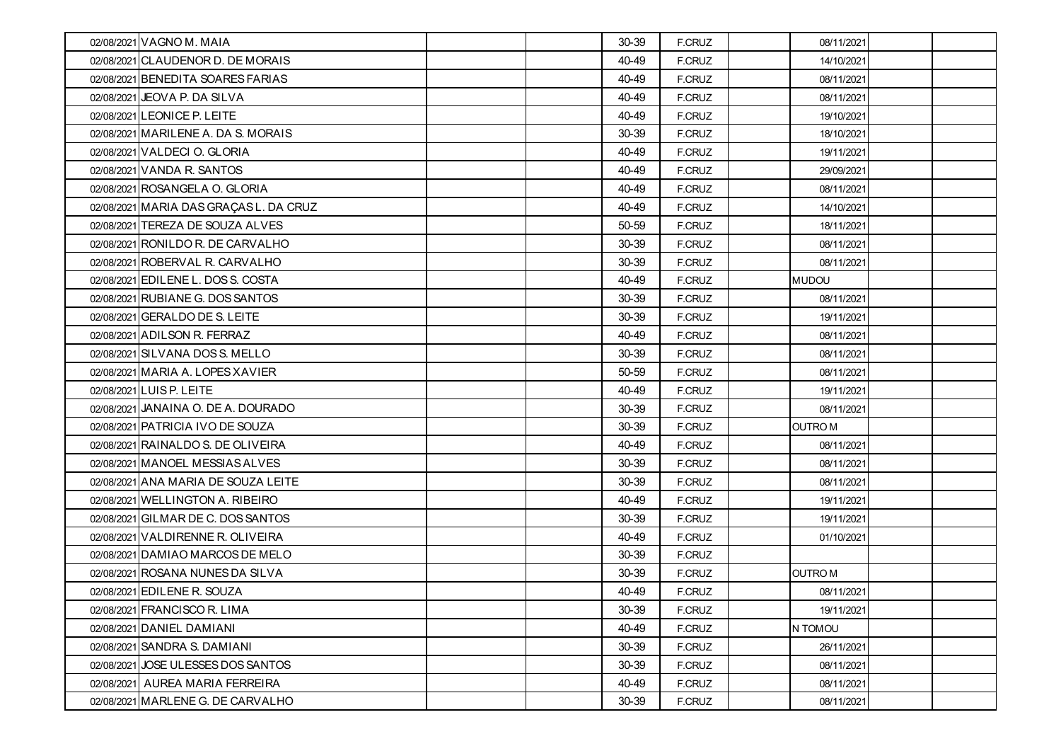| 02/08/2021 VAGNO M. MAIA               | 30-39 | F.CRUZ | 08/11/2021     |  |
|----------------------------------------|-------|--------|----------------|--|
| 02/08/2021 CLAUDENOR D. DE MORAIS      | 40-49 | F.CRUZ | 14/10/2021     |  |
| 02/08/2021 BENEDITA SOARES FARIAS      | 40-49 | F.CRUZ | 08/11/2021     |  |
| 02/08/2021 JEOVA P. DA SILVA           | 40-49 | F.CRUZ | 08/11/2021     |  |
| 02/08/2021 LEONICE P. LEITE            | 40-49 | F.CRUZ | 19/10/2021     |  |
| 02/08/2021 MARILENE A. DA S. MORAIS    | 30-39 | F.CRUZ | 18/10/2021     |  |
| 02/08/2021 VALDECI O. GLORIA           | 40-49 | F.CRUZ | 19/11/2021     |  |
| 02/08/2021 VANDA R. SANTOS             | 40-49 | F.CRUZ | 29/09/2021     |  |
| 02/08/2021 ROSANGELA O. GLORIA         | 40-49 | F.CRUZ | 08/11/2021     |  |
| 02/08/2021 MARIA DAS GRAÇAS L. DA CRUZ | 40-49 | F.CRUZ | 14/10/2021     |  |
| 02/08/2021 TEREZA DE SOUZA ALVES       | 50-59 | F.CRUZ | 18/11/2021     |  |
| 02/08/2021 RONILDO R. DE CARVALHO      | 30-39 | F.CRUZ | 08/11/2021     |  |
| 02/08/2021 ROBERVAL R. CARVALHO        | 30-39 | F.CRUZ | 08/11/2021     |  |
| 02/08/2021 EDILENE L. DOS S. COSTA     | 40-49 | F.CRUZ | <b>MUDOU</b>   |  |
| 02/08/2021 RUBIANE G. DOS SANTOS       | 30-39 | F.CRUZ | 08/11/2021     |  |
| 02/08/2021 GERALDO DE S. LEITE         | 30-39 | F.CRUZ | 19/11/2021     |  |
| 02/08/2021 ADILSON R. FERRAZ           | 40-49 | F.CRUZ | 08/11/2021     |  |
| 02/08/2021 SILVANA DOS S. MELLO        | 30-39 | F.CRUZ | 08/11/2021     |  |
| 02/08/2021 MARIA A. LOPES XAVIER       | 50-59 | F.CRUZ | 08/11/2021     |  |
| 02/08/2021 LUIS P. LEITE               | 40-49 | F.CRUZ | 19/11/2021     |  |
| 02/08/2021 JANAINA O. DE A. DOURADO    | 30-39 | F.CRUZ | 08/11/2021     |  |
| 02/08/2021 PATRICIA IVO DE SOUZA       | 30-39 | F.CRUZ | <b>OUTROM</b>  |  |
| 02/08/2021 RAINALDO S. DE OLIVEIRA     | 40-49 | F.CRUZ | 08/11/2021     |  |
| 02/08/2021 MANOEL MESSIAS ALVES        | 30-39 | F.CRUZ | 08/11/2021     |  |
| 02/08/2021 ANA MARIA DE SOUZA LEITE    | 30-39 | F.CRUZ | 08/11/2021     |  |
| 02/08/2021 WELLINGTON A. RIBEIRO       | 40-49 | F.CRUZ | 19/11/2021     |  |
| 02/08/2021 GILMAR DE C. DOS SANTOS     | 30-39 | F.CRUZ | 19/11/2021     |  |
| 02/08/2021 VALDIRENNE R. OLIVEIRA      | 40-49 | F.CRUZ | 01/10/2021     |  |
| 02/08/2021 DAMIAO MARCOS DE MELO       | 30-39 | F.CRUZ |                |  |
| 02/08/2021 ROSANA NUNES DA SILVA       | 30-39 | F.CRUZ | <b>OUTRO M</b> |  |
| 02/08/2021 EDILENE R. SOUZA            | 40-49 | F.CRUZ | 08/11/2021     |  |
| 02/08/2021 FRANCISCO R. LIMA           | 30-39 | F.CRUZ | 19/11/2021     |  |
| 02/08/2021 DANIEL DAMIANI              | 40-49 | F.CRUZ | N TOMOU        |  |
| 02/08/2021 SANDRA S. DAMIANI           | 30-39 | F.CRUZ | 26/11/2021     |  |
| 02/08/2021 JOSE ULESSES DOS SANTOS     | 30-39 | F.CRUZ | 08/11/2021     |  |
| 02/08/2021 AUREA MARIA FERREIRA        | 40-49 | F.CRUZ | 08/11/2021     |  |
| 02/08/2021 MARLENE G. DE CARVALHO      | 30-39 | F.CRUZ | 08/11/2021     |  |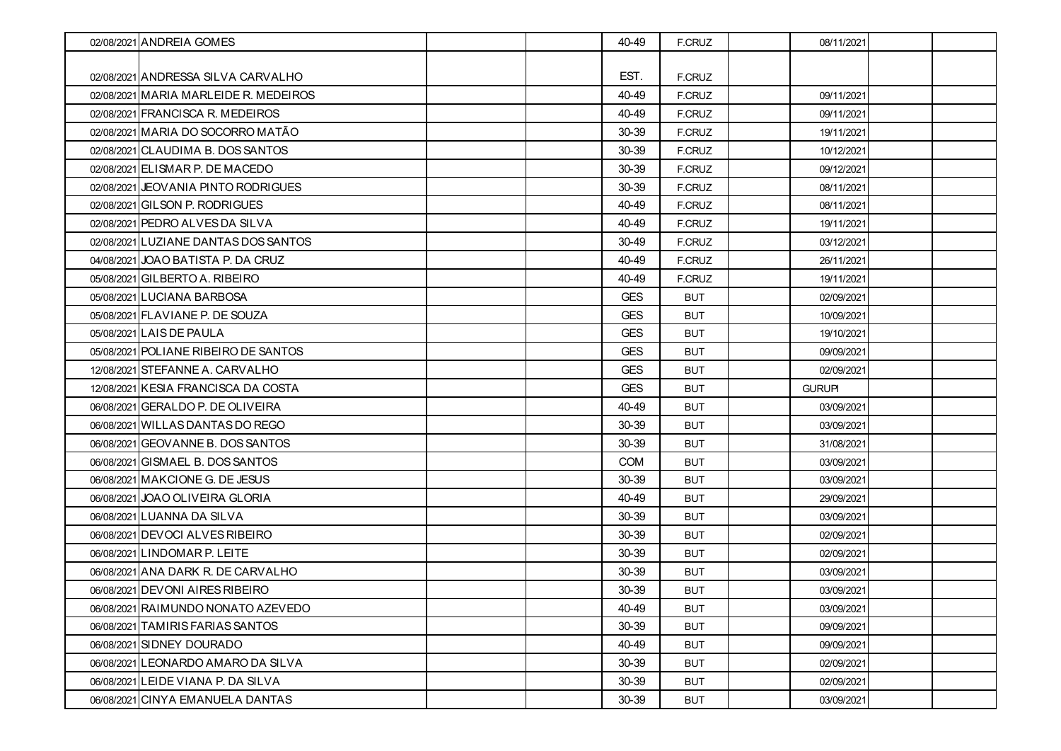| 02/08/2021 ANDREIA GOMES              |  | 40-49      | F.CRUZ     | 08/11/2021    |  |
|---------------------------------------|--|------------|------------|---------------|--|
|                                       |  |            |            |               |  |
| 02/08/2021 ANDRESSA SILVA CARVALHO    |  | EST.       | F.CRUZ     |               |  |
| 02/08/2021 MARIA MARLEIDE R. MEDEIROS |  | 40-49      | F.CRUZ     | 09/11/2021    |  |
| 02/08/2021 FRANCISCA R. MEDEIROS      |  | 40-49      | F.CRUZ     | 09/11/2021    |  |
| 02/08/2021 MARIA DO SOCORRO MATÃO     |  | 30-39      | F.CRUZ     | 19/11/2021    |  |
| 02/08/2021 CLAUDIMA B. DOS SANTOS     |  | 30-39      | F.CRUZ     | 10/12/2021    |  |
| 02/08/2021 ELISMAR P. DE MACEDO       |  | 30-39      | F.CRUZ     | 09/12/2021    |  |
| 02/08/2021 JEOVANIA PINTO RODRIGUES   |  | 30-39      | F.CRUZ     | 08/11/2021    |  |
| 02/08/2021 GILSON P. RODRIGUES        |  | 40-49      | F.CRUZ     | 08/11/2021    |  |
| 02/08/2021 PEDRO ALVES DA SILVA       |  | 40-49      | F.CRUZ     | 19/11/2021    |  |
| 02/08/2021 LUZIANE DANTAS DOS SANTOS  |  | 30-49      | F.CRUZ     | 03/12/2021    |  |
| 04/08/2021 JOAO BATISTA P. DA CRUZ    |  | 40-49      | F.CRUZ     | 26/11/2021    |  |
| 05/08/2021 GILBERTO A. RIBEIRO        |  | 40-49      | F.CRUZ     | 19/11/2021    |  |
| 05/08/2021 LUCIANA BARBOSA            |  | <b>GES</b> | <b>BUT</b> | 02/09/2021    |  |
| 05/08/2021 FLAVIANE P. DE SOUZA       |  | <b>GES</b> | <b>BUT</b> | 10/09/2021    |  |
| 05/08/2021 LAIS DE PAULA              |  | <b>GES</b> | <b>BUT</b> | 19/10/2021    |  |
| 05/08/2021 POLIANE RIBEIRO DE SANTOS  |  | <b>GES</b> | BUT        | 09/09/2021    |  |
| 12/08/2021 STEFANNE A. CARVALHO       |  | <b>GES</b> | <b>BUT</b> | 02/09/2021    |  |
| 12/08/2021 KESIA FRANCISCA DA COSTA   |  | <b>GES</b> | <b>BUT</b> | <b>GURUPI</b> |  |
| 06/08/2021 GERALDO P. DE OLIVEIRA     |  | 40-49      | <b>BUT</b> | 03/09/2021    |  |
| 06/08/2021 WILLAS DANTAS DO REGO      |  | 30-39      | <b>BUT</b> | 03/09/2021    |  |
| 06/08/2021 GEOVANNE B. DOS SANTOS     |  | 30-39      | BUT        | 31/08/2021    |  |
| 06/08/2021 GISMAEL B. DOS SANTOS      |  | <b>COM</b> | <b>BUT</b> | 03/09/2021    |  |
| 06/08/2021 MAKCIONE G. DE JESUS       |  | 30-39      | <b>BUT</b> | 03/09/2021    |  |
| 06/08/2021 JOAO OLIVEIRA GLORIA       |  | 40-49      | <b>BUT</b> | 29/09/2021    |  |
| 06/08/2021 LUANNA DA SILVA            |  | 30-39      | <b>BUT</b> | 03/09/2021    |  |
| 06/08/2021 DEVOCI ALVES RIBEIRO       |  | 30-39      | <b>BUT</b> | 02/09/2021    |  |
| 06/08/2021 LINDOMAR P. LEITE          |  | 30-39      | <b>BUT</b> | 02/09/2021    |  |
| 06/08/2021 ANA DARK R. DE CARVALHO    |  | 30-39      | BUT        | 03/09/2021    |  |
| 06/08/2021 DEVONI AIRES RIBEIRO       |  | 30-39      | <b>BUT</b> | 03/09/2021    |  |
| 06/08/2021 RAIMUNDO NONATO AZEVEDO    |  | 40-49      | <b>BUT</b> | 03/09/2021    |  |
| 06/08/2021 TAMIRIS FARIAS SANTOS      |  | 30-39      | <b>BUT</b> | 09/09/2021    |  |
| 06/08/2021 SIDNEY DOURADO             |  | 40-49      | <b>BUT</b> | 09/09/2021    |  |
| 06/08/2021 LEONARDO AMARO DA SILVA    |  | 30-39      | <b>BUT</b> | 02/09/2021    |  |
| 06/08/2021 LEIDE VIANA P. DA SILVA    |  | 30-39      | <b>BUT</b> | 02/09/2021    |  |
| 06/08/2021 CINYA EMANUELA DANTAS      |  | 30-39      | <b>BUT</b> | 03/09/2021    |  |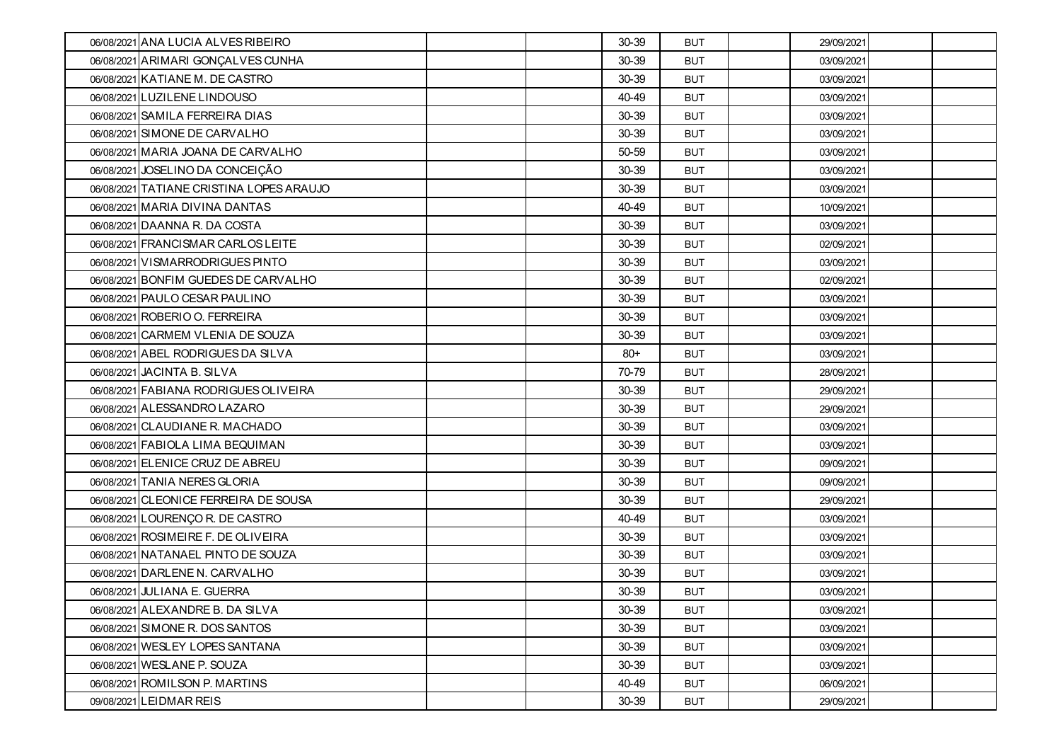| 06/08/2021 ANA LUCIA ALVES RIBEIRO       |  | 30-39 | BUT        | 29/09/2021 |  |
|------------------------------------------|--|-------|------------|------------|--|
| 06/08/2021 ARIMARI GONÇALVES CUNHA       |  | 30-39 | <b>BUT</b> | 03/09/2021 |  |
| 06/08/2021 KATIANE M. DE CASTRO          |  | 30-39 | <b>BUT</b> | 03/09/2021 |  |
| 06/08/2021 LUZILENE LINDOUSO             |  | 40-49 | <b>BUT</b> | 03/09/2021 |  |
| 06/08/2021 SAMILA FERREIRA DIAS          |  | 30-39 | <b>BUT</b> | 03/09/2021 |  |
| 06/08/2021 SIMONE DE CARVALHO            |  | 30-39 | <b>BUT</b> | 03/09/2021 |  |
| 06/08/2021 MARIA JOANA DE CARVALHO       |  | 50-59 | <b>BUT</b> | 03/09/2021 |  |
| 06/08/2021 JOSELINO DA CONCEIÇÃO         |  | 30-39 | <b>BUT</b> | 03/09/2021 |  |
| 06/08/2021 TATIANE CRISTINA LOPES ARAUJO |  | 30-39 | <b>BUT</b> | 03/09/2021 |  |
| 06/08/2021 MARIA DIVINA DANTAS           |  | 40-49 | <b>BUT</b> | 10/09/2021 |  |
| 06/08/2021 DAANNA R. DA COSTA            |  | 30-39 | <b>BUT</b> | 03/09/2021 |  |
| 06/08/2021 FRANCISMAR CARLOS LEITE       |  | 30-39 | <b>BUT</b> | 02/09/2021 |  |
| 06/08/2021 VISMARRODRIGUES PINTO         |  | 30-39 | BUT        | 03/09/2021 |  |
| 06/08/2021 BONFIM GUEDES DE CARVALHO     |  | 30-39 | <b>BUT</b> | 02/09/2021 |  |
| 06/08/2021 PAULO CESAR PAULINO           |  | 30-39 | <b>BUT</b> | 03/09/2021 |  |
| 06/08/2021 ROBERIO O. FERREIRA           |  | 30-39 | <b>BUT</b> | 03/09/2021 |  |
| 06/08/2021 CARMEM VLENIA DE SOUZA        |  | 30-39 | <b>BUT</b> | 03/09/2021 |  |
| 06/08/2021 ABEL RODRIGUES DA SILVA       |  | $80+$ | <b>BUT</b> | 03/09/2021 |  |
| 06/08/2021 JACINTA B. SILVA              |  | 70-79 | <b>BUT</b> | 28/09/2021 |  |
| 06/08/2021 FABIANA RODRIGUES OLIVEIRA    |  | 30-39 | <b>BUT</b> | 29/09/2021 |  |
| 06/08/2021 ALESSANDRO LAZARO             |  | 30-39 | <b>BUT</b> | 29/09/2021 |  |
| 06/08/2021 CLAUDIANE R. MACHADO          |  | 30-39 | <b>BUT</b> | 03/09/2021 |  |
| 06/08/2021 FABIOLA LIMA BEQUIMAN         |  | 30-39 | <b>BUT</b> | 03/09/2021 |  |
| 06/08/2021 ELENICE CRUZ DE ABREU         |  | 30-39 | <b>BUT</b> | 09/09/2021 |  |
| 06/08/2021 TANIA NERES GLORIA            |  | 30-39 | <b>BUT</b> | 09/09/2021 |  |
| 06/08/2021 CLEONICE FERREIRA DE SOUSA    |  | 30-39 | <b>BUT</b> | 29/09/2021 |  |
| 06/08/2021 LOURENÇO R. DE CASTRO         |  | 40-49 | <b>BUT</b> | 03/09/2021 |  |
| 06/08/2021 ROSIMEIRE F. DE OLIVEIRA      |  | 30-39 | <b>BUT</b> | 03/09/2021 |  |
| 06/08/2021 NATANAEL PINTO DE SOUZA       |  | 30-39 | <b>BUT</b> | 03/09/2021 |  |
| 06/08/2021 DARLENE N. CARVALHO           |  | 30-39 | <b>BUT</b> | 03/09/2021 |  |
| 06/08/2021 JULIANA E. GUERRA             |  | 30-39 | <b>BUT</b> | 03/09/2021 |  |
| 06/08/2021 ALEXANDRE B. DA SILVA         |  | 30-39 | BUT        | 03/09/2021 |  |
| 06/08/2021 SIMONE R. DOS SANTOS          |  | 30-39 | <b>BUT</b> | 03/09/2021 |  |
| 06/08/2021 WESLEY LOPES SANTANA          |  | 30-39 | <b>BUT</b> | 03/09/2021 |  |
| 06/08/2021 WESLANE P. SOUZA              |  | 30-39 | <b>BUT</b> | 03/09/2021 |  |
| 06/08/2021 ROMILSON P. MARTINS           |  | 40-49 | <b>BUT</b> | 06/09/2021 |  |
| 09/08/2021 LEIDMAR REIS                  |  | 30-39 | <b>BUT</b> | 29/09/2021 |  |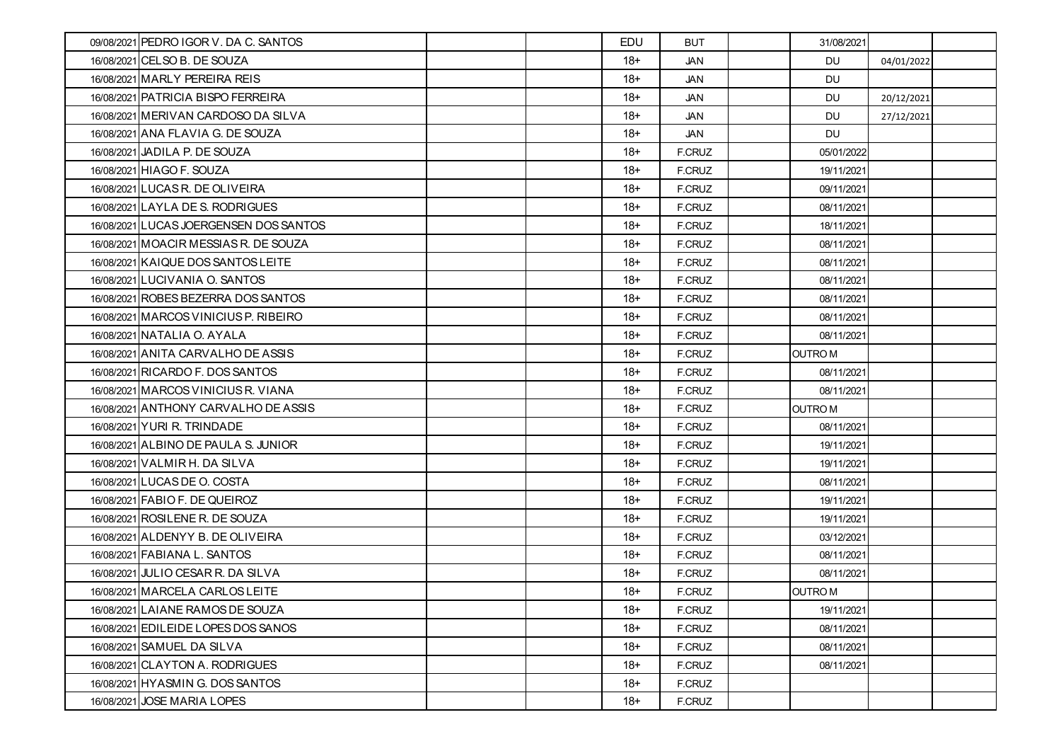| 09/08/2021 PEDRO IGOR V. DA C. SANTOS  |  | EDU   | <b>BUT</b>    | 31/08/2021     |            |  |
|----------------------------------------|--|-------|---------------|----------------|------------|--|
| 16/08/2021 CELSO B. DE SOUZA           |  | $18+$ | JAN           | DU             | 04/01/2022 |  |
| 16/08/2021 MARLY PEREIRA REIS          |  | $18+$ | JAN           | <b>DU</b>      |            |  |
| 16/08/2021 PATRICIA BISPO FERREIRA     |  | 18+   | JAN           | DU             | 20/12/2021 |  |
| 16/08/2021 MERIVAN CARDOSO DA SILVA    |  | $18+$ | JAN           | DU             | 27/12/2021 |  |
| 16/08/2021 ANA FLAVIA G. DE SOUZA      |  | 18+   | JAN           | DU             |            |  |
| 16/08/2021 JADILA P. DE SOUZA          |  | $18+$ | F.CRUZ        | 05/01/2022     |            |  |
| 16/08/2021 HIAGO F. SOUZA              |  | 18+   | F.CRUZ        | 19/11/2021     |            |  |
| 16/08/2021 LUCAS R. DE OLIVEIRA        |  | $18+$ | F.CRUZ        | 09/11/2021     |            |  |
| 16/08/2021 LAYLA DE S. RODRIGUES       |  | $18+$ | F.CRUZ        | 08/11/2021     |            |  |
| 16/08/2021 LUCAS JOERGENSEN DOS SANTOS |  | 18+   | F.CRUZ        | 18/11/2021     |            |  |
| 16/08/2021 MOACIR MESSIAS R. DE SOUZA  |  | $18+$ | F.CRUZ        | 08/11/2021     |            |  |
| 16/08/2021 KAIQUE DOS SANTOS LEITE     |  | 18+   | F.CRUZ        | 08/11/2021     |            |  |
| 16/08/2021 LUCIVANIA O. SANTOS         |  | $18+$ | F.CRUZ        | 08/11/2021     |            |  |
| 16/08/2021 ROBES BEZERRA DOS SANTOS    |  | $18+$ | F.CRUZ        | 08/11/2021     |            |  |
| 16/08/2021 MARCOS VINICIUS P. RIBEIRO  |  | 18+   | F.CRUZ        | 08/11/2021     |            |  |
| 16/08/2021 NATALIA O. AYALA            |  | $18+$ | F.CRUZ        | 08/11/2021     |            |  |
| 16/08/2021 ANITA CARVALHO DE ASSIS     |  | 18+   | F.CRUZ        | <b>OUTRO M</b> |            |  |
| 16/08/2021 RICARDO F. DOS SANTOS       |  | 18+   | F.CRUZ        | 08/11/2021     |            |  |
| 16/08/2021 MARCOS VINICIUS R. VIANA    |  | 18+   | F.CRUZ        | 08/11/2021     |            |  |
| 16/08/2021 ANTHONY CARVALHO DE ASSIS   |  | $18+$ | F.CRUZ        | <b>OUTROM</b>  |            |  |
| 16/08/2021 YURI R. TRINDADE            |  | 18+   | F.CRUZ        | 08/11/2021     |            |  |
| 16/08/2021 ALBINO DE PAULA S. JUNIOR   |  | 18+   | F.CRUZ        | 19/11/2021     |            |  |
| 16/08/2021 VALMIR H. DA SILVA          |  | $18+$ | F.CRUZ        | 19/11/2021     |            |  |
| 16/08/2021 LUCAS DE O. COSTA           |  | 18+   | F.CRUZ        | 08/11/2021     |            |  |
| 16/08/2021 FABIO F. DE QUEIROZ         |  | $18+$ | F.CRUZ        | 19/11/2021     |            |  |
| 16/08/2021 ROSILENE R. DE SOUZA        |  | 18+   | F.CRUZ        | 19/11/2021     |            |  |
| 16/08/2021 ALDENYY B. DE OLIVEIRA      |  | $18+$ | F.CRUZ        | 03/12/2021     |            |  |
| 16/08/2021 FABIANA L. SANTOS           |  | $18+$ | F.CRUZ        | 08/11/2021     |            |  |
| 16/08/2021 JULIO CESAR R. DA SILVA     |  | 18+   | F.CRUZ        | 08/11/2021     |            |  |
| 16/08/2021 MARCELA CARLOS LEITE        |  | $18+$ | F.CRUZ        | <b>OUTROM</b>  |            |  |
| 16/08/2021 LAIANE RAMOS DE SOUZA       |  | 18+   | F.CRUZ        | 19/11/2021     |            |  |
| 16/08/2021 EDILEIDE LOPES DOS SANOS    |  | $18+$ | F.CRUZ        | 08/11/2021     |            |  |
| 16/08/2021 SAMUEL DA SILVA             |  | $18+$ | F.CRUZ        | 08/11/2021     |            |  |
| 16/08/2021 CLAYTON A. RODRIGUES        |  | $18+$ | F.CRUZ        | 08/11/2021     |            |  |
| 16/08/2021 HYASMING. DOS SANTOS        |  | $18+$ | <b>F.CRUZ</b> |                |            |  |
| 16/08/2021 JOSE MARIA LOPES            |  | 18+   | F.CRUZ        |                |            |  |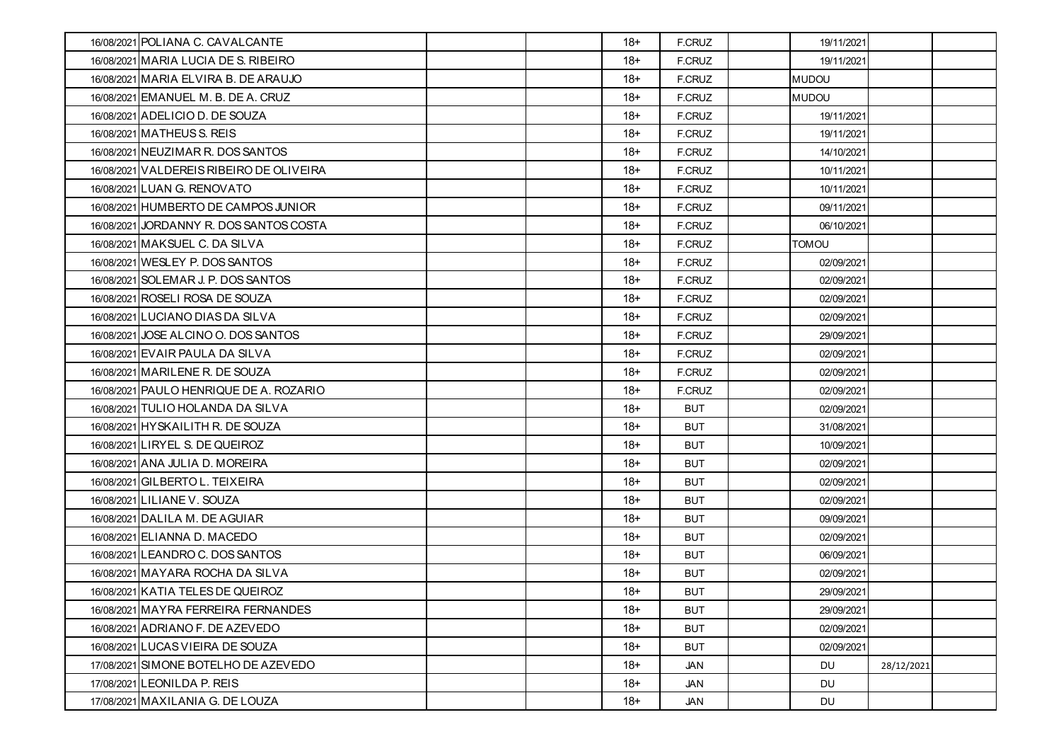| 16/08/2021 POLIANA C. CAVALCANTE         |  | 18+   | <b>F.CRUZ</b> | 19/11/2021   |            |  |
|------------------------------------------|--|-------|---------------|--------------|------------|--|
| 16/08/2021 MARIA LUCIA DE S. RIBEIRO     |  | $18+$ | F.CRUZ        | 19/11/2021   |            |  |
| 16/08/2021 MARIA ELVIRA B. DE ARAUJO     |  | $18+$ | F.CRUZ        | <b>MUDOU</b> |            |  |
| 16/08/2021 EMANUEL M. B. DE A. CRUZ      |  | 18+   | F.CRUZ        | <b>MUDOU</b> |            |  |
| 16/08/2021 ADELICIO D. DE SOUZA          |  | $18+$ | F.CRUZ        | 19/11/2021   |            |  |
| 16/08/2021 MATHEUS S. REIS               |  | 18+   | F.CRUZ        | 19/11/2021   |            |  |
| 16/08/2021 NEUZIMAR R. DOS SANTOS        |  | $18+$ | F.CRUZ        | 14/10/2021   |            |  |
| 16/08/2021 VALDEREIS RIBEIRO DE OLIVEIRA |  | $18+$ | F.CRUZ        | 10/11/2021   |            |  |
| 16/08/2021 LUAN G. RENOVATO              |  | 18+   | F.CRUZ        | 10/11/2021   |            |  |
| 16/08/2021 HUMBERTO DE CAMPOS JUNIOR     |  | $18+$ | F.CRUZ        | 09/11/2021   |            |  |
| 16/08/2021 JORDANNY R. DOS SANTOS COSTA  |  | 18+   | F.CRUZ        | 06/10/2021   |            |  |
| 16/08/2021 MAKSUEL C. DA SILVA           |  | 18+   | F.CRUZ        | <b>TOMOU</b> |            |  |
| 16/08/2021 WESLEY P. DOS SANTOS          |  | 18+   | F.CRUZ        | 02/09/2021   |            |  |
| 16/08/2021 SOLEMAR J. P. DOS SANTOS      |  | $18+$ | F.CRUZ        | 02/09/2021   |            |  |
| 16/08/2021 ROSELI ROSA DE SOUZA          |  | $18+$ | F.CRUZ        | 02/09/2021   |            |  |
| 16/08/2021 LUCIANO DIAS DA SILVA         |  | 18+   | F.CRUZ        | 02/09/2021   |            |  |
| 16/08/2021 JOSE ALCINO O. DOS SANTOS     |  | $18+$ | <b>F.CRUZ</b> | 29/09/2021   |            |  |
| 16/08/2021 EVAIR PAULA DA SILVA          |  | 18+   | F.CRUZ        | 02/09/2021   |            |  |
| 16/08/2021 MARILENE R. DE SOUZA          |  | $18+$ | F.CRUZ        | 02/09/2021   |            |  |
| 16/08/2021 PAULO HENRIQUE DE A. ROZARIO  |  | $18+$ | F.CRUZ        | 02/09/2021   |            |  |
| 16/08/2021 TULIO HOLANDA DA SILVA        |  | 18+   | <b>BUT</b>    | 02/09/2021   |            |  |
| 16/08/2021 HYSKAILITH R. DE SOUZA        |  | $18+$ | <b>BUT</b>    | 31/08/2021   |            |  |
| 16/08/2021 LIRYEL S. DE QUEIROZ          |  | $18+$ | <b>BUT</b>    | 10/09/2021   |            |  |
| 16/08/2021 ANA JULIA D. MOREIRA          |  | $18+$ | <b>BUT</b>    | 02/09/2021   |            |  |
| 16/08/2021 GILBERTO L. TEIXEIRA          |  | 18+   | <b>BUT</b>    | 02/09/2021   |            |  |
| 16/08/2021 LILIANE V. SOUZA              |  | $18+$ | BUT           | 02/09/2021   |            |  |
| 16/08/2021 DALILA M. DE AGUIAR           |  | $18+$ | BUT           | 09/09/2021   |            |  |
| 16/08/2021 ELIANNA D. MACEDO             |  | 18+   | <b>BUT</b>    | 02/09/2021   |            |  |
| 16/08/2021 LEANDRO C. DOS SANTOS         |  | $18+$ | <b>BUT</b>    | 06/09/2021   |            |  |
| 16/08/2021 MAYARA ROCHA DA SILVA         |  | 18+   | <b>BUT</b>    | 02/09/2021   |            |  |
| 16/08/2021 KATIA TELES DE QUEIROZ        |  | $18+$ | <b>BUT</b>    | 29/09/2021   |            |  |
| 16/08/2021 MAYRA FERREIRA FERNANDES      |  | $18+$ | <b>BUT</b>    | 29/09/2021   |            |  |
| 16/08/2021 ADRIANO F. DE AZEVEDO         |  | $18+$ | <b>BUT</b>    | 02/09/2021   |            |  |
| 16/08/2021 LUCAS VIEIRA DE SOUZA         |  | $18+$ | <b>BUT</b>    | 02/09/2021   |            |  |
| 17/08/2021 SIMONE BOTELHO DE AZEVEDO     |  | $18+$ | JAN           | <b>DU</b>    | 28/12/2021 |  |
| 17/08/2021 LEONILDA P. REIS              |  | $18+$ | JAN           | <b>DU</b>    |            |  |
| 17/08/2021 MAXILANIA G. DE LOUZA         |  | 18+   | JAN           | DU           |            |  |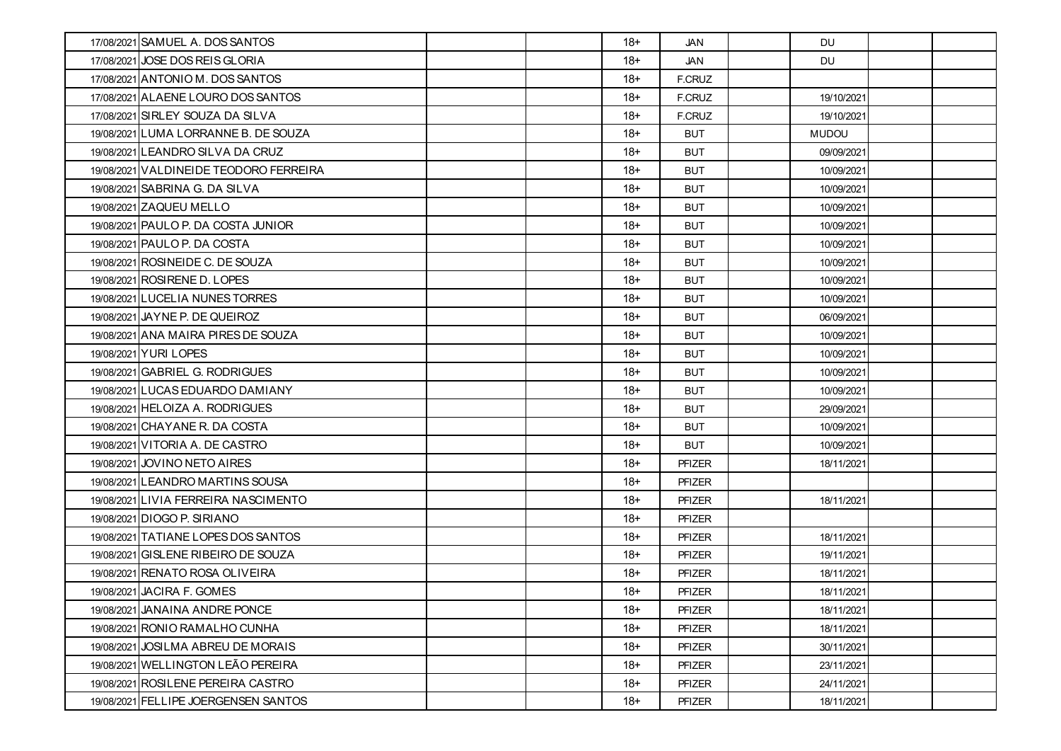| 17/08/2021 SAMUEL A. DOS SANTOS        | 18+   | JAN           | DU           |  |
|----------------------------------------|-------|---------------|--------------|--|
| 17/08/2021 JOSE DOS REIS GLORIA        | $18+$ | JAN           | <b>DU</b>    |  |
| 17/08/2021 ANTONIO M. DOS SANTOS       | $18+$ | F.CRUZ        |              |  |
| 17/08/2021 ALAENE LOURO DOS SANTOS     | $18+$ | F.CRUZ        | 19/10/2021   |  |
| 17/08/2021 SIRLEY SOUZA DA SILVA       | $18+$ | F.CRUZ        | 19/10/2021   |  |
| 19/08/2021 LUMA LORRANNE B. DE SOUZA   | 18+   | <b>BUT</b>    | <b>MUDOU</b> |  |
| 19/08/2021 LEANDRO SILVA DA CRUZ       | $18+$ | <b>BUT</b>    | 09/09/2021   |  |
| 19/08/2021 VALDINEIDE TEODORO FERREIRA | $18+$ | BUT           | 10/09/2021   |  |
| 19/08/2021 SABRINA G. DA SILVA         | $18+$ | <b>BUT</b>    | 10/09/2021   |  |
| 19/08/2021 ZAQUEU MELLO                | $18+$ | <b>BUT</b>    | 10/09/2021   |  |
| 19/08/2021 PAULO P. DA COSTA JUNIOR    | 18+   | <b>BUT</b>    | 10/09/2021   |  |
| 19/08/2021 PAULO P. DA COSTA           | $18+$ | <b>BUT</b>    | 10/09/2021   |  |
| 19/08/2021 ROSINEIDE C. DE SOUZA       | 18+   | <b>BUT</b>    | 10/09/2021   |  |
| 19/08/2021 ROSIRENE D. LOPES           | $18+$ | <b>BUT</b>    | 10/09/2021   |  |
| 19/08/2021 LUCELIA NUNES TORRES        | $18+$ | BUT           | 10/09/2021   |  |
| 19/08/2021 JAYNE P. DE QUEIROZ         | 18+   | <b>BUT</b>    | 06/09/2021   |  |
| 19/08/2021 ANA MAIRA PIRES DE SOUZA    | $18+$ | <b>BUT</b>    | 10/09/2021   |  |
| 19/08/2021 YURI LOPES                  | $18+$ | BUT           | 10/09/2021   |  |
| 19/08/2021 GABRIEL G. RODRIGUES        | $18+$ | <b>BUT</b>    | 10/09/2021   |  |
| 19/08/2021 LUCAS EDUARDO DAMIANY       | $18+$ | <b>BUT</b>    | 10/09/2021   |  |
| 19/08/2021 HELOIZA A. RODRIGUES        | $18+$ | <b>BUT</b>    | 29/09/2021   |  |
| 19/08/2021 CHAYANE R. DA COSTA         | $18+$ | BUT           | 10/09/2021   |  |
| 19/08/2021 VITORIA A. DE CASTRO        | $18+$ | <b>BUT</b>    | 10/09/2021   |  |
| 19/08/2021 JOVINO NETO AIRES           | $18+$ | <b>PFIZER</b> | 18/11/2021   |  |
| 19/08/2021 LEANDRO MARTINS SOUSA       | 18+   | <b>PFIZER</b> |              |  |
| 19/08/2021 LIVIA FERREIRA NASCIMENTO   | $18+$ | <b>PFIZER</b> | 18/11/2021   |  |
| 19/08/2021 DIOGO P. SIRIANO            | $18+$ | <b>PFIZER</b> |              |  |
| 19/08/2021 TATIANE LOPES DOS SANTOS    | $18+$ | <b>PFIZER</b> | 18/11/2021   |  |
| 19/08/2021 GISLENE RIBEIRO DE SOUZA    | $18+$ | <b>PFIZER</b> | 19/11/2021   |  |
| 19/08/2021 RENATO ROSA OLIVEIRA        | 18+   | <b>PFIZER</b> | 18/11/2021   |  |
| 19/08/2021 JACIRA F. GOMES             | $18+$ | <b>PFIZER</b> | 18/11/2021   |  |
| 19/08/2021 JANAINA ANDRE PONCE         | $18+$ | <b>PFIZER</b> | 18/11/2021   |  |
| 19/08/2021 RONIO RAMALHO CUNHA         | $18+$ | <b>PFIZER</b> | 18/11/2021   |  |
| 19/08/2021 JOSILMA ABREU DE MORAIS     | $18+$ | <b>PFIZER</b> | 30/11/2021   |  |
| 19/08/2021 WELLINGTON LEÃO PEREIRA     | $18+$ | <b>PFIZER</b> | 23/11/2021   |  |
| 19/08/2021 ROSILENE PEREIRA CASTRO     | $18+$ | <b>PFIZER</b> | 24/11/2021   |  |
| 19/08/2021 FELLIPE JOERGENSEN SANTOS   | $18+$ | <b>PFIZER</b> | 18/11/2021   |  |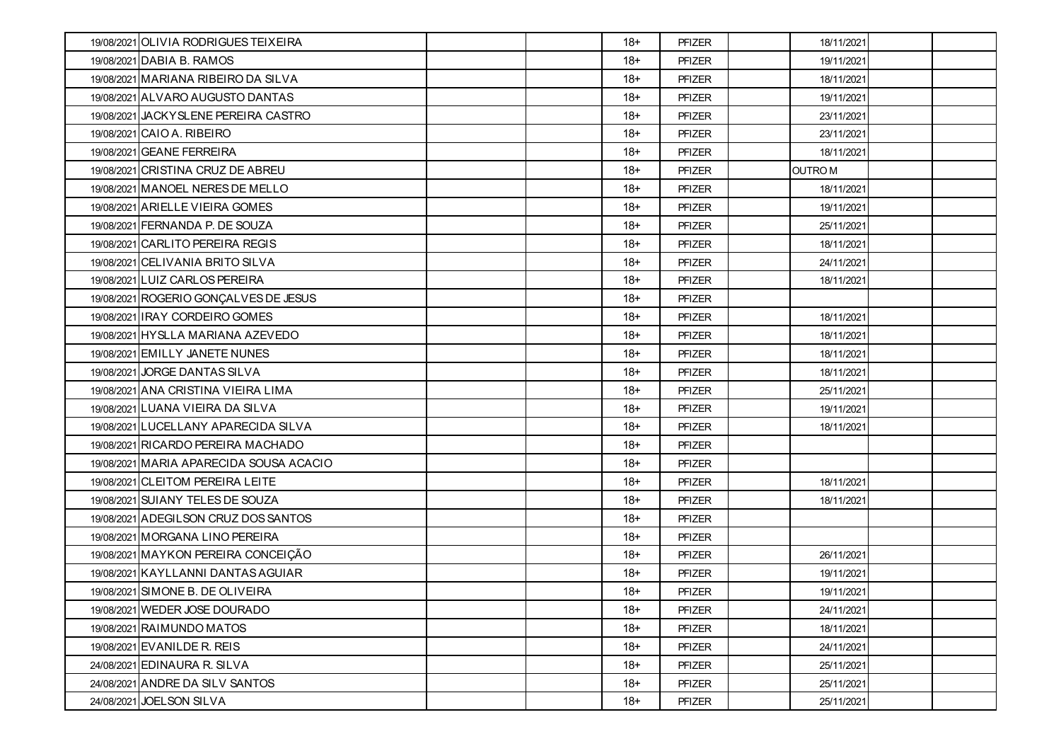| 19/08/2021 OLIVIA RODRIGUES TEIXEIRA    |  | $18+$ | <b>PFIZER</b> | 18/11/2021    |  |
|-----------------------------------------|--|-------|---------------|---------------|--|
| 19/08/2021 DABIA B. RAMOS               |  | $18+$ | <b>PFIZER</b> | 19/11/2021    |  |
| 19/08/2021 MARIANA RIBEIRO DA SILVA     |  | $18+$ | <b>PFIZER</b> | 18/11/2021    |  |
| 19/08/2021 ALVARO AUGUSTO DANTAS        |  | $18+$ | <b>PFIZER</b> | 19/11/2021    |  |
| 19/08/2021 JACKYSLENE PEREIRA CASTRO    |  | $18+$ | <b>PFIZER</b> | 23/11/2021    |  |
| 19/08/2021 CAIO A. RIBEIRO              |  | 18+   | <b>PFIZER</b> | 23/11/2021    |  |
| 19/08/2021 GEANE FERREIRA               |  | $18+$ | <b>PFIZER</b> | 18/11/2021    |  |
| 19/08/2021 CRISTINA CRUZ DE ABREU       |  | $18+$ | <b>PFIZER</b> | <b>OUTROM</b> |  |
| 19/08/2021 MANOEL NERES DE MELLO        |  | $18+$ | <b>PFIZER</b> | 18/11/2021    |  |
| 19/08/2021 ARIELLE VIEIRA GOMES         |  | $18+$ | <b>PFIZER</b> | 19/11/2021    |  |
| 19/08/2021 FERNANDA P. DE SOUZA         |  | $18+$ | <b>PFIZER</b> | 25/11/2021    |  |
| 19/08/2021 CARLITO PEREIRA REGIS        |  | $18+$ | <b>PFIZER</b> | 18/11/2021    |  |
| 19/08/2021 CELIVANIA BRITO SILVA        |  | $18+$ | PFIZER        | 24/11/2021    |  |
| 19/08/2021 LUIZ CARLOS PEREIRA          |  | $18+$ | <b>PFIZER</b> | 18/11/2021    |  |
| 19/08/2021 ROGERIO GONÇALVES DE JESUS   |  | $18+$ | <b>PFIZER</b> |               |  |
| 19/08/2021 IRAY CORDEIRO GOMES          |  | $18+$ | <b>PFIZER</b> | 18/11/2021    |  |
| 19/08/2021 HYSLLA MARIANA AZEVEDO       |  | $18+$ | <b>PFIZER</b> | 18/11/2021    |  |
| 19/08/2021 EMILLY JANETE NUNES          |  | $18+$ | <b>PFIZER</b> | 18/11/2021    |  |
| 19/08/2021 JORGE DANTAS SILVA           |  | $18+$ | <b>PFIZER</b> | 18/11/2021    |  |
| 19/08/2021 ANA CRISTINA VIEIRA LIMA     |  | $18+$ | <b>PFIZER</b> | 25/11/2021    |  |
| 19/08/2021 LUANA VIEIRA DA SILVA        |  | $18+$ | <b>PFIZER</b> | 19/11/2021    |  |
| 19/08/2021 LUCELLANY APARECIDA SILVA    |  | $18+$ | <b>PFIZER</b> | 18/11/2021    |  |
| 19/08/2021 RICARDO PEREIRA MACHADO      |  | $18+$ | <b>PFIZER</b> |               |  |
| 19/08/2021 MARIA APARECIDA SOUSA ACACIO |  | $18+$ | <b>PFIZER</b> |               |  |
| 19/08/2021 CLEITOM PEREIRA LEITE        |  | $18+$ | <b>PFIZER</b> | 18/11/2021    |  |
| 19/08/2021 SUIANY TELES DE SOUZA        |  | $18+$ | <b>PFIZER</b> | 18/11/2021    |  |
| 19/08/2021 ADEGILSON CRUZ DOS SANTOS    |  | $18+$ | <b>PFIZER</b> |               |  |
| 19/08/2021 MORGANA LINO PEREIRA         |  | $18+$ | <b>PFIZER</b> |               |  |
| 19/08/2021 MAYKON PEREIRA CONCEIÇÃO     |  | $18+$ | <b>PFIZER</b> | 26/11/2021    |  |
| 19/08/2021 KAYLLANNI DANTAS AGUIAR      |  | 18+   | <b>PFIZER</b> | 19/11/2021    |  |
| 19/08/2021 SIMONE B. DE OLIVEIRA        |  | $18+$ | <b>PFIZER</b> | 19/11/2021    |  |
| 19/08/2021 WEDER JOSE DOURADO           |  | $18+$ | <b>PFIZER</b> | 24/11/2021    |  |
| 19/08/2021 RAIMUNDO MATOS               |  | $18+$ | <b>PFIZER</b> | 18/11/2021    |  |
| 19/08/2021 EVANILDE R. REIS             |  | $18+$ | <b>PFIZER</b> | 24/11/2021    |  |
| 24/08/2021 EDINAURA R. SILVA            |  | $18+$ | <b>PFIZER</b> | 25/11/2021    |  |
| 24/08/2021 ANDRE DA SILV SANTOS         |  | $18+$ | <b>PFIZER</b> | 25/11/2021    |  |
| 24/08/2021 JOELSON SILVA                |  | $18+$ | <b>PFIZER</b> | 25/11/2021    |  |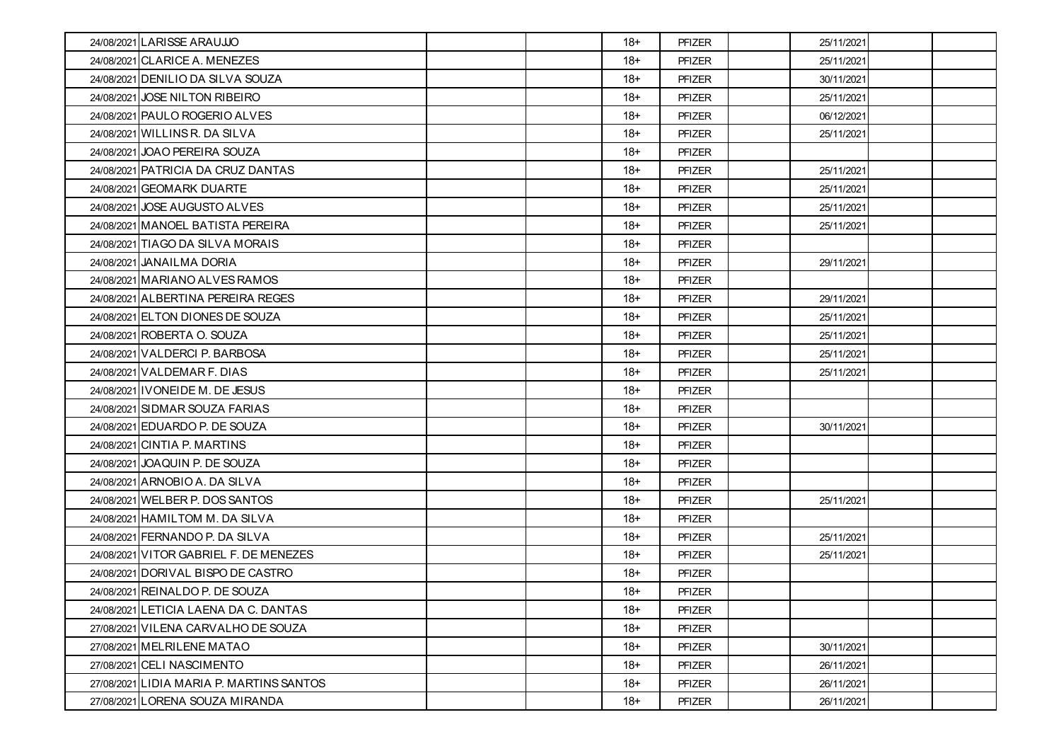| 24/08/2021 LARISSE ARAUJJO               | 18+   | <b>PFIZER</b> | 25/11/2021 |  |
|------------------------------------------|-------|---------------|------------|--|
| 24/08/2021 CLARICE A. MENEZES            | $18+$ | <b>PFIZER</b> | 25/11/2021 |  |
| 24/08/2021 DENILIO DA SILVA SOUZA        | $18+$ | <b>PFIZER</b> | 30/11/2021 |  |
| 24/08/2021 JOSE NILTON RIBEIRO           | $18+$ | <b>PFIZER</b> | 25/11/2021 |  |
| 24/08/2021 PAULO ROGERIO ALVES           | $18+$ | <b>PFIZER</b> | 06/12/2021 |  |
| 24/08/2021 WILLINS R. DA SILVA           | 18+   | <b>PFIZER</b> | 25/11/2021 |  |
| 24/08/2021 JOAO PEREIRA SOUZA            | $18+$ | <b>PFIZER</b> |            |  |
| 24/08/2021 PATRICIA DA CRUZ DANTAS       | $18+$ | <b>PFIZER</b> | 25/11/2021 |  |
| 24/08/2021 GEOMARK DUARTE                | $18+$ | <b>PFIZER</b> | 25/11/2021 |  |
| 24/08/2021 JOSE AUGUSTO ALVES            | $18+$ | <b>PFIZER</b> | 25/11/2021 |  |
| 24/08/2021 MANOEL BATISTA PEREIRA        | 18+   | <b>PFIZER</b> | 25/11/2021 |  |
| 24/08/2021 TIAGO DA SILVA MORAIS         | $18+$ | <b>PFIZER</b> |            |  |
| 24/08/2021 JANAILMA DORIA                | 18+   | <b>PFIZER</b> | 29/11/2021 |  |
| 24/08/2021 MARIANO ALVES RAMOS           | $18+$ | <b>PFIZER</b> |            |  |
| 24/08/2021 ALBERTINA PEREIRA REGES       | $18+$ | PFIZER        | 29/11/2021 |  |
| 24/08/2021 ELTON DIONES DE SOUZA         | $18+$ | <b>PFIZER</b> | 25/11/2021 |  |
| 24/08/2021 ROBERTA O. SOUZA              | $18+$ | <b>PFIZER</b> | 25/11/2021 |  |
| 24/08/2021 VALDERCI P. BARBOSA           | 18+   | <b>PFIZER</b> | 25/11/2021 |  |
| 24/08/2021 VALDEMAR F. DIAS              | $18+$ | <b>PFIZER</b> | 25/11/2021 |  |
| 24/08/2021 IVONEIDE M. DE JESUS          | 18+   | <b>PFIZER</b> |            |  |
| 24/08/2021 SIDMAR SOUZA FARIAS           | $18+$ | <b>PFIZER</b> |            |  |
| 24/08/2021 EDUARDO P. DE SOUZA           | $18+$ | PFIZER        | 30/11/2021 |  |
| 24/08/2021 CINTIA P. MARTINS             | $18+$ | <b>PFIZER</b> |            |  |
| 24/08/2021 JOAQUIN P. DE SOUZA           | $18+$ | <b>PFIZER</b> |            |  |
| 24/08/2021 ARNOBIO A. DA SILVA           | 18+   | <b>PFIZER</b> |            |  |
| 24/08/2021 WELBER P. DOS SANTOS          | $18+$ | <b>PFIZER</b> | 25/11/2021 |  |
| 24/08/2021 HAMILTOM M. DA SILVA          | $18+$ | <b>PFIZER</b> |            |  |
| 24/08/2021 FERNANDO P. DA SILVA          | $18+$ | PFIZER        | 25/11/2021 |  |
| 24/08/2021 VITOR GABRIEL F. DE MENEZES   | $18+$ | PFIZER        | 25/11/2021 |  |
| 24/08/2021 DORIVAL BISPO DE CASTRO       | 18+   | <b>PFIZER</b> |            |  |
| 24/08/2021 REINALDO P. DE SOUZA          | $18+$ | PFIZER        |            |  |
| 24/08/2021 LETICIA LAENA DA C. DANTAS    | 18+   | <b>PFIZER</b> |            |  |
| 27/08/2021 VILENA CARVALHO DE SOUZA      | $18+$ | <b>PFIZER</b> |            |  |
| 27/08/2021 MELRILENE MATAO               | $18+$ | PFIZER        | 30/11/2021 |  |
| 27/08/2021 CELI NASCIMENTO               | $18+$ | PFIZER        | 26/11/2021 |  |
| 27/08/2021 LIDIA MARIA P. MARTINS SANTOS | $18+$ | <b>PFIZER</b> | 26/11/2021 |  |
| 27/08/2021 LORENA SOUZA MIRANDA          | 18+   | PFIZER        | 26/11/2021 |  |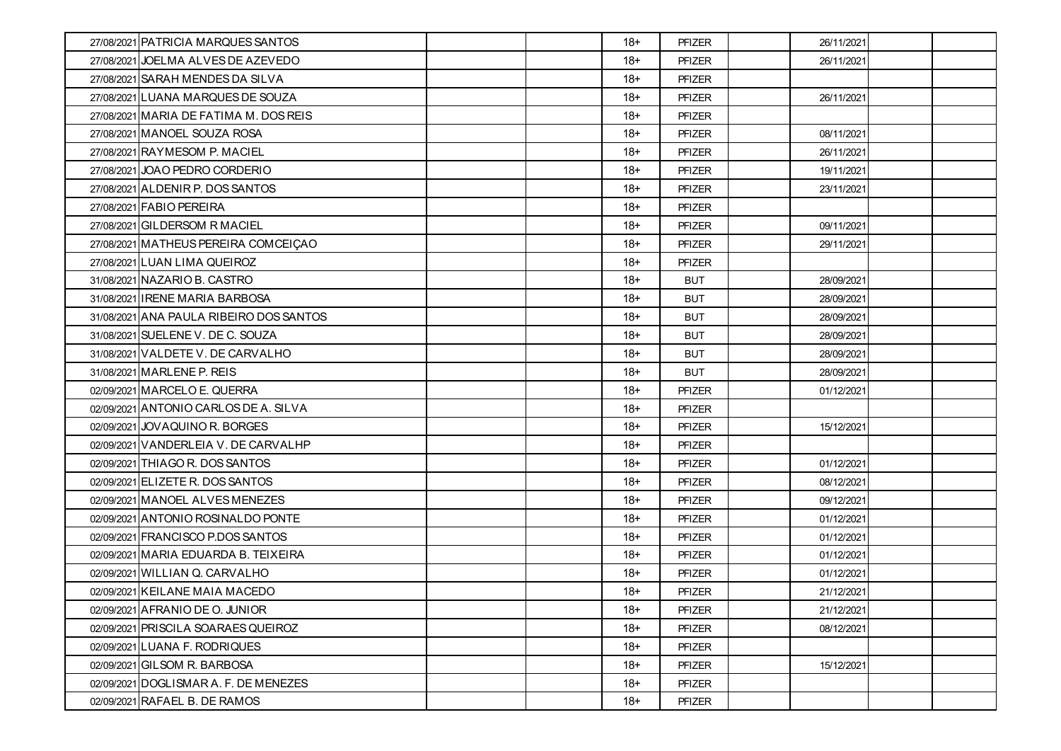| 27/08/2021 PATRICIA MARQUES SANTOS      | $18+$ | <b>PFIZER</b> | 26/11/2021 |  |
|-----------------------------------------|-------|---------------|------------|--|
| 27/08/2021 JOELMA ALVES DE AZEVEDO      | $18+$ | <b>PFIZER</b> | 26/11/2021 |  |
| 27/08/2021 SARAH MENDES DA SILVA        | $18+$ | <b>PFIZER</b> |            |  |
| 27/08/2021 LUANA MARQUES DE SOUZA       | $18+$ | <b>PFIZER</b> | 26/11/2021 |  |
| 27/08/2021 MARIA DE FATIMA M. DOS REIS  | $18+$ | <b>PFIZER</b> |            |  |
| 27/08/2021 MANOEL SOUZA ROSA            | 18+   | <b>PFIZER</b> | 08/11/2021 |  |
| 27/08/2021 RAYMESOM P. MACIEL           | $18+$ | <b>PFIZER</b> | 26/11/2021 |  |
| 27/08/2021 JOAO PEDRO CORDERIO          | $18+$ | <b>PFIZER</b> | 19/11/2021 |  |
| 27/08/2021 ALDENIR P. DOS SANTOS        | 18+   | <b>PFIZER</b> | 23/11/2021 |  |
| 27/08/2021 FABIO PEREIRA                | $18+$ | <b>PFIZER</b> |            |  |
| 27/08/2021 GILDERSOM R MACIEL           | 18+   | <b>PFIZER</b> | 09/11/2021 |  |
| 27/08/2021 MATHEUS PEREIRA COMCEIÇAO    | $18+$ | <b>PFIZER</b> | 29/11/2021 |  |
| 27/08/2021 LUAN LIMA QUEIROZ            | $18+$ | PFIZER        |            |  |
| 31/08/2021 NAZARIO B. CASTRO            | $18+$ | <b>BUT</b>    | 28/09/2021 |  |
| 31/08/2021 IRENE MARIA BARBOSA          | $18+$ | <b>BUT</b>    | 28/09/2021 |  |
| 31/08/2021 ANA PAULA RIBEIRO DOS SANTOS | $18+$ | <b>BUT</b>    | 28/09/2021 |  |
| 31/08/2021 SUELENE V. DE C. SOUZA       | $18+$ | <b>BUT</b>    | 28/09/2021 |  |
| 31/08/2021 VALDETE V. DE CARVALHO       | 18+   | <b>BUT</b>    | 28/09/2021 |  |
| 31/08/2021 MARLENE P. REIS              | $18+$ | <b>BUT</b>    | 28/09/2021 |  |
| 02/09/2021 MARCELO E. QUERRA            | $18+$ | <b>PFIZER</b> | 01/12/2021 |  |
| 02/09/2021 ANTONIO CARLOS DE A. SILVA   | $18+$ | <b>PFIZER</b> |            |  |
| 02/09/2021 JOVAQUINO R. BORGES          | $18+$ | <b>PFIZER</b> | 15/12/2021 |  |
| 02/09/2021 VANDERLEIA V. DE CARVALHP    | $18+$ | <b>PFIZER</b> |            |  |
| 02/09/2021 THIAGO R. DOS SANTOS         | $18+$ | <b>PFIZER</b> | 01/12/2021 |  |
| 02/09/2021 ELIZETE R. DOS SANTOS        | 18+   | <b>PFIZER</b> | 08/12/2021 |  |
| 02/09/2021 MANOEL ALVES MENEZES         | $18+$ | <b>PFIZER</b> | 09/12/2021 |  |
| 02/09/2021 ANTONIO ROSINALDO PONTE      | $18+$ | <b>PFIZER</b> | 01/12/2021 |  |
| 02/09/2021 FRANCISCO P.DOS SANTOS       | 18+   | <b>PFIZER</b> | 01/12/2021 |  |
| 02/09/2021 MARIA EDUARDA B. TEIXEIRA    | $18+$ | <b>PFIZER</b> | 01/12/2021 |  |
| 02/09/2021 WILLIAN Q. CARVALHO          | 18+   | <b>PFIZER</b> | 01/12/2021 |  |
| 02/09/2021 KEILANE MAIA MACEDO          | $18+$ | <b>PFIZER</b> | 21/12/2021 |  |
| 02/09/2021 AFRANIO DE O. JUNIOR         | $18+$ | <b>PFIZER</b> | 21/12/2021 |  |
| 02/09/2021 PRISCILA SOARAES QUEIROZ     | $18+$ | <b>PFIZER</b> | 08/12/2021 |  |
| 02/09/2021 LUANA F. RODRIQUES           | $18+$ | <b>PFIZER</b> |            |  |
| 02/09/2021 GILSOM R. BARBOSA            | $18+$ | <b>PFIZER</b> | 15/12/2021 |  |
| 02/09/2021 DOGLISMAR A. F. DE MENEZES   | $18+$ | PFIZER        |            |  |
| 02/09/2021 RAFAEL B. DE RAMOS           | 18+   | PFIZER        |            |  |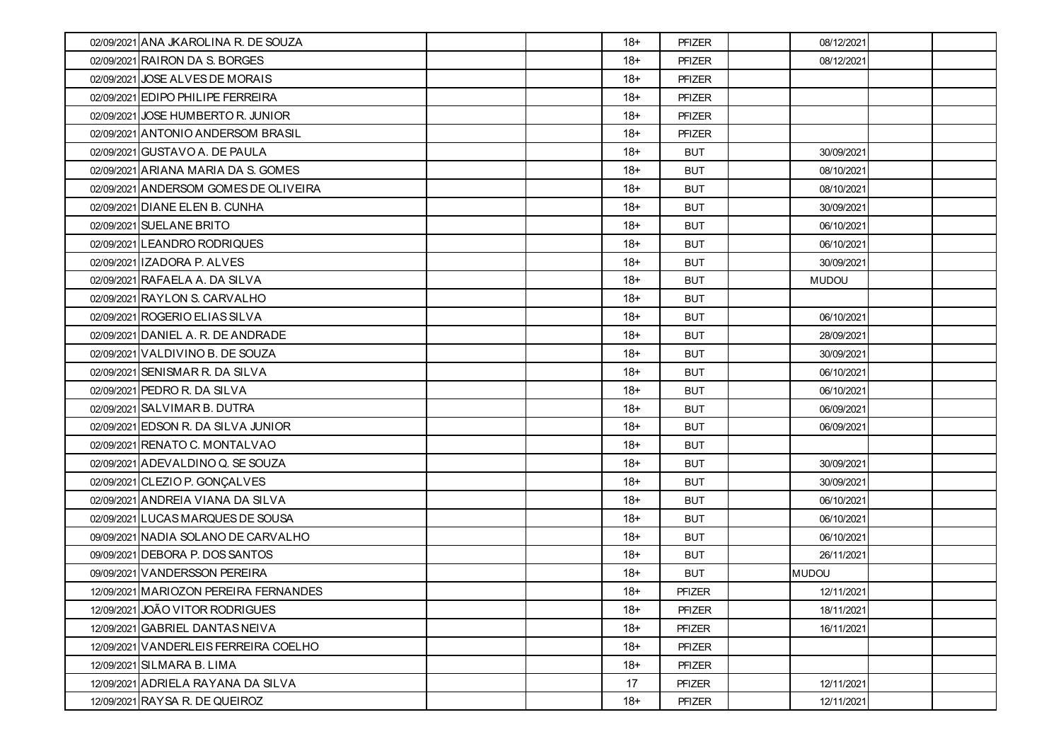| 02/09/2021 ANA JKAROLINA R. DE SOUZA  | $18+$ | <b>PFIZER</b> | 08/12/2021   |  |
|---------------------------------------|-------|---------------|--------------|--|
| 02/09/2021 RAIRON DA S. BORGES        | $18+$ | <b>PFIZER</b> | 08/12/2021   |  |
| 02/09/2021 JOSE ALVES DE MORAIS       | $18+$ | <b>PFIZER</b> |              |  |
| 02/09/2021 EDIPO PHILIPE FERREIRA     | $18+$ | <b>PFIZER</b> |              |  |
| 02/09/2021 JOSE HUMBERTO R. JUNIOR    | $18+$ | PFIZER        |              |  |
| 02/09/2021 ANTONIO ANDERSOM BRASIL    | 18+   | <b>PFIZER</b> |              |  |
| 02/09/2021 GUSTAVO A. DE PAULA        | $18+$ | <b>BUT</b>    | 30/09/2021   |  |
| 02/09/2021 ARIANA MARIA DA S. GOMES   | $18+$ | <b>BUT</b>    | 08/10/2021   |  |
| 02/09/2021 ANDERSOM GOMES DE OLIVEIRA | 18+   | <b>BUT</b>    | 08/10/2021   |  |
| 02/09/2021 DIANE ELEN B. CUNHA        | $18+$ | <b>BUT</b>    | 30/09/2021   |  |
| 02/09/2021 SUELANE BRITO              | 18+   | <b>BUT</b>    | 06/10/2021   |  |
| 02/09/2021 LEANDRO RODRIQUES          | $18+$ | <b>BUT</b>    | 06/10/2021   |  |
| 02/09/2021 IZADORA P. ALVES           | $18+$ | BUT           | 30/09/2021   |  |
| 02/09/2021 RAFAELA A. DA SILVA        | $18+$ | <b>BUT</b>    | <b>MUDOU</b> |  |
| 02/09/2021 RAYLON S. CARVALHO         | $18+$ | <b>BUT</b>    |              |  |
| 02/09/2021 ROGERIO ELIAS SILVA        | $18+$ | <b>BUT</b>    | 06/10/2021   |  |
| 02/09/2021 DANIEL A. R. DE ANDRADE    | $18+$ | <b>BUT</b>    | 28/09/2021   |  |
| 02/09/2021 VALDIVINO B. DE SOUZA      | $18+$ | <b>BUT</b>    | 30/09/2021   |  |
| 02/09/2021 SENISMAR R. DA SILVA       | $18+$ | <b>BUT</b>    | 06/10/2021   |  |
| 02/09/2021 PEDRO R. DA SILVA          | $18+$ | BUT           | 06/10/2021   |  |
| 02/09/2021 SALVIMAR B. DUTRA          | $18+$ | <b>BUT</b>    | 06/09/2021   |  |
| 02/09/2021 EDSON R. DA SILVA JUNIOR   | $18+$ | <b>BUT</b>    | 06/09/2021   |  |
| 02/09/2021 RENATO C. MONTALVAO        | $18+$ | <b>BUT</b>    |              |  |
| 02/09/2021 ADEVALDINO Q. SE SOUZA     | $18+$ | <b>BUT</b>    | 30/09/2021   |  |
| 02/09/2021 CLEZIO P. GONÇALVES        | $18+$ | <b>BUT</b>    | 30/09/2021   |  |
| 02/09/2021 ANDREIA VIANA DA SILVA     | $18+$ | <b>BUT</b>    | 06/10/2021   |  |
| 02/09/2021 LUCAS MARQUES DE SOUSA     | $18+$ | <b>BUT</b>    | 06/10/2021   |  |
| 09/09/2021 NADIA SOLANO DE CARVALHO   | 18+   | <b>BUT</b>    | 06/10/2021   |  |
| 09/09/2021 DEBORA P. DOS SANTOS       | $18+$ | <b>BUT</b>    | 26/11/2021   |  |
| 09/09/2021 VANDERSSON PEREIRA         | 18+   | <b>BUT</b>    | <b>MUDOU</b> |  |
| 12/09/2021 MARIOZON PEREIRA FERNANDES | $18+$ | <b>PFIZER</b> | 12/11/2021   |  |
| 12/09/2021 JOÃO VITOR RODRIGUES       | $18+$ | <b>PFIZER</b> | 18/11/2021   |  |
| 12/09/2021 GABRIEL DANTAS NEIVA       | $18+$ | PFIZER        | 16/11/2021   |  |
| 12/09/2021 VANDERLEIS FERREIRA COELHO | $18+$ | PFIZER        |              |  |
| 12/09/2021 SILMARA B. LIMA            | 18+   | PFIZER        |              |  |
| 12/09/2021 ADRIELA RAYANA DA SILVA    | 17    | <b>PFIZER</b> | 12/11/2021   |  |
| 12/09/2021 RAYSA R. DE QUEIROZ        | $18+$ | PFIZER        | 12/11/2021   |  |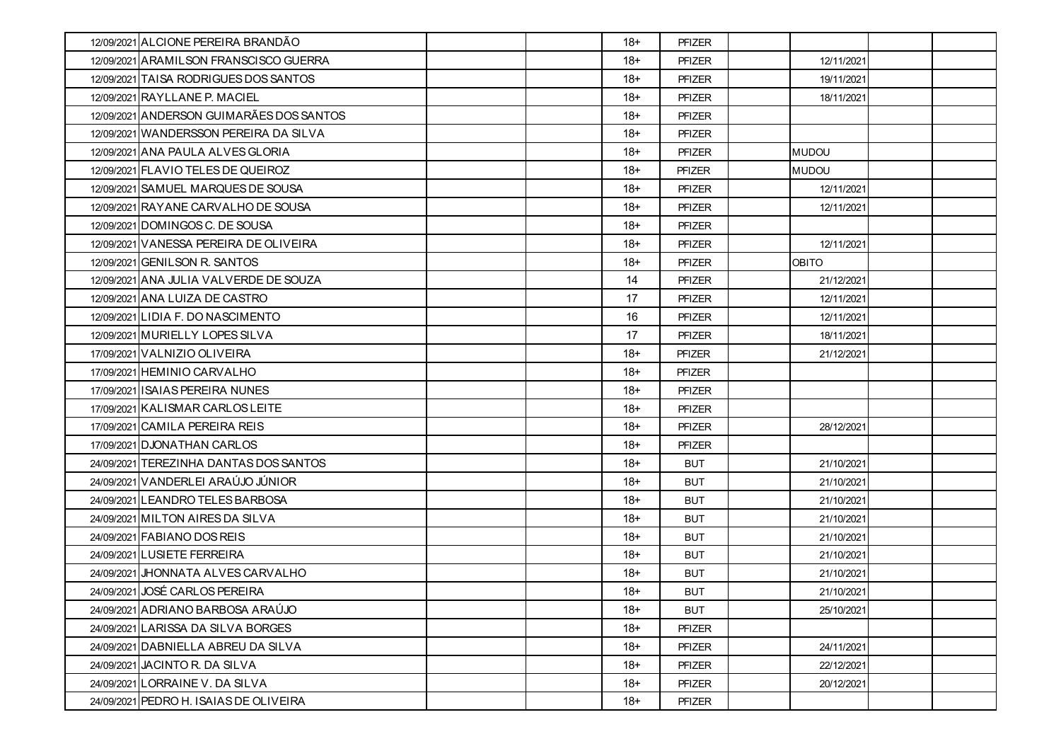| 12/09/2021 ALCIONE PEREIRA BRANDÃO       | $18+$ | <b>PFIZER</b> |              |  |
|------------------------------------------|-------|---------------|--------------|--|
| 12/09/2021 ARAMILSON FRANSCISCO GUERRA   | $18+$ | <b>PFIZER</b> | 12/11/2021   |  |
| 12/09/2021 TAISA RODRIGUES DOS SANTOS    | $18+$ | <b>PFIZER</b> | 19/11/2021   |  |
| 12/09/2021 RAYLLANE P. MACIEL            | $18+$ | <b>PFIZER</b> | 18/11/2021   |  |
| 12/09/2021 ANDERSON GUIMARÃES DOS SANTOS | $18+$ | <b>PFIZER</b> |              |  |
| 12/09/2021 WANDERSSON PEREIRA DA SILVA   | 18+   | <b>PFIZER</b> |              |  |
| 12/09/2021 ANA PAULA ALVES GLORIA        | $18+$ | <b>PFIZER</b> | <b>MUDOU</b> |  |
| 12/09/2021 FLAVIO TELES DE QUEIROZ       | $18+$ | <b>PFIZER</b> | <b>MUDOU</b> |  |
| 12/09/2021 SAMUEL MARQUES DE SOUSA       | $18+$ | <b>PFIZER</b> | 12/11/2021   |  |
| 12/09/2021 RAYANE CARVALHO DE SOUSA      | $18+$ | <b>PFIZER</b> | 12/11/2021   |  |
| 12/09/2021 DOMINGOS C. DE SOUSA          | 18+   | <b>PFIZER</b> |              |  |
| 12/09/2021 VANESSA PEREIRA DE OLIVEIRA   | $18+$ | <b>PFIZER</b> | 12/11/2021   |  |
| 12/09/2021 GENILSON R. SANTOS            | 18+   | <b>PFIZER</b> | <b>OBITO</b> |  |
| 12/09/2021 ANA JULIA VALVERDE DE SOUZA   | 14    | <b>PFIZER</b> | 21/12/2021   |  |
| 12/09/2021 ANA LUIZA DE CASTRO           | 17    | <b>PFIZER</b> | 12/11/2021   |  |
| 12/09/2021 LIDIA F. DO NASCIMENTO        | 16    | <b>PFIZER</b> | 12/11/2021   |  |
| 12/09/2021 MURIELLY LOPES SILVA          | 17    | <b>PFIZER</b> | 18/11/2021   |  |
| 17/09/2021 VALNIZIO OLIVEIRA             | $18+$ | <b>PFIZER</b> | 21/12/2021   |  |
| 17/09/2021 HEMINIO CARVALHO              | $18+$ | <b>PFIZER</b> |              |  |
| 17/09/2021 ISAIAS PEREIRA NUNES          | $18+$ | <b>PFIZER</b> |              |  |
| 17/09/2021 KALISMAR CARLOS LEITE         | $18+$ | <b>PFIZER</b> |              |  |
| 17/09/2021 CAMILA PEREIRA REIS           | $18+$ | <b>PFIZER</b> | 28/12/2021   |  |
| 17/09/2021 DJONATHAN CARLOS              | $18+$ | <b>PFIZER</b> |              |  |
| 24/09/2021 TEREZINHA DANTAS DOS SANTOS   | $18+$ | <b>BUT</b>    | 21/10/2021   |  |
| 24/09/2021 VANDERLEI ARAÚJO JÚNIOR       | 18+   | BUT           | 21/10/2021   |  |
| 24/09/2021 LEANDRO TELES BARBOSA         | $18+$ | <b>BUT</b>    | 21/10/2021   |  |
| 24/09/2021 MILTON AIRES DA SILVA         | $18+$ | BUT           | 21/10/2021   |  |
| 24/09/2021 FABIANO DOS REIS              | $18+$ | <b>BUT</b>    | 21/10/2021   |  |
| 24/09/2021 LUSIETE FERREIRA              | $18+$ | <b>BUT</b>    | 21/10/2021   |  |
| 24/09/2021 JHONNATA ALVES CARVALHO       | 18+   | <b>BUT</b>    | 21/10/2021   |  |
| 24/09/2021 JOSÉ CARLOS PEREIRA           | $18+$ | <b>BUT</b>    | 21/10/2021   |  |
| 24/09/2021 ADRIANO BARBOSA ARAÚJO        | $18+$ | <b>BUT</b>    | 25/10/2021   |  |
| 24/09/2021 LARISSA DA SILVA BORGES       | $18+$ | <b>PFIZER</b> |              |  |
| 24/09/2021 DABNIELLA ABREU DA SILVA      | $18+$ | <b>PFIZER</b> | 24/11/2021   |  |
| 24/09/2021 JACINTO R. DA SILVA           | $18+$ | <b>PFIZER</b> | 22/12/2021   |  |
| 24/09/2021 LORRAINE V. DA SILVA          | $18+$ | <b>PFIZER</b> | 20/12/2021   |  |
| 24/09/2021 PEDRO H. ISAIAS DE OLIVEIRA   | 18+   | <b>PFIZER</b> |              |  |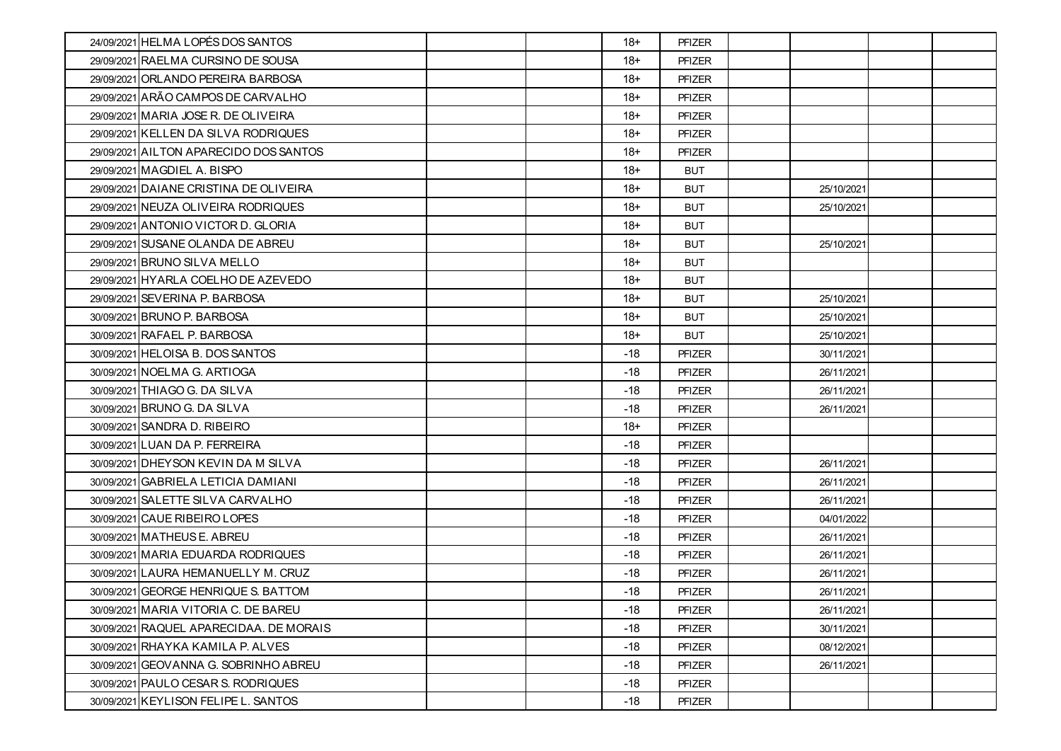| 24/09/2021 HELMA LOPÉS DOS SANTOS       | $18+$ | <b>PFIZER</b> |            |  |
|-----------------------------------------|-------|---------------|------------|--|
| 29/09/2021 RAELMA CURSINO DE SOUSA      | $18+$ | <b>PFIZER</b> |            |  |
| 29/09/2021 ORLANDO PEREIRA BARBOSA      | $18+$ | <b>PFIZER</b> |            |  |
| 29/09/2021 ARÃO CAMPOS DE CARVALHO      | 18+   | <b>PFIZER</b> |            |  |
| 29/09/2021 MARIA JOSE R. DE OLIVEIRA    | $18+$ | <b>PFIZER</b> |            |  |
| 29/09/2021 KELLEN DA SILVA RODRIQUES    | 18+   | <b>PFIZER</b> |            |  |
| 29/09/2021 AILTON APARECIDO DOS SANTOS  | $18+$ | PFIZER        |            |  |
| 29/09/2021 MAGDIEL A. BISPO             | $18+$ | <b>BUT</b>    |            |  |
| 29/09/2021 DAIANE CRISTINA DE OLIVEIRA  | 18+   | BUT           | 25/10/2021 |  |
| 29/09/2021 NEUZA OLIVEIRA RODRIQUES     | $18+$ | <b>BUT</b>    | 25/10/2021 |  |
| 29/09/2021 ANTONIO VICTOR D. GLORIA     | 18+   | BUT           |            |  |
| 29/09/2021 SUSANE OLANDA DE ABREU       | $18+$ | <b>BUT</b>    | 25/10/2021 |  |
| 29/09/2021 BRUNO SILVA MELLO            | 18+   | BUT           |            |  |
| 29/09/2021 HYARLA COELHO DE AZEVEDO     | $18+$ | <b>BUT</b>    |            |  |
| 29/09/2021 SEVERINA P. BARBOSA          | $18+$ | <b>BUT</b>    | 25/10/2021 |  |
| 30/09/2021 BRUNO P. BARBOSA             | 18+   | BUT           | 25/10/2021 |  |
| 30/09/2021 RAFAEL P. BARBOSA            | $18+$ | <b>BUT</b>    | 25/10/2021 |  |
| 30/09/2021 HELOISA B. DOS SANTOS        | $-18$ | <b>PFIZER</b> | 30/11/2021 |  |
| 30/09/2021 NOELMA G. ARTIOGA            | $-18$ | <b>PFIZER</b> | 26/11/2021 |  |
| 30/09/2021 THIAGO G. DA SILVA           | $-18$ | <b>PFIZER</b> | 26/11/2021 |  |
| 30/09/2021 BRUNO G. DA SILVA            | $-18$ | <b>PFIZER</b> | 26/11/2021 |  |
| 30/09/2021 SANDRA D. RIBEIRO            | $18+$ | <b>PFIZER</b> |            |  |
| 30/09/2021 LUAN DA P. FERREIRA          | $-18$ | <b>PFIZER</b> |            |  |
| 30/09/2021 DHEYSON KEVIN DA M SILVA     | $-18$ | <b>PFIZER</b> | 26/11/2021 |  |
| 30/09/2021 GABRIELA LETICIA DAMIANI     | -18   | <b>PFIZER</b> | 26/11/2021 |  |
| 30/09/2021 SALETTE SILVA CARVALHO       | $-18$ | <b>PFIZER</b> | 26/11/2021 |  |
| 30/09/2021 CAUE RIBEIRO LOPES           | $-18$ | <b>PFIZER</b> | 04/01/2022 |  |
| 30/09/2021 MATHEUS E. ABREU             | $-18$ | <b>PFIZER</b> | 26/11/2021 |  |
| 30/09/2021 MARIA EDUARDA RODRIQUES      | $-18$ | <b>PFIZER</b> | 26/11/2021 |  |
| 30/09/2021 LAURA HEMANUELLY M. CRUZ     | -18   | <b>PFIZER</b> | 26/11/2021 |  |
| 30/09/2021 GEORGE HENRIQUE S. BATTOM    | $-18$ | <b>PFIZER</b> | 26/11/2021 |  |
| 30/09/2021 MARIA VITORIA C. DE BAREU    | $-18$ | <b>PFIZER</b> | 26/11/2021 |  |
| 30/09/2021 RAQUEL APARECIDAA. DE MORAIS | $-18$ | <b>PFIZER</b> | 30/11/2021 |  |
| 30/09/2021 RHAYKA KAMILA P. ALVES       | $-18$ | PFIZER        | 08/12/2021 |  |
| 30/09/2021 GEOVANNA G. SOBRINHO ABREU   | $-18$ | <b>PFIZER</b> | 26/11/2021 |  |
| 30/09/2021 PAULO CESAR S. RODRIQUES     | $-18$ | PFIZER        |            |  |
| 30/09/2021 KEYLISON FELIPE L. SANTOS    | $-18$ | PFIZER        |            |  |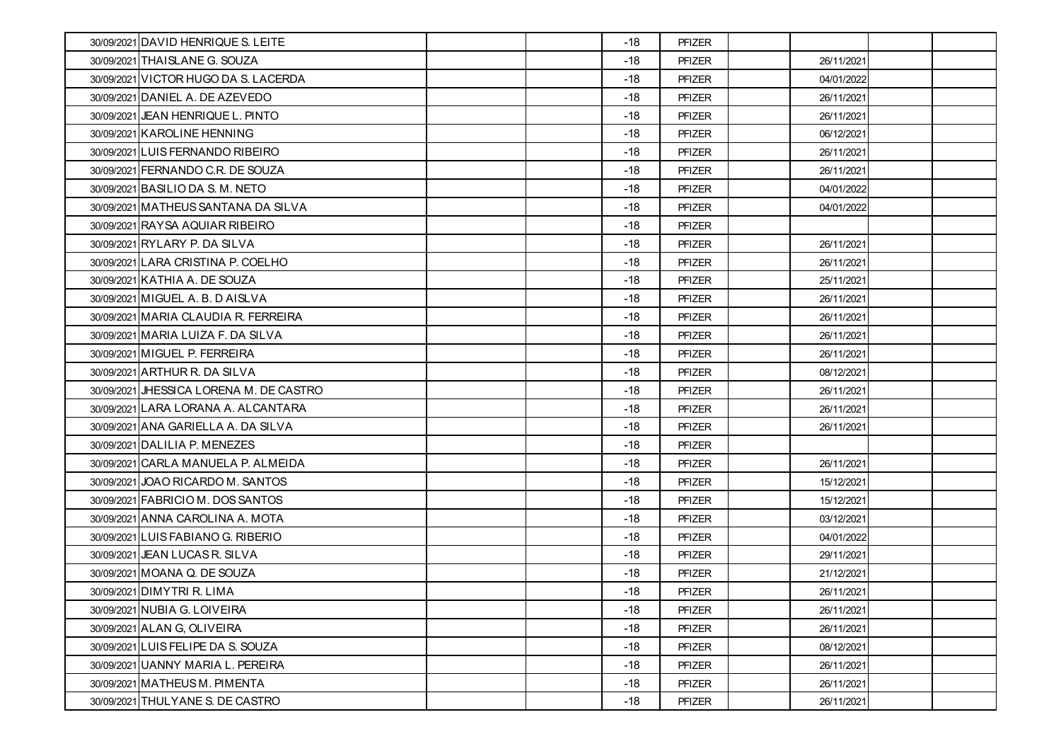| 30/09/2021 DAVID HENRIQUE S. LEITE      | -18   | <b>PFIZER</b> |            |  |
|-----------------------------------------|-------|---------------|------------|--|
| 30/09/2021 THAISLANE G. SOUZA           | $-18$ | <b>PFIZER</b> | 26/11/2021 |  |
| 30/09/2021 VICTOR HUGO DA S. LACERDA    | $-18$ | <b>PFIZER</b> | 04/01/2022 |  |
| 30/09/2021 DANIEL A. DE AZEVEDO         | $-18$ | <b>PFIZER</b> | 26/11/2021 |  |
| 30/09/2021 JEAN HENRIQUE L. PINTO       | $-18$ | PFIZER        | 26/11/2021 |  |
| 30/09/2021 KAROLINE HENNING             | -18   | <b>PFIZER</b> | 06/12/2021 |  |
| 30/09/2021 LUIS FERNANDO RIBEIRO        | $-18$ | PFIZER        | 26/11/2021 |  |
| 30/09/2021 FERNANDO C.R. DE SOUZA       | $-18$ | <b>PFIZER</b> | 26/11/2021 |  |
| 30/09/2021 BASILIO DA S. M. NETO        | -18   | <b>PFIZER</b> | 04/01/2022 |  |
| 30/09/2021 MATHEUS SANTANA DA SILVA     | $-18$ | <b>PFIZER</b> | 04/01/2022 |  |
| 30/09/2021 RAYSA AQUIAR RIBEIRO         | $-18$ | <b>PFIZER</b> |            |  |
| 30/09/2021 RYLARY P. DA SILVA           | $-18$ | PFIZER        | 26/11/2021 |  |
| 30/09/2021 LARA CRISTINA P. COELHO      | -18   | <b>PFIZER</b> | 26/11/2021 |  |
| 30/09/2021 KATHIA A. DE SOUZA           | $-18$ | <b>PFIZER</b> | 25/11/2021 |  |
| 30/09/2021 MIGUEL A. B. D AISLVA        | $-18$ | <b>PFIZER</b> | 26/11/2021 |  |
| 30/09/2021 MARIA CLAUDIA R. FERREIRA    | -18   | <b>PFIZER</b> | 26/11/2021 |  |
| 30/09/2021 MARIA LUIZA F. DA SILVA      | -18   | <b>PFIZER</b> | 26/11/2021 |  |
| 30/09/2021 MIGUEL P. FERREIRA           | -18   | <b>PFIZER</b> | 26/11/2021 |  |
| 30/09/2021 ARTHUR R. DA SILVA           | $-18$ | <b>PFIZER</b> | 08/12/2021 |  |
| 30/09/2021 JHESSICA LORENA M. DE CASTRO | -18   | <b>PFIZER</b> | 26/11/2021 |  |
| 30/09/2021 LARA LORANA A. ALCANTARA     | $-18$ | <b>PFIZER</b> | 26/11/2021 |  |
| 30/09/2021 ANA GARIELLA A. DA SILVA     | $-18$ | <b>PFIZER</b> | 26/11/2021 |  |
| 30/09/2021 DALILIA P. MENEZES           | $-18$ | <b>PFIZER</b> |            |  |
| 30/09/2021 CARLA MANUELA P. ALMEIDA     | $-18$ | PFIZER        | 26/11/2021 |  |
| 30/09/2021 JOAO RICARDO M. SANTOS       | -18   | <b>PFIZER</b> | 15/12/2021 |  |
| 30/09/2021 FABRICIO M. DOS SANTOS       | $-18$ | <b>PFIZER</b> | 15/12/2021 |  |
| 30/09/2021 ANNA CAROLINA A. MOTA        | $-18$ | <b>PFIZER</b> | 03/12/2021 |  |
| 30/09/2021 LUIS FABIANO G. RIBERIO      | -18   | <b>PFIZER</b> | 04/01/2022 |  |
| 30/09/2021 JEAN LUCAS R. SILVA          | $-18$ | <b>PFIZER</b> | 29/11/2021 |  |
| 30/09/2021 MOANA Q. DE SOUZA            | -18   | <b>PFIZER</b> | 21/12/2021 |  |
| 30/09/2021 DIMYTRI R. LIMA              | -18   | <b>PFIZER</b> | 26/11/2021 |  |
| 30/09/2021 NUBIA G. LOIVEIRA            | $-18$ | <b>PFIZER</b> | 26/11/2021 |  |
| 30/09/2021 ALAN G, OLIVEIRA             | $-18$ | <b>PFIZER</b> | 26/11/2021 |  |
| 30/09/2021 LUIS FELIPE DA S. SOUZA      | $-18$ | PFIZER        | 08/12/2021 |  |
| 30/09/2021 UANNY MARIA L. PEREIRA       | $-18$ | <b>PFIZER</b> | 26/11/2021 |  |
| 30/09/2021 MATHEUS M. PIMENTA           | $-18$ | PFIZER        | 26/11/2021 |  |
| 30/09/2021 THULYANE S. DE CASTRO        | $-18$ | <b>PFIZER</b> | 26/11/2021 |  |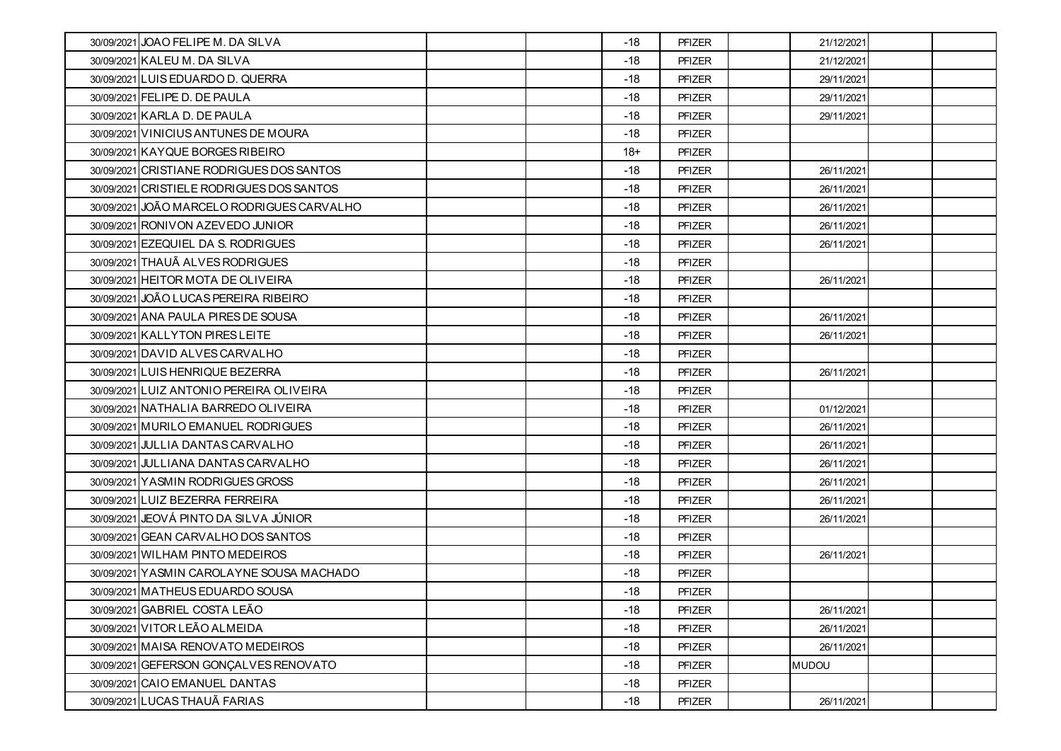| 30/09/2021 JOAO FELIPE M. DA SILVA         | -18   | <b>PFIZER</b> | 21/12/2021   |  |
|--------------------------------------------|-------|---------------|--------------|--|
| 30/09/2021 KALEU M. DA SILVA               | $-18$ | <b>PFIZER</b> | 21/12/2021   |  |
| 30/09/2021 LUIS EDUARDO D. QUERRA          | $-18$ | <b>PFIZER</b> | 29/11/2021   |  |
| 30/09/2021 FELIPE D. DE PAULA              | $-18$ | <b>PFIZER</b> | 29/11/2021   |  |
| 30/09/2021 KARLA D. DE PAULA               | $-18$ | <b>PFIZER</b> | 29/11/2021   |  |
| 30/09/2021 VINICIUS ANTUNES DE MOURA       | -18   | <b>PFIZER</b> |              |  |
| 30/09/2021 KAYQUE BORGES RIBEIRO           | $18+$ | <b>PFIZER</b> |              |  |
| 30/09/2021 CRISTIANE RODRIGUES DOS SANTOS  | $-18$ | <b>PFIZER</b> | 26/11/2021   |  |
| 30/09/2021 CRISTIELE RODRIGUES DOS SANTOS  | -18   | <b>PFIZER</b> | 26/11/2021   |  |
| 30/09/2021 JOÃO MARCELO RODRIGUES CARVALHO | $-18$ | <b>PFIZER</b> | 26/11/2021   |  |
| 30/09/2021 RONIVON AZEVEDO JUNIOR          | $-18$ | <b>PFIZER</b> | 26/11/2021   |  |
| 30/09/2021 EZEQUIEL DA S. RODRIGUES        | $-18$ | <b>PFIZER</b> | 26/11/2021   |  |
| 30/09/2021 THAUÃ ALVES RODRIGUES           | -18   | <b>PFIZER</b> |              |  |
| 30/09/2021 HEITOR MOTA DE OLIVEIRA         | $-18$ | <b>PFIZER</b> | 26/11/2021   |  |
| 30/09/2021 JOÃO LUCAS PEREIRA RIBEIRO      | $-18$ | <b>PFIZER</b> |              |  |
| 30/09/2021 ANA PAULA PIRES DE SOUSA        | -18   | <b>PFIZER</b> | 26/11/2021   |  |
| 30/09/2021 KALLYTON PIRES LEITE            | -18   | <b>PFIZER</b> | 26/11/2021   |  |
| 30/09/2021 DAVID ALVES CARVALHO            | -18   | <b>PFIZER</b> |              |  |
| 30/09/2021 LUIS HENRIQUE BEZERRA           | $-18$ | <b>PFIZER</b> | 26/11/2021   |  |
| 30/09/2021 LUIZ ANTONIO PEREIRA OLIVEIRA   | $-18$ | <b>PFIZER</b> |              |  |
| 30/09/2021 NATHALIA BARREDO OLIVEIRA       | $-18$ | <b>PFIZER</b> | 01/12/2021   |  |
| 30/09/2021 MURILO EMANUEL RODRIGUES        | $-18$ | <b>PFIZER</b> | 26/11/2021   |  |
| 30/09/2021 JULLIA DANTAS CARVALHO          | $-18$ | <b>PFIZER</b> | 26/11/2021   |  |
| 30/09/2021 JULLIANA DANTAS CARVALHO        | $-18$ | <b>PFIZER</b> | 26/11/2021   |  |
| 30/09/2021 YASMIN RODRIGUES GROSS          | -18   | <b>PFIZER</b> | 26/11/2021   |  |
| 30/09/2021 LUIZ BEZERRA FERREIRA           | $-18$ | <b>PFIZER</b> | 26/11/2021   |  |
| 30/09/2021 JEOVÁ PINTO DA SILVA JÚNIOR     | $-18$ | <b>PFIZER</b> | 26/11/2021   |  |
| 30/09/2021 GEAN CARVALHO DOS SANTOS        | $-18$ | <b>PFIZER</b> |              |  |
| 30/09/2021 WILHAM PINTO MEDEIROS           | $-18$ | <b>PFIZER</b> | 26/11/2021   |  |
| 30/09/2021 YASMIN CAROLAYNE SOUSA MACHADO  | -18   | <b>PFIZER</b> |              |  |
| 30/09/2021 MATHEUS EDUARDO SOUSA           | $-18$ | <b>PFIZER</b> |              |  |
| 30/09/2021 GABRIEL COSTA LEÃO              | $-18$ | <b>PFIZER</b> | 26/11/2021   |  |
| 30/09/2021 VITOR LEÃO ALMEIDA              | $-18$ | <b>PFIZER</b> | 26/11/2021   |  |
| 30/09/2021 MAISA RENOVATO MEDEIROS         | $-18$ | <b>PFIZER</b> | 26/11/2021   |  |
| 30/09/2021 GEFERSON GONÇALVES RENOVATO     | $-18$ | <b>PFIZER</b> | <b>MUDOU</b> |  |
| 30/09/2021 CAIO EMANUEL DANTAS             | $-18$ | <b>PFIZER</b> |              |  |
| 30/09/2021 LUCAS THAUÃ FARIAS              | $-18$ | PFIZER        | 26/11/2021   |  |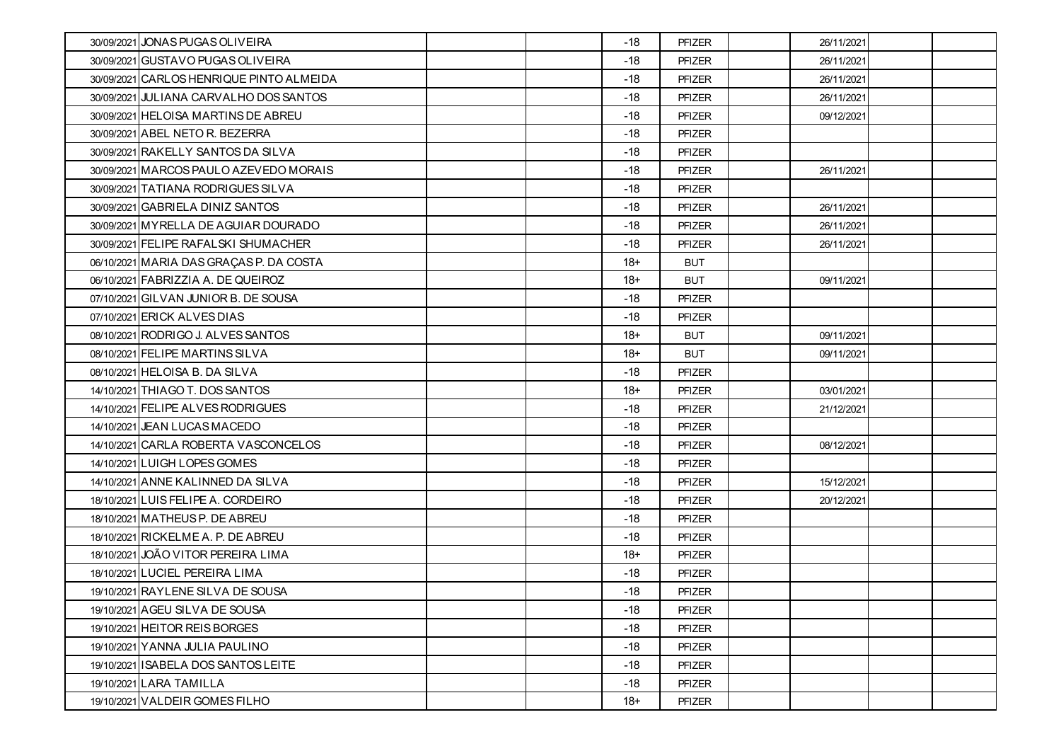| 30/09/2021 JONAS PUGAS OLIVEIRA          |  | $-18$ | <b>PFIZER</b> | 26/11/2021 |  |
|------------------------------------------|--|-------|---------------|------------|--|
| 30/09/2021 GUSTAVO PUGAS OLIVEIRA        |  | $-18$ | <b>PFIZER</b> | 26/11/2021 |  |
| 30/09/2021 CARLOS HENRIQUE PINTO ALMEIDA |  | $-18$ | <b>PFIZER</b> | 26/11/2021 |  |
| 30/09/2021 JULIANA CARVALHO DOS SANTOS   |  | $-18$ | <b>PFIZER</b> | 26/11/2021 |  |
| 30/09/2021 HELOISA MARTINS DE ABREU      |  | $-18$ | <b>PFIZER</b> | 09/12/2021 |  |
| 30/09/2021 ABEL NETO R. BEZERRA          |  | $-18$ | <b>PFIZER</b> |            |  |
| 30/09/2021 RAKELLY SANTOS DA SILVA       |  | $-18$ | <b>PFIZER</b> |            |  |
| 30/09/2021 MARCOS PAULO AZEVEDO MORAIS   |  | $-18$ | <b>PFIZER</b> | 26/11/2021 |  |
| 30/09/2021 TATIANA RODRIGUES SILVA       |  | $-18$ | <b>PFIZER</b> |            |  |
| 30/09/2021 GABRIELA DINIZ SANTOS         |  | $-18$ | <b>PFIZER</b> | 26/11/2021 |  |
| 30/09/2021 MYRELLA DE AGUIAR DOURADO     |  | -18   | <b>PFIZER</b> | 26/11/2021 |  |
| 30/09/2021 FELIPE RAFALSKI SHUMACHER     |  | $-18$ | <b>PFIZER</b> | 26/11/2021 |  |
| 06/10/2021 MARIA DAS GRAÇAS P. DA COSTA  |  | 18+   | BUT           |            |  |
| 06/10/2021 FABRIZZIA A. DE QUEIROZ       |  | $18+$ | <b>BUT</b>    | 09/11/2021 |  |
| 07/10/2021 GILVAN JUNIOR B. DE SOUSA     |  | $-18$ | <b>PFIZER</b> |            |  |
| 07/10/2021 ERICK ALVES DIAS              |  | $-18$ | <b>PFIZER</b> |            |  |
| 08/10/2021 RODRIGO J. ALVES SANTOS       |  | $18+$ | <b>BUT</b>    | 09/11/2021 |  |
| 08/10/2021 FELIPE MARTINS SILVA          |  | 18+   | <b>BUT</b>    | 09/11/2021 |  |
| 08/10/2021 HELOISA B. DA SILVA           |  | $-18$ | <b>PFIZER</b> |            |  |
| 14/10/2021 THIAGO T. DOS SANTOS          |  | $18+$ | <b>PFIZER</b> | 03/01/2021 |  |
| 14/10/2021 FELIPE ALVES RODRIGUES        |  | $-18$ | <b>PFIZER</b> | 21/12/2021 |  |
| 14/10/2021 JEAN LUCAS MACEDO             |  | $-18$ | <b>PFIZER</b> |            |  |
| 14/10/2021 CARLA ROBERTA VASCONCELOS     |  | $-18$ | <b>PFIZER</b> | 08/12/2021 |  |
| 14/10/2021 LUIGH LOPES GOMES             |  | $-18$ | <b>PFIZER</b> |            |  |
| 14/10/2021 ANNE KALINNED DA SILVA        |  | $-18$ | <b>PFIZER</b> | 15/12/2021 |  |
| 18/10/2021 LUIS FELIPE A. CORDEIRO       |  | $-18$ | <b>PFIZER</b> | 20/12/2021 |  |
| 18/10/2021 MATHEUS P. DE ABREU           |  | $-18$ | PFIZER        |            |  |
| 18/10/2021 RICKELME A. P. DE ABREU       |  | $-18$ | <b>PFIZER</b> |            |  |
| 18/10/2021 JOÃO VITOR PEREIRA LIMA       |  | $18+$ | <b>PFIZER</b> |            |  |
| 18/10/2021 LUCIEL PEREIRA LIMA           |  | -18   | <b>PFIZER</b> |            |  |
| 19/10/2021 RAYLENE SILVA DE SOUSA        |  | $-18$ | <b>PFIZER</b> |            |  |
| 19/10/2021 AGEU SILVA DE SOUSA           |  | $-18$ | <b>PFIZER</b> |            |  |
| 19/10/2021 HEITOR REIS BORGES            |  | $-18$ | <b>PFIZER</b> |            |  |
| 19/10/2021 YANNA JULIA PAULINO           |  | $-18$ | PFIZER        |            |  |
| 19/10/2021 ISABELA DOS SANTOS LEITE      |  | $-18$ | <b>PFIZER</b> |            |  |
| 19/10/2021 LARA TAMILLA                  |  | $-18$ | <b>PFIZER</b> |            |  |
| 19/10/2021 VALDEIR GOMES FILHO           |  | 18+   | PFIZER        |            |  |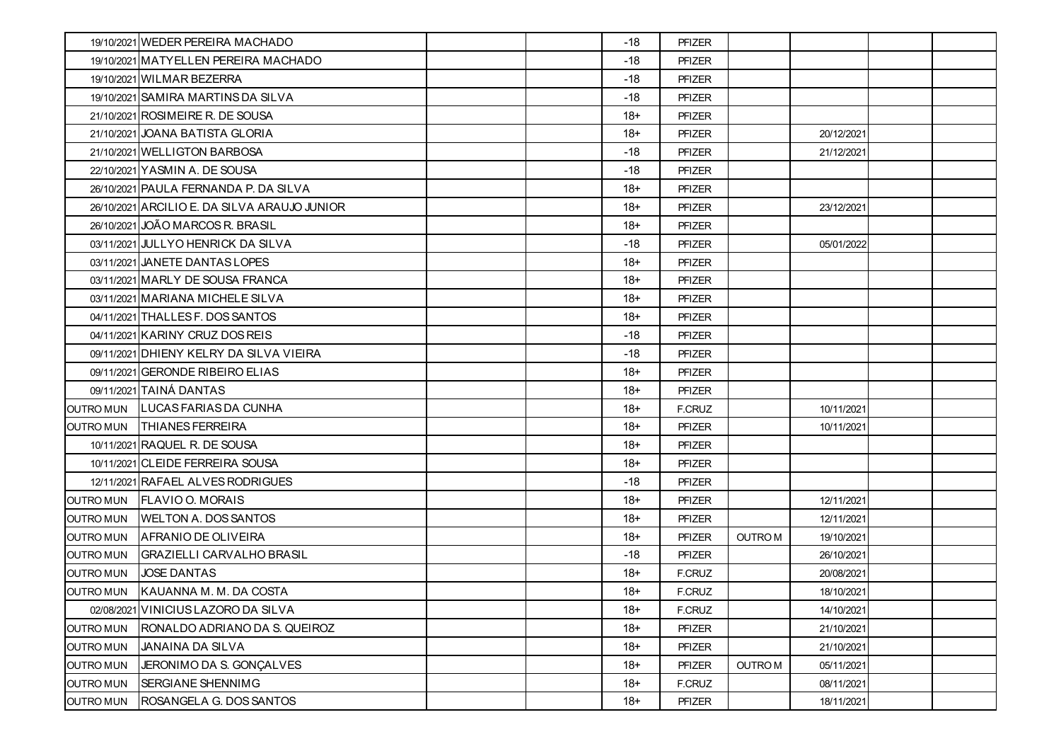|                  | 19/10/2021 WEDER PEREIRA MACHADO             |  | -18   | <b>PFIZER</b> |               |            |  |
|------------------|----------------------------------------------|--|-------|---------------|---------------|------------|--|
|                  | 19/10/2021 MATYELLEN PEREIRA MACHADO         |  | $-18$ | PFIZER        |               |            |  |
|                  | 19/10/2021 WILMAR BEZERRA                    |  | $-18$ | PFIZER        |               |            |  |
|                  | 19/10/2021 SAMIRA MARTINS DA SILVA           |  | $-18$ | <b>PFIZER</b> |               |            |  |
|                  | 21/10/2021 ROSIMEIRE R. DE SOUSA             |  | $18+$ | PFIZER        |               |            |  |
|                  | 21/10/2021 JOANA BATISTA GLORIA              |  | 18+   | <b>PFIZER</b> |               | 20/12/2021 |  |
|                  | 21/10/2021 WELLIGTON BARBOSA                 |  | $-18$ | <b>PFIZER</b> |               | 21/12/2021 |  |
|                  | 22/10/2021 YASMIN A. DE SOUSA                |  | $-18$ | PFIZER        |               |            |  |
|                  | 26/10/2021 PAULA FERNANDA P. DA SILVA        |  | $18+$ | PFIZER        |               |            |  |
|                  | 26/10/2021 ARCILIO E. DA SILVA ARAUJO JUNIOR |  | $18+$ | <b>PFIZER</b> |               | 23/12/2021 |  |
|                  | 26/10/2021 JOÃO MARCOS R. BRASIL             |  | 18+   | <b>PFIZER</b> |               |            |  |
|                  | 03/11/2021 JULLYO HENRICK DA SILVA           |  | $-18$ | PFIZER        |               | 05/01/2022 |  |
|                  | 03/11/2021 JANETE DANTAS LOPES               |  | 18+   | <b>PFIZER</b> |               |            |  |
|                  | 03/11/2021 MARLY DE SOUSA FRANCA             |  | $18+$ | <b>PFIZER</b> |               |            |  |
|                  | 03/11/2021 MARIANA MICHELE SILVA             |  | $18+$ | PFIZER        |               |            |  |
|                  | 04/11/2021 THALLES F. DOS SANTOS             |  | 18+   | <b>PFIZER</b> |               |            |  |
|                  | 04/11/2021 KARINY CRUZ DOS REIS              |  | $-18$ | <b>PFIZER</b> |               |            |  |
|                  | 09/11/2021 DHIENY KELRY DA SILVA VIEIRA      |  | $-18$ | <b>PFIZER</b> |               |            |  |
|                  | 09/11/2021 GERONDE RIBEIRO ELIAS             |  | $18+$ | <b>PFIZER</b> |               |            |  |
|                  | 09/11/2021 TAINÁ DANTAS                      |  | 18+   | <b>PFIZER</b> |               |            |  |
|                  | OUTRO MUN LUCAS FARIAS DA CUNHA              |  | $18+$ | F.CRUZ        |               | 10/11/2021 |  |
| OUTRO MUN        | <b>THIANES FERREIRA</b>                      |  | $18+$ | PFIZER        |               | 10/11/2021 |  |
|                  | 10/11/2021 RAQUEL R. DE SOUSA                |  | 18+   | <b>PFIZER</b> |               |            |  |
|                  | 10/11/2021 CLEIDE FERREIRA SOUSA             |  | $18+$ | <b>PFIZER</b> |               |            |  |
|                  | 12/11/2021 RAFAEL ALVES RODRIGUES            |  | -18   | <b>PFIZER</b> |               |            |  |
|                  | OUTROMUN FLAVIO O. MORAIS                    |  | $18+$ | PFIZER        |               | 12/11/2021 |  |
| <b>OUTRO MUN</b> | <b>WELTON A. DOS SANTOS</b>                  |  | $18+$ | <b>PFIZER</b> |               | 12/11/2021 |  |
| <b>OUTRO MUN</b> | <b>AFRANIO DE OLIVEIRA</b>                   |  | $18+$ | <b>PFIZER</b> | <b>OUTROM</b> | 19/10/2021 |  |
| <b>OUTRO MUN</b> | <b>GRAZIELLI CARVALHO BRASIL</b>             |  | $-18$ | <b>PFIZER</b> |               | 26/10/2021 |  |
| <b>OUTRO MUN</b> | <b>JOSE DANTAS</b>                           |  | 18+   | F.CRUZ        |               | 20/08/2021 |  |
|                  | OUTRO MUN KAUANNA M. M. DA COSTA             |  | $18+$ | F.CRUZ        |               | 18/10/2021 |  |
|                  | 02/08/2021 VINICIUS LAZORO DA SILVA          |  | $18+$ | F.CRUZ        |               | 14/10/2021 |  |
| OUTRO MUN        | RONALDO ADRIANO DA S. QUEIROZ                |  | $18+$ | <b>PFIZER</b> |               | 21/10/2021 |  |
| <b>OUTRO MUN</b> | <b>JANAINA DA SILVA</b>                      |  | $18+$ | <b>PFIZER</b> |               | 21/10/2021 |  |
| <b>OUTRO MUN</b> | JERONIMO DA S. GONÇALVES                     |  | $18+$ | <b>PFIZER</b> | <b>OUTROM</b> | 05/11/2021 |  |
| <b>OUTRO MUN</b> | <b>SERGIANE SHENNIMG</b>                     |  | $18+$ | F.CRUZ        |               | 08/11/2021 |  |
| OUTRO MUN        | ROSANGELA G. DOS SANTOS                      |  | $18+$ | PFIZER        |               | 18/11/2021 |  |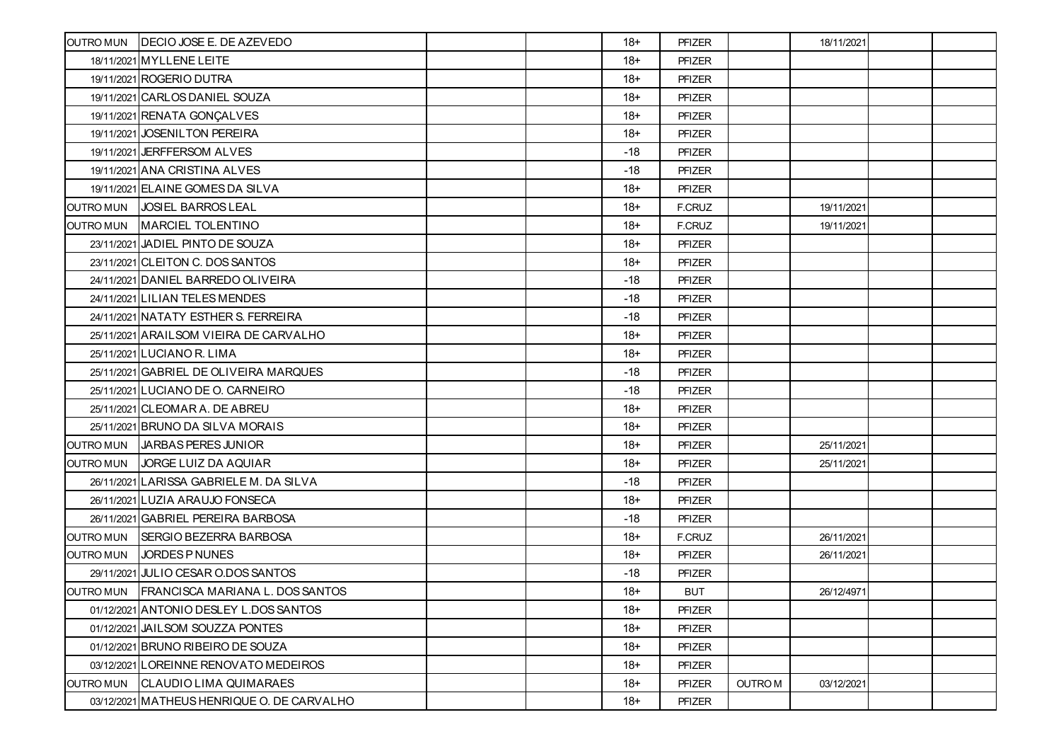| <b>OUTRO MUN</b> | DECIO JOSE E. DE AZEVEDO                   | $18+$ | <b>PFIZER</b> |               | 18/11/2021 |  |
|------------------|--------------------------------------------|-------|---------------|---------------|------------|--|
|                  | 18/11/2021 MYLLENE LEITE                   | $18+$ | <b>PFIZER</b> |               |            |  |
|                  | 19/11/2021 ROGERIO DUTRA                   | $18+$ | <b>PFIZER</b> |               |            |  |
|                  | 19/11/2021 CARLOS DANIEL SOUZA             | $18+$ | <b>PFIZER</b> |               |            |  |
|                  | 19/11/2021 RENATA GONÇALVES                | $18+$ | <b>PFIZER</b> |               |            |  |
|                  | 19/11/2021 JOSENILTON PEREIRA              | $18+$ | <b>PFIZER</b> |               |            |  |
|                  | 19/11/2021 JERFFERSOM ALVES                | $-18$ | <b>PFIZER</b> |               |            |  |
|                  | 19/11/2021 ANA CRISTINA ALVES              | $-18$ | <b>PFIZER</b> |               |            |  |
|                  | 19/11/2021 ELAINE GOMES DA SILVA           | $18+$ | <b>PFIZER</b> |               |            |  |
|                  | OUTRO MUN JOSIEL BARROS LEAL               | $18+$ | F.CRUZ        |               | 19/11/2021 |  |
| <b>OUTRO MUN</b> | <b>IMARCIEL TOLENTINO</b>                  | $18+$ | F.CRUZ        |               | 19/11/2021 |  |
|                  | 23/11/2021 JADIEL PINTO DE SOUZA           | $18+$ | <b>PFIZER</b> |               |            |  |
|                  | 23/11/2021 CLEITON C. DOS SANTOS           | $18+$ | <b>PFIZER</b> |               |            |  |
|                  | 24/11/2021 DANIEL BARREDO OLIVEIRA         | $-18$ | <b>PFIZER</b> |               |            |  |
|                  | 24/11/2021 LILIAN TELES MENDES             | $-18$ | <b>PFIZER</b> |               |            |  |
|                  | 24/11/2021 NATATY ESTHER S. FERREIRA       | $-18$ | <b>PFIZER</b> |               |            |  |
|                  | 25/11/2021 ARAILSOM VIEIRA DE CARVALHO     | $18+$ | <b>PFIZER</b> |               |            |  |
|                  | 25/11/2021 LUCIANO R. LIMA                 | 18+   | <b>PFIZER</b> |               |            |  |
|                  | 25/11/2021 GABRIEL DE OLIVEIRA MARQUES     | $-18$ | <b>PFIZER</b> |               |            |  |
|                  | 25/11/2021 LUCIANO DE O. CARNEIRO          | $-18$ | <b>PFIZER</b> |               |            |  |
|                  | 25/11/2021 CLEOMAR A. DE ABREU             | $18+$ | <b>PFIZER</b> |               |            |  |
|                  | 25/11/2021 BRUNO DA SILVA MORAIS           | $18+$ | <b>PFIZER</b> |               |            |  |
| <b>OUTRO MUN</b> | JARBAS PERES JUNIOR                        | $18+$ | <b>PFIZER</b> |               | 25/11/2021 |  |
| <b>OUTRO MUN</b> | JORGE LUIZ DA AQUIAR                       | $18+$ | <b>PFIZER</b> |               | 25/11/2021 |  |
|                  | 26/11/2021 LARISSA GABRIELE M. DA SILVA    | -18   | <b>PFIZER</b> |               |            |  |
|                  | 26/11/2021 LUZIA ARAUJO FONSECA            | $18+$ | <b>PFIZER</b> |               |            |  |
|                  | 26/11/2021 GABRIEL PEREIRA BARBOSA         | $-18$ | <b>PFIZER</b> |               |            |  |
| <b>OUTRO MUN</b> | <b>SERGIO BEZERRA BARBOSA</b>              | $18+$ | F.CRUZ        |               | 26/11/2021 |  |
| <b>OUTRO MUN</b> | <b>JORDES PNUNES</b>                       | $18+$ | <b>PFIZER</b> |               | 26/11/2021 |  |
|                  | 29/11/2021 JULIO CESAR O.DOS SANTOS        | -18   | <b>PFIZER</b> |               |            |  |
|                  | OUTROMUN FRANCISCA MARIANA L. DOS SANTOS   | $18+$ | <b>BUT</b>    |               | 26/12/4971 |  |
|                  | 01/12/2021 ANTONIO DESLEY L.DOS SANTOS     | $18+$ | <b>PFIZER</b> |               |            |  |
|                  | 01/12/2021 JAILSOM SOUZZA PONTES           | $18+$ | <b>PFIZER</b> |               |            |  |
|                  | 01/12/2021 BRUNO RIBEIRO DE SOUZA          | $18+$ | <b>PFIZER</b> |               |            |  |
|                  | 03/12/2021 LOREINNE RENOVATO MEDEIROS      | $18+$ | <b>PFIZER</b> |               |            |  |
| <b>OUTRO MUN</b> | <b>CLAUDIO LIMA QUIMARAES</b>              | $18+$ | <b>PFIZER</b> | <b>OUTROM</b> | 03/12/2021 |  |
|                  | 03/12/2021 MATHEUS HENRIQUE O. DE CARVALHO | 18+   | <b>PFIZER</b> |               |            |  |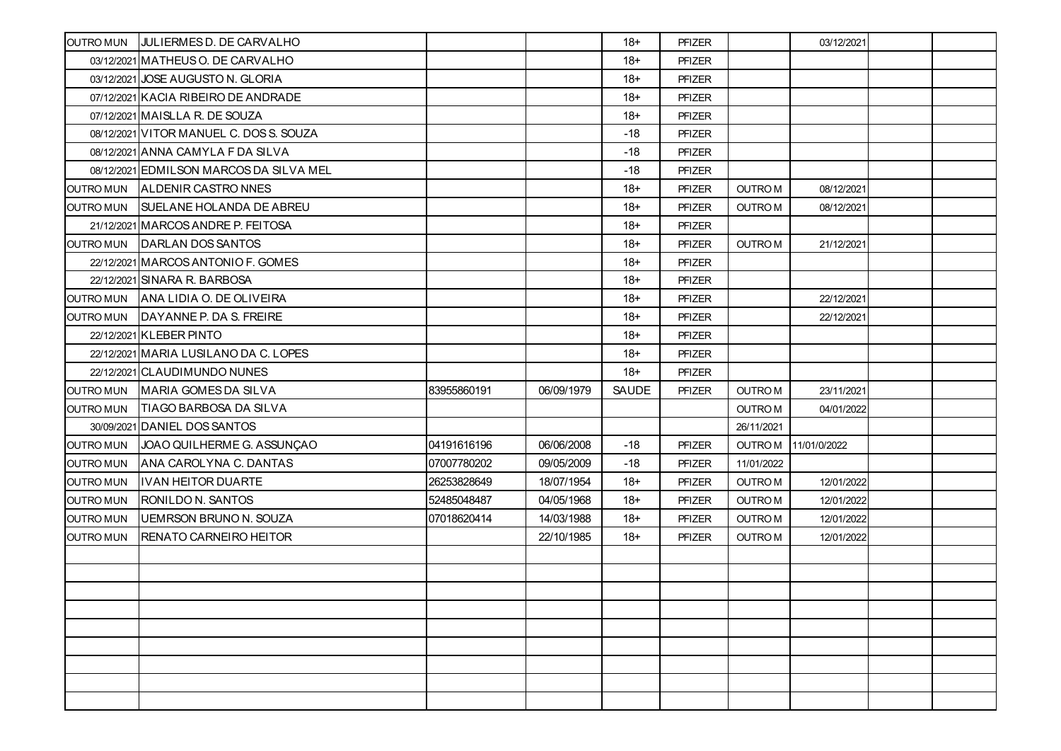|                  | OUTROMUN JULIERMES D. DE CARVALHO       |             |            | $18+$ | <b>PFIZER</b> |                | 03/12/2021   |  |
|------------------|-----------------------------------------|-------------|------------|-------|---------------|----------------|--------------|--|
|                  | 03/12/2021 MATHEUS O. DE CARVALHO       |             |            | $18+$ | <b>PFIZER</b> |                |              |  |
|                  | 03/12/2021 JOSE AUGUSTO N. GLORIA       |             |            | $18+$ | PFIZER        |                |              |  |
|                  | 07/12/2021 KACIA RIBEIRO DE ANDRADE     |             |            | $18+$ | <b>PFIZER</b> |                |              |  |
|                  | 07/12/2021 MAISLLA R. DE SOUZA          |             |            | $18+$ | <b>PFIZER</b> |                |              |  |
|                  | 08/12/2021 VITOR MANUEL C. DOS S. SOUZA |             |            | $-18$ | <b>PFIZER</b> |                |              |  |
|                  | 08/12/2021 ANNA CAMYLA F DA SILVA       |             |            | $-18$ | <b>PFIZER</b> |                |              |  |
|                  | 08/12/2021 EDMILSON MARCOS DA SILVA MEL |             |            | $-18$ | <b>PFIZER</b> |                |              |  |
| <b>OUTRO MUN</b> | <b>ALDENIR CASTRO NNES</b>              |             |            | $18+$ | <b>PFIZER</b> | <b>OUTROM</b>  | 08/12/2021   |  |
| <b>OUTRO MUN</b> | <b>ISUELANE HOLANDA DE ABREU</b>        |             |            | $18+$ | <b>PFIZER</b> | <b>OUTROM</b>  | 08/12/2021   |  |
|                  | 21/12/2021 MARCOS ANDRE P. FEITOSA      |             |            | 18+   | <b>PFIZER</b> |                |              |  |
|                  | OUTRO MUN   DARLAN DOS SANTOS           |             |            | $18+$ | <b>PFIZER</b> | <b>OUTROM</b>  | 21/12/2021   |  |
|                  | 22/12/2021 MARCOS ANTONIO F. GOMES      |             |            | $18+$ | <b>PFIZER</b> |                |              |  |
|                  | 22/12/2021 SINARA R. BARBOSA            |             |            | $18+$ | <b>PFIZER</b> |                |              |  |
| <b>OUTRO MUN</b> | ANA LIDIA O. DE OLIVEIRA                |             |            | $18+$ | PFIZER        |                | 22/12/2021   |  |
| <b>OUTRO MUN</b> | DAYANNE P. DA S. FREIRE                 |             |            | $18+$ | <b>PFIZER</b> |                | 22/12/2021   |  |
|                  | 22/12/2021 KLEBER PINTO                 |             |            | $18+$ | <b>PFIZER</b> |                |              |  |
|                  | 22/12/2021 MARIA LUSILANO DA C. LOPES   |             |            | 18+   | <b>PFIZER</b> |                |              |  |
|                  | 22/12/2021 CLAUDIMUNDO NUNES            |             |            | $18+$ | PFIZER        |                |              |  |
| <b>OUTRO MUN</b> | MARIA GOMES DA SILVA                    | 83955860191 | 06/09/1979 | SAUDE | <b>PFIZER</b> | <b>OUTRO M</b> | 23/11/2021   |  |
| <b>OUTRO MUN</b> | <b>TIAGO BARBOSA DA SILVA</b>           |             |            |       |               | <b>OUTROM</b>  | 04/01/2022   |  |
|                  | 30/09/2021 DANIEL DOS SANTOS            |             |            |       |               | 26/11/2021     |              |  |
| <b>OUTRO MUN</b> | JOAO QUILHERME G. ASSUNÇAO              | 04191616196 | 06/06/2008 | $-18$ | <b>PFIZER</b> | <b>OUTRO M</b> | 11/01/0/2022 |  |
| <b>OUTRO MUN</b> | ANA CAROLYNA C. DANTAS                  | 07007780202 | 09/05/2009 | $-18$ | <b>PFIZER</b> | 11/01/2022     |              |  |
| <b>OUTRO MUN</b> | <b>IIVAN HEITOR DUARTE</b>              | 26253828649 | 18/07/1954 | 18+   | <b>PFIZER</b> | <b>OUTROM</b>  | 12/01/2022   |  |
| <b>OUTRO MUN</b> | RONILDO N. SANTOS                       | 52485048487 | 04/05/1968 | $18+$ | <b>PFIZER</b> | <b>OUTRO M</b> | 12/01/2022   |  |
| <b>OUTRO MUN</b> | <b>UEMRSON BRUNO N. SOUZA</b>           | 07018620414 | 14/03/1988 | $18+$ | <b>PFIZER</b> | <b>OUTRO M</b> | 12/01/2022   |  |
| <b>OUTRO MUN</b> | <b>RENATO CARNEIRO HEITOR</b>           |             | 22/10/1985 | $18+$ | <b>PFIZER</b> | <b>OUTROM</b>  | 12/01/2022   |  |
|                  |                                         |             |            |       |               |                |              |  |
|                  |                                         |             |            |       |               |                |              |  |
|                  |                                         |             |            |       |               |                |              |  |
|                  |                                         |             |            |       |               |                |              |  |
|                  |                                         |             |            |       |               |                |              |  |
|                  |                                         |             |            |       |               |                |              |  |
|                  |                                         |             |            |       |               |                |              |  |
|                  |                                         |             |            |       |               |                |              |  |
|                  |                                         |             |            |       |               |                |              |  |